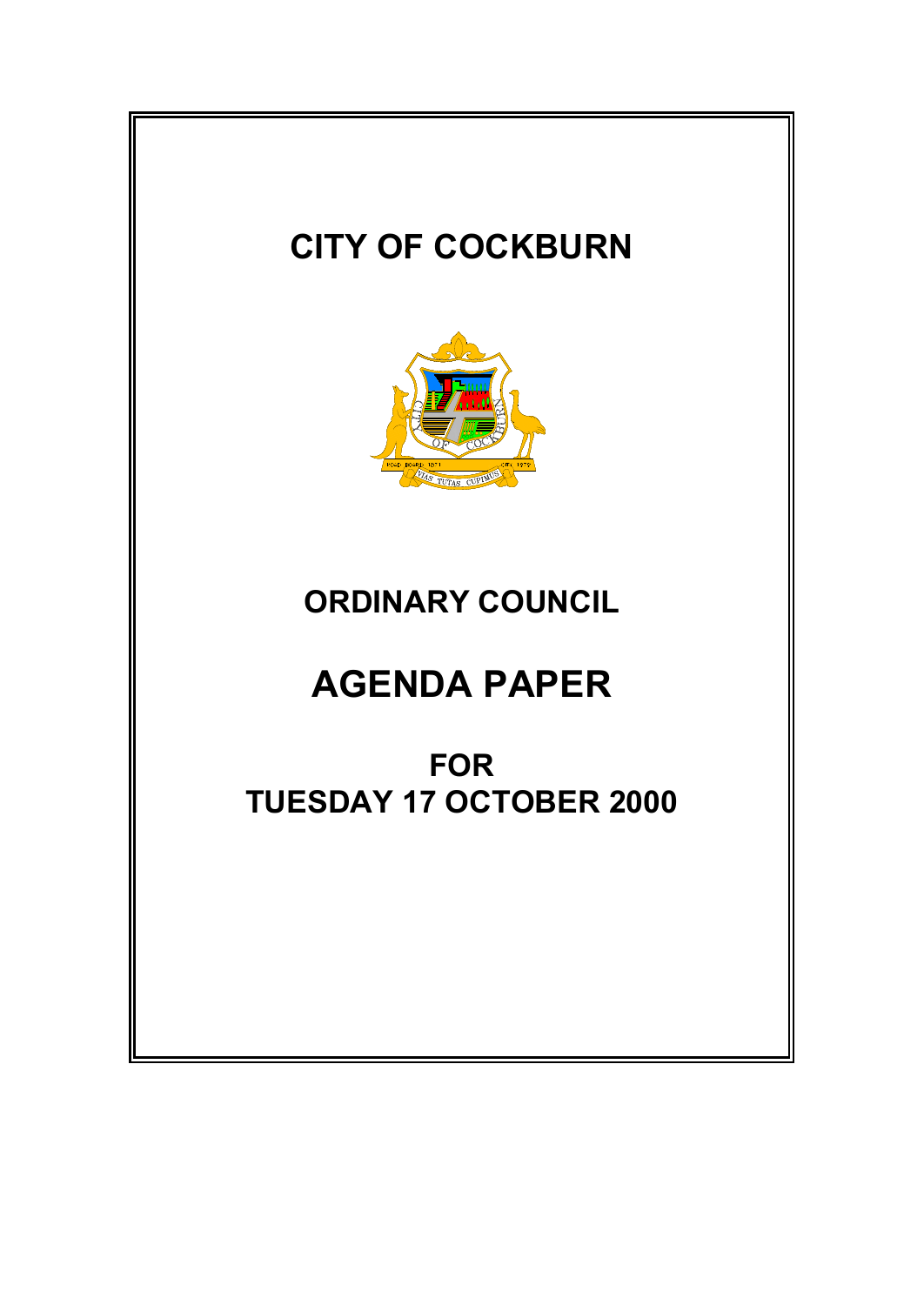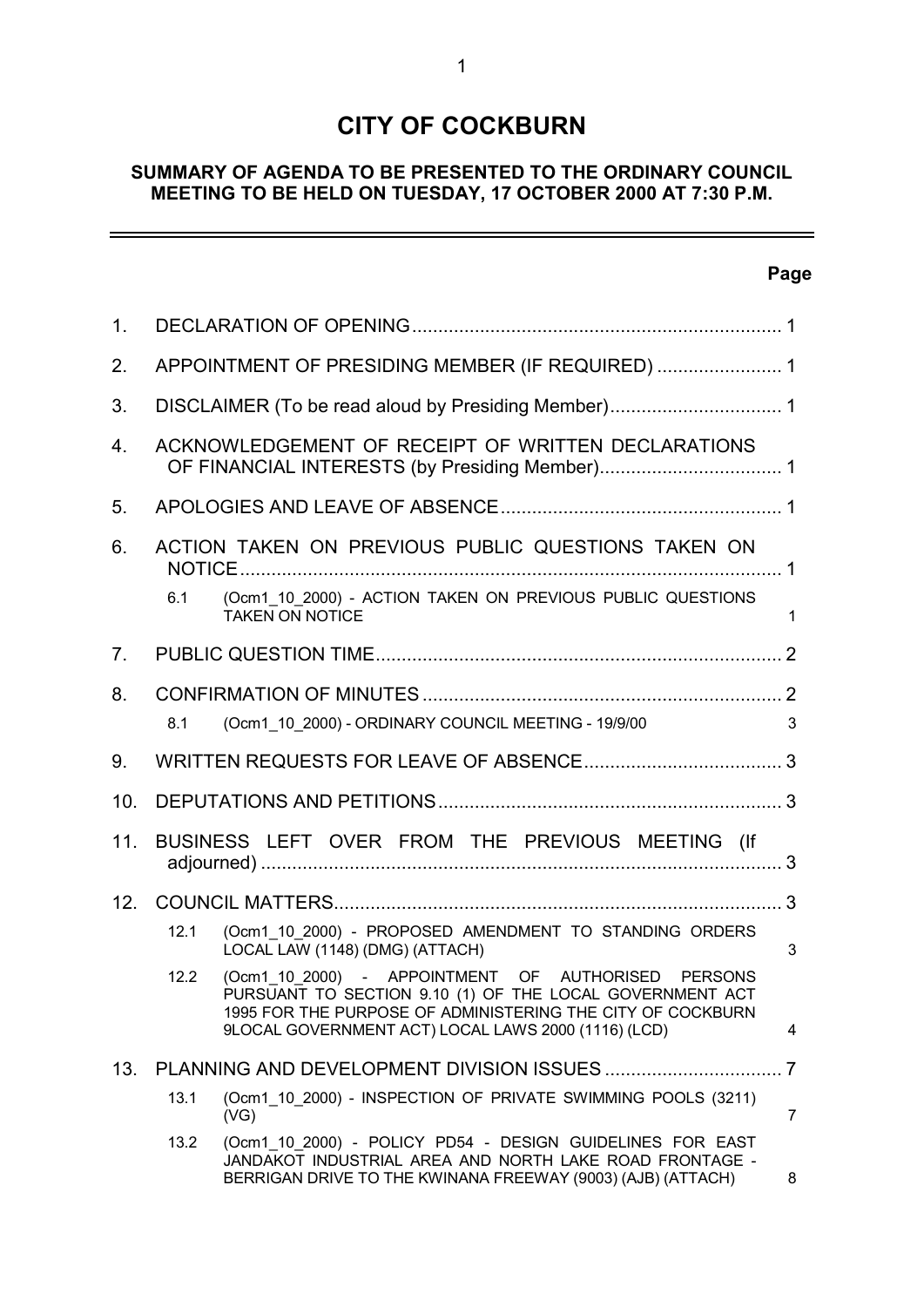# **CITY OF COCKBURN**

# **SUMMARY OF AGENDA TO BE PRESENTED TO THE ORDINARY COUNCIL MEETING TO BE HELD ON TUESDAY, 17 OCTOBER 2000 AT 7:30 P.M.**

# **Page**

 $\equiv$ 

| 1.             |                                                  |                                                                                                                                                                                                                                     |                |  |  |
|----------------|--------------------------------------------------|-------------------------------------------------------------------------------------------------------------------------------------------------------------------------------------------------------------------------------------|----------------|--|--|
| 2.             | APPOINTMENT OF PRESIDING MEMBER (IF REQUIRED)  1 |                                                                                                                                                                                                                                     |                |  |  |
| 3.             |                                                  |                                                                                                                                                                                                                                     |                |  |  |
| 4.             |                                                  | ACKNOWLEDGEMENT OF RECEIPT OF WRITTEN DECLARATIONS                                                                                                                                                                                  |                |  |  |
| 5.             |                                                  |                                                                                                                                                                                                                                     |                |  |  |
| 6.             |                                                  | ACTION TAKEN ON PREVIOUS PUBLIC QUESTIONS TAKEN ON                                                                                                                                                                                  |                |  |  |
|                | 6.1                                              | (Ocm1 10 2000) - ACTION TAKEN ON PREVIOUS PUBLIC QUESTIONS<br><b>TAKEN ON NOTICE</b>                                                                                                                                                | $\mathbf 1$    |  |  |
| 7 <sub>1</sub> |                                                  |                                                                                                                                                                                                                                     |                |  |  |
| 8.             |                                                  |                                                                                                                                                                                                                                     |                |  |  |
|                | 8.1                                              | (Ocm1 10 2000) - ORDINARY COUNCIL MEETING - 19/9/00                                                                                                                                                                                 | 3              |  |  |
| 9.             |                                                  |                                                                                                                                                                                                                                     |                |  |  |
| 10.            |                                                  |                                                                                                                                                                                                                                     |                |  |  |
| 11.            | BUSINESS LEFT OVER FROM THE PREVIOUS MEETING (If |                                                                                                                                                                                                                                     |                |  |  |
| 12.            |                                                  |                                                                                                                                                                                                                                     |                |  |  |
|                | 12.1                                             | (Ocm1_10_2000) - PROPOSED AMENDMENT TO STANDING ORDERS<br>LOCAL LAW (1148) (DMG) (ATTACH)                                                                                                                                           | 3              |  |  |
|                | 12.2                                             | (Ocm1_10_2000) - APPOINTMENT OF AUTHORISED PERSONS<br>PURSUANT TO SECTION 9.10 (1) OF THE LOCAL GOVERNMENT ACT<br>1995 FOR THE PURPOSE OF ADMINISTERING THE CITY OF COCKBURN<br>9LOCAL GOVERNMENT ACT) LOCAL LAWS 2000 (1116) (LCD) | 4              |  |  |
| 13.            |                                                  |                                                                                                                                                                                                                                     |                |  |  |
|                | 13.1                                             | (Ocm1 10 2000) - INSPECTION OF PRIVATE SWIMMING POOLS (3211)<br>(VG)                                                                                                                                                                | $\overline{7}$ |  |  |
|                | 13.2                                             | (Ocm1 10 2000) - POLICY PD54 - DESIGN GUIDELINES FOR EAST<br>JANDAKOT INDUSTRIAL AREA AND NORTH LAKE ROAD FRONTAGE -<br>BERRIGAN DRIVE TO THE KWINANA FREEWAY (9003) (AJB) (ATTACH)                                                 | 8              |  |  |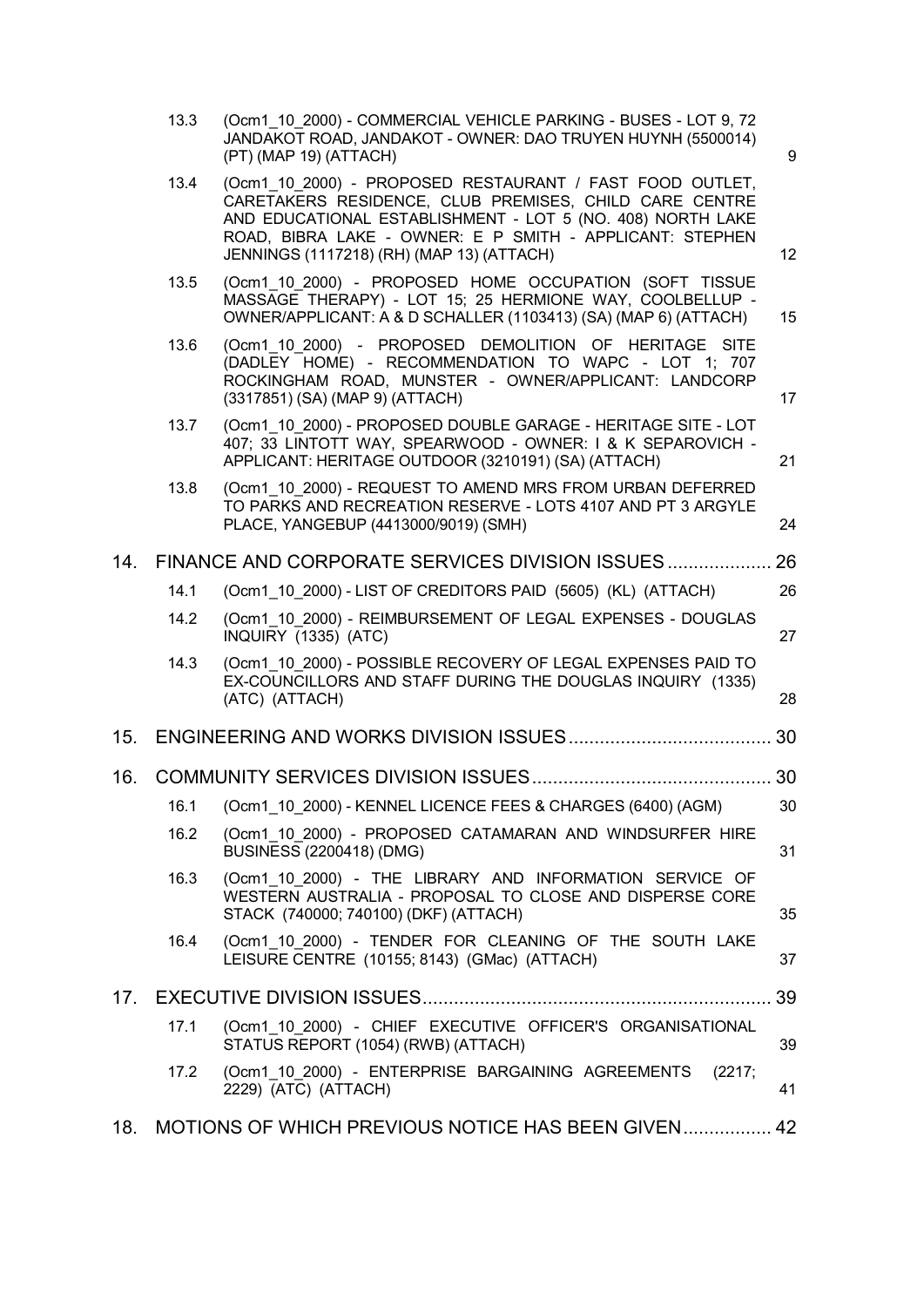|                 | 13.3 | (Ocm1 10 2000) - COMMERCIAL VEHICLE PARKING - BUSES - LOT 9, 72<br>JANDAKOT ROAD, JANDAKOT - OWNER: DAO TRUYEN HUYNH (5500014)<br>(PT) (MAP 19) (ATTACH)                                                                                                                                  | 9  |
|-----------------|------|-------------------------------------------------------------------------------------------------------------------------------------------------------------------------------------------------------------------------------------------------------------------------------------------|----|
|                 | 13.4 | (Ocm1 10 2000) - PROPOSED RESTAURANT / FAST FOOD OUTLET,<br>CARETAKERS RESIDENCE, CLUB PREMISES, CHILD CARE CENTRE<br>AND EDUCATIONAL ESTABLISHMENT - LOT 5 (NO. 408) NORTH LAKE<br>ROAD, BIBRA LAKE - OWNER: E P SMITH - APPLICANT: STEPHEN<br>JENNINGS (1117218) (RH) (MAP 13) (ATTACH) | 12 |
|                 | 13.5 | (Ocm1 10 2000) - PROPOSED HOME OCCUPATION (SOFT TISSUE<br>MASSAGE THERAPY) - LOT 15; 25 HERMIONE WAY, COOLBELLUP -<br>OWNER/APPLICANT: A & D SCHALLER (1103413) (SA) (MAP 6) (ATTACH)                                                                                                     | 15 |
|                 | 13.6 | (Ocm1 10 2000) - PROPOSED DEMOLITION OF HERITAGE SITE<br>(DADLEY HOME) - RECOMMENDATION TO WAPC - LOT 1; 707<br>ROCKINGHAM ROAD, MUNSTER - OWNER/APPLICANT: LANDCORP<br>(3317851) (SA) (MAP 9) (ATTACH)                                                                                   | 17 |
|                 | 13.7 | (Ocm1 10 2000) - PROPOSED DOUBLE GARAGE - HERITAGE SITE - LOT<br>407; 33 LINTOTT WAY, SPEARWOOD - OWNER: I & K SEPAROVICH -<br>APPLICANT: HERITAGE OUTDOOR (3210191) (SA) (ATTACH)                                                                                                        | 21 |
|                 | 13.8 | (Ocm1 10 2000) - REQUEST TO AMEND MRS FROM URBAN DEFERRED<br>TO PARKS AND RECREATION RESERVE - LOTS 4107 AND PT 3 ARGYLE<br>PLACE, YANGEBUP (4413000/9019) (SMH)                                                                                                                          | 24 |
| 14.             |      | FINANCE AND CORPORATE SERVICES DIVISION ISSUES                                                                                                                                                                                                                                            | 26 |
|                 | 14.1 | (Ocm1 10 2000) - LIST OF CREDITORS PAID (5605) (KL) (ATTACH)                                                                                                                                                                                                                              | 26 |
|                 | 14.2 | (Ocm1 10 2000) - REIMBURSEMENT OF LEGAL EXPENSES - DOUGLAS<br>INQUIRY (1335) (ATC)                                                                                                                                                                                                        | 27 |
|                 | 14.3 | (Ocm1 10 2000) - POSSIBLE RECOVERY OF LEGAL EXPENSES PAID TO<br>EX-COUNCILLORS AND STAFF DURING THE DOUGLAS INQUIRY (1335)<br>(ATC) (ATTACH)                                                                                                                                              | 28 |
|                 |      |                                                                                                                                                                                                                                                                                           |    |
| 16.             |      |                                                                                                                                                                                                                                                                                           |    |
|                 |      | 16.1 (Ocm1_10_2000) - KENNEL LICENCE FEES & CHARGES (6400) (AGM) 30                                                                                                                                                                                                                       |    |
|                 | 16.2 | (Ocm1 10 2000) - PROPOSED CATAMARAN AND WINDSURFER HIRE<br>BUSINESS (2200418) (DMG)                                                                                                                                                                                                       | 31 |
|                 | 16.3 | (Ocm1 10 2000) - THE LIBRARY AND INFORMATION SERVICE OF<br>WESTERN AUSTRALIA - PROPOSAL TO CLOSE AND DISPERSE CORE<br>STACK (740000; 740100) (DKF) (ATTACH)                                                                                                                               | 35 |
|                 | 16.4 | (Ocm1 10 2000) - TENDER FOR CLEANING OF THE SOUTH LAKE<br>LEISURE CENTRE (10155; 8143) (GMac) (ATTACH)                                                                                                                                                                                    | 37 |
| 17 <sub>1</sub> |      |                                                                                                                                                                                                                                                                                           | 39 |
|                 | 17.1 | (Ocm1_10_2000) - CHIEF EXECUTIVE OFFICER'S ORGANISATIONAL<br>STATUS REPORT (1054) (RWB) (ATTACH)                                                                                                                                                                                          | 39 |
|                 | 17.2 | (Ocm1 10 2000) - ENTERPRISE BARGAINING AGREEMENTS<br>(2217;<br>2229) (ATC) (ATTACH)                                                                                                                                                                                                       | 41 |
| 18.             |      | MOTIONS OF WHICH PREVIOUS NOTICE HAS BEEN GIVEN 42                                                                                                                                                                                                                                        |    |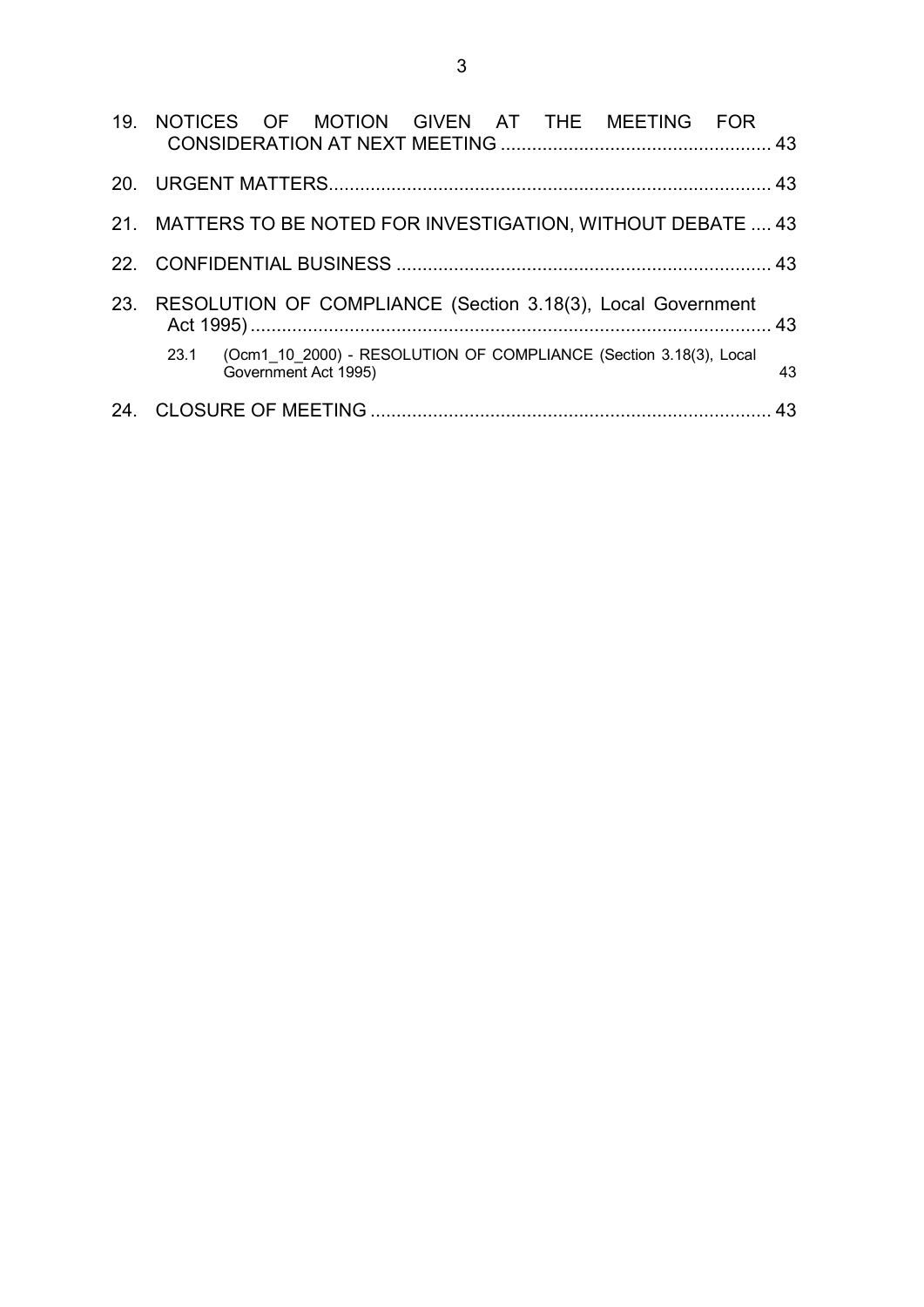| 19. NOTICES OF MOTION GIVEN AT THE MEETING FOR                                                    |    |
|---------------------------------------------------------------------------------------------------|----|
|                                                                                                   |    |
| 21. MATTERS TO BE NOTED FOR INVESTIGATION, WITHOUT DEBATE  43                                     |    |
|                                                                                                   |    |
| 23. RESOLUTION OF COMPLIANCE (Section 3.18(3), Local Government                                   |    |
| (Ocm1 10 2000) - RESOLUTION OF COMPLIANCE (Section 3.18(3), Local<br>23.1<br>Government Act 1995) | 43 |
|                                                                                                   | 43 |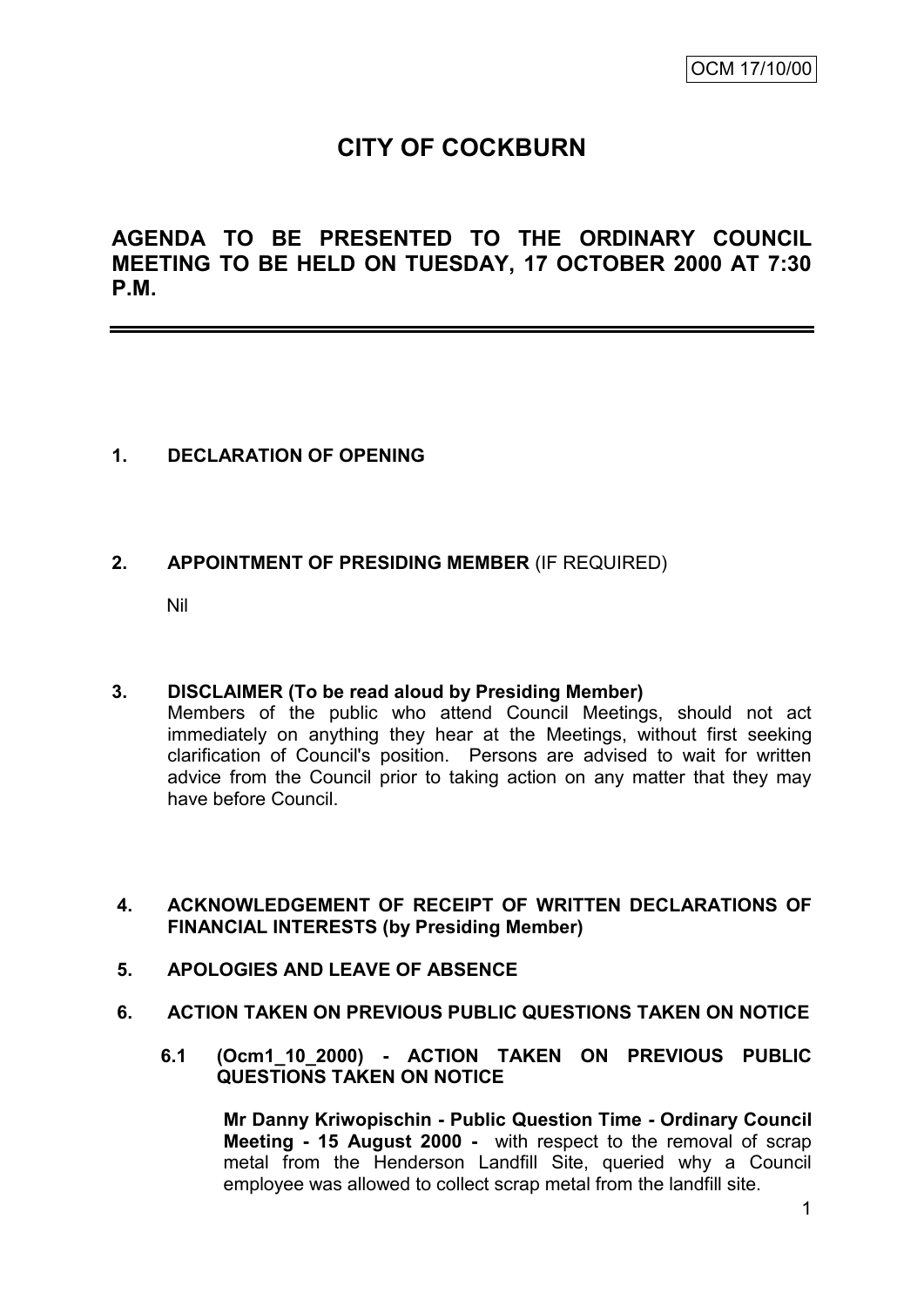# **CITY OF COCKBURN**

**AGENDA TO BE PRESENTED TO THE ORDINARY COUNCIL MEETING TO BE HELD ON TUESDAY, 17 OCTOBER 2000 AT 7:30 P.M.**

# **1. DECLARATION OF OPENING**

# **2. APPOINTMENT OF PRESIDING MEMBER** (IF REQUIRED)

Nil

#### **3. DISCLAIMER (To be read aloud by Presiding Member)**

Members of the public who attend Council Meetings, should not act immediately on anything they hear at the Meetings, without first seeking clarification of Council's position. Persons are advised to wait for written advice from the Council prior to taking action on any matter that they may have before Council.

#### **4. ACKNOWLEDGEMENT OF RECEIPT OF WRITTEN DECLARATIONS OF FINANCIAL INTERESTS (by Presiding Member)**

- **5. APOLOGIES AND LEAVE OF ABSENCE**
- **6. ACTION TAKEN ON PREVIOUS PUBLIC QUESTIONS TAKEN ON NOTICE**
	- **6.1 (Ocm1\_10\_2000) - ACTION TAKEN ON PREVIOUS PUBLIC QUESTIONS TAKEN ON NOTICE**

**Mr Danny Kriwopischin - Public Question Time - Ordinary Council Meeting - 15 August 2000 -** with respect to the removal of scrap metal from the Henderson Landfill Site, queried why a Council employee was allowed to collect scrap metal from the landfill site.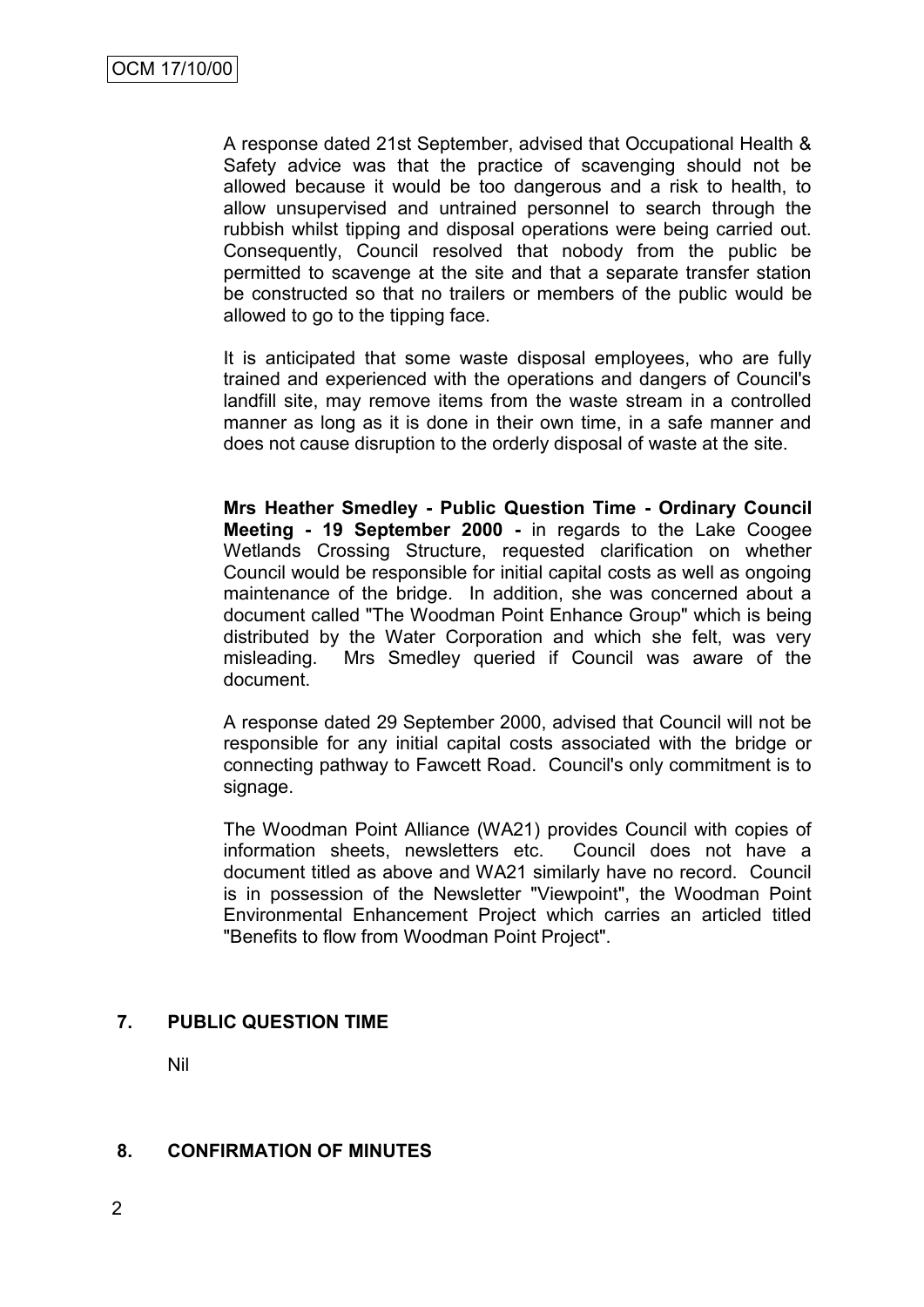A response dated 21st September, advised that Occupational Health & Safety advice was that the practice of scavenging should not be allowed because it would be too dangerous and a risk to health, to allow unsupervised and untrained personnel to search through the rubbish whilst tipping and disposal operations were being carried out. Consequently, Council resolved that nobody from the public be permitted to scavenge at the site and that a separate transfer station be constructed so that no trailers or members of the public would be allowed to go to the tipping face.

It is anticipated that some waste disposal employees, who are fully trained and experienced with the operations and dangers of Council's landfill site, may remove items from the waste stream in a controlled manner as long as it is done in their own time, in a safe manner and does not cause disruption to the orderly disposal of waste at the site.

**Mrs Heather Smedley - Public Question Time - Ordinary Council Meeting - 19 September 2000 -** in regards to the Lake Coogee Wetlands Crossing Structure, requested clarification on whether Council would be responsible for initial capital costs as well as ongoing maintenance of the bridge. In addition, she was concerned about a document called "The Woodman Point Enhance Group" which is being distributed by the Water Corporation and which she felt, was very misleading. Mrs Smedley queried if Council was aware of the document.

A response dated 29 September 2000, advised that Council will not be responsible for any initial capital costs associated with the bridge or connecting pathway to Fawcett Road. Council's only commitment is to signage.

The Woodman Point Alliance (WA21) provides Council with copies of information sheets, newsletters etc. Council does not have a document titled as above and WA21 similarly have no record. Council is in possession of the Newsletter "Viewpoint", the Woodman Point Environmental Enhancement Project which carries an articled titled "Benefits to flow from Woodman Point Project".

#### **7. PUBLIC QUESTION TIME**

Nil

#### **8. CONFIRMATION OF MINUTES**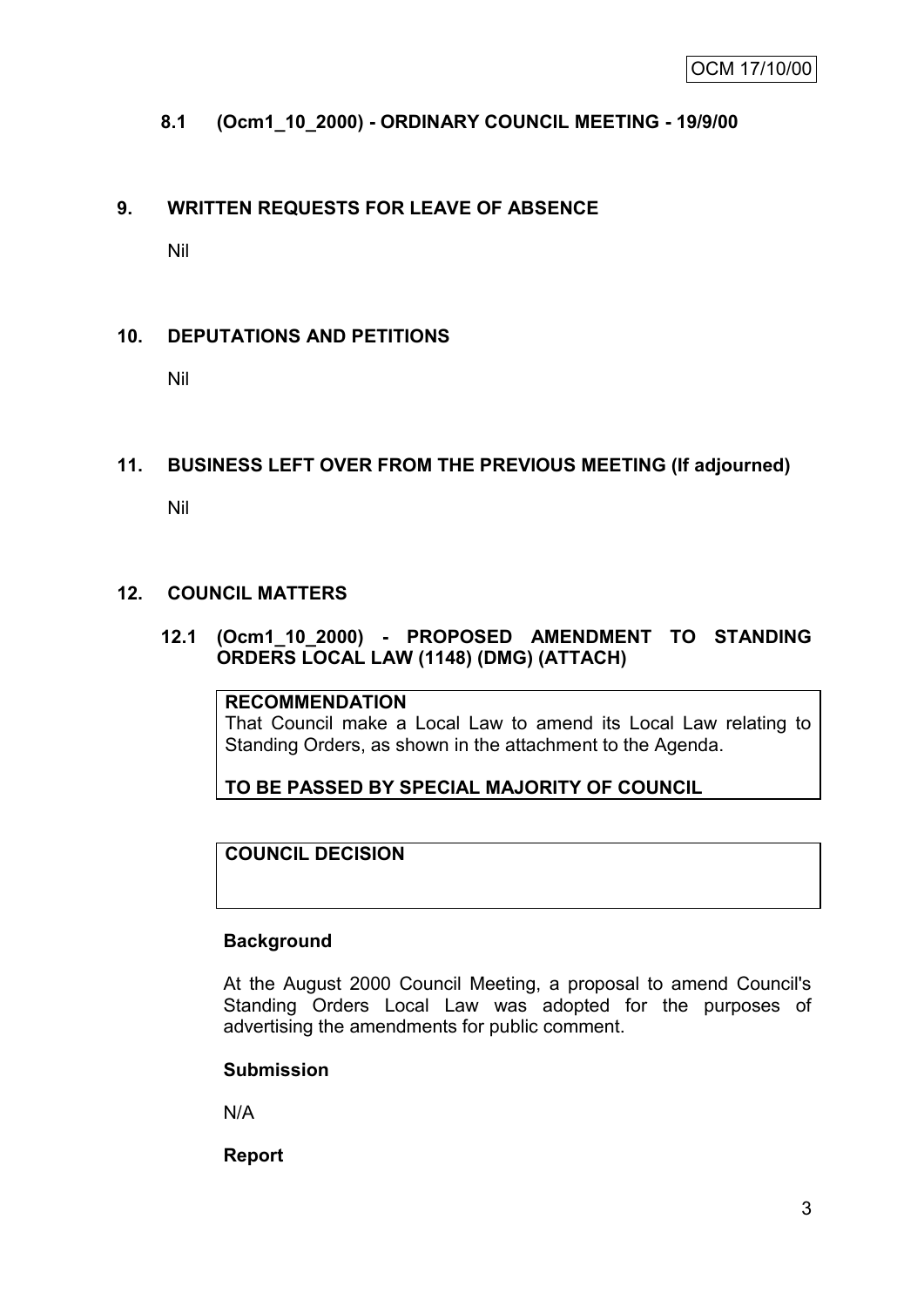# **8.1 (Ocm1\_10\_2000) - ORDINARY COUNCIL MEETING - 19/9/00**

# **9. WRITTEN REQUESTS FOR LEAVE OF ABSENCE**

Nil

# **10. DEPUTATIONS AND PETITIONS**

Nil

#### **11. BUSINESS LEFT OVER FROM THE PREVIOUS MEETING (If adjourned)**

Nil

#### **12. COUNCIL MATTERS**

#### **12.1 (Ocm1\_10\_2000) - PROPOSED AMENDMENT TO STANDING ORDERS LOCAL LAW (1148) (DMG) (ATTACH)**

#### **RECOMMENDATION**

That Council make a Local Law to amend its Local Law relating to Standing Orders, as shown in the attachment to the Agenda.

**TO BE PASSED BY SPECIAL MAJORITY OF COUNCIL**

# **COUNCIL DECISION**

#### **Background**

At the August 2000 Council Meeting, a proposal to amend Council's Standing Orders Local Law was adopted for the purposes of advertising the amendments for public comment.

#### **Submission**

N/A

**Report**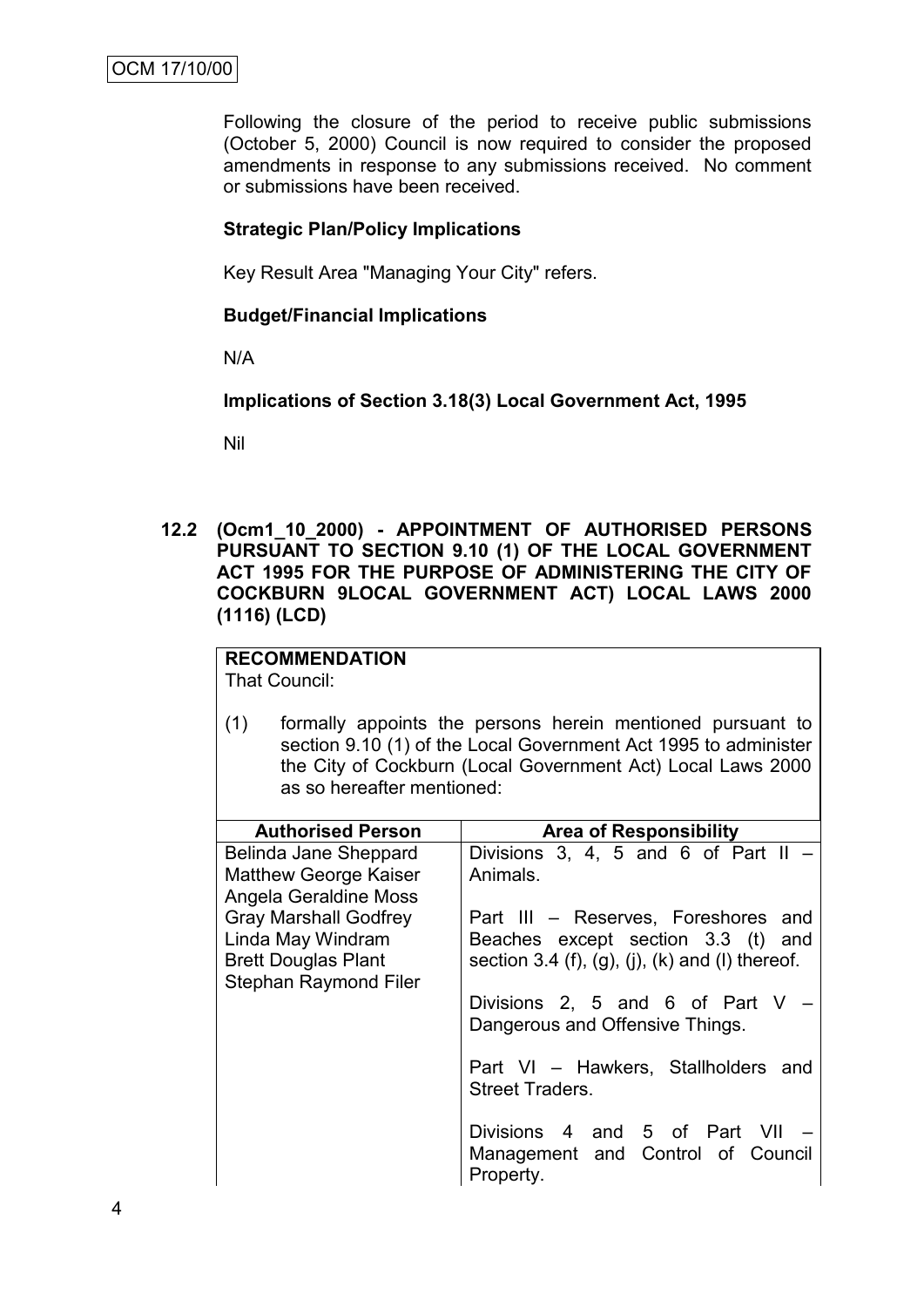Following the closure of the period to receive public submissions (October 5, 2000) Council is now required to consider the proposed amendments in response to any submissions received. No comment or submissions have been received.

## **Strategic Plan/Policy Implications**

Key Result Area "Managing Your City" refers.

## **Budget/Financial Implications**

N/A

**Implications of Section 3.18(3) Local Government Act, 1995**

Nil

**12.2 (Ocm1\_10\_2000) - APPOINTMENT OF AUTHORISED PERSONS PURSUANT TO SECTION 9.10 (1) OF THE LOCAL GOVERNMENT ACT 1995 FOR THE PURPOSE OF ADMINISTERING THE CITY OF COCKBURN 9LOCAL GOVERNMENT ACT) LOCAL LAWS 2000 (1116) (LCD)**

# **RECOMMENDATION**

That Council:

(1) formally appoints the persons herein mentioned pursuant to section 9.10 (1) of the Local Government Act 1995 to administer the City of Cockburn (Local Government Act) Local Laws 2000 as so hereafter mentioned:

| <b>Authorised Person</b>                                                                                        | <b>Area of Responsibility</b>                                                                                                |
|-----------------------------------------------------------------------------------------------------------------|------------------------------------------------------------------------------------------------------------------------------|
| Belinda Jane Sheppard<br><b>Matthew George Kaiser</b><br>Angela Geraldine Moss                                  | Divisions 3, 4, 5 and 6 of Part II $-$<br>Animals.                                                                           |
| <b>Gray Marshall Godfrey</b><br>Linda May Windram<br><b>Brett Douglas Plant</b><br><b>Stephan Raymond Filer</b> | Part III - Reserves, Foreshores and<br>Beaches except section 3.3 (t) and<br>section 3.4 (f), (g), (j), (k) and (l) thereof. |
|                                                                                                                 | Divisions 2, 5 and 6 of Part V<br>Dangerous and Offensive Things.                                                            |
|                                                                                                                 | Part VI - Hawkers, Stallholders and<br><b>Street Traders.</b>                                                                |
|                                                                                                                 | Divisions 4 and 5 of Part VII<br>Management and Control of Council<br>Property.                                              |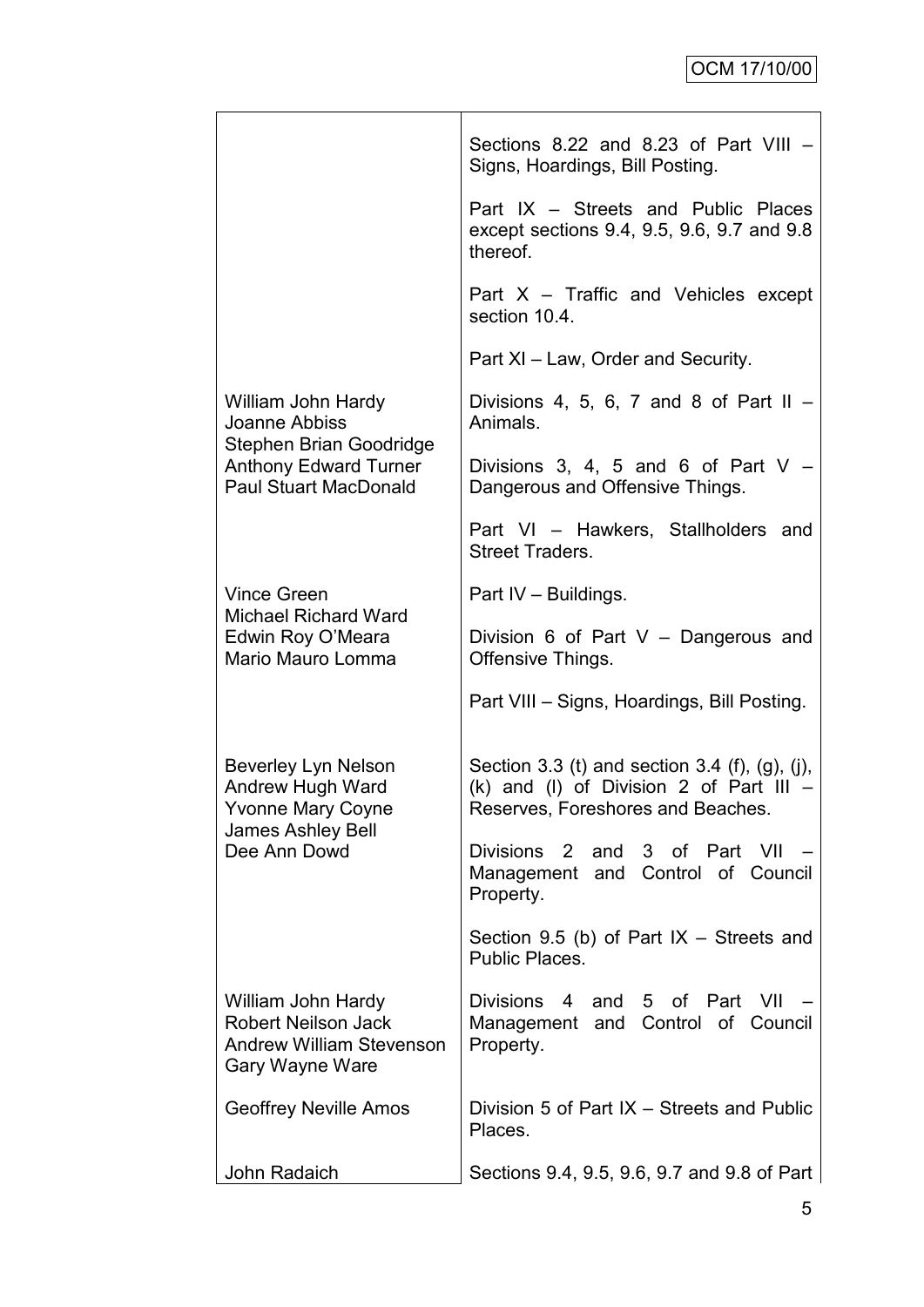|                                                                                                        | Sections 8.22 and 8.23 of Part VIII -<br>Signs, Hoardings, Bill Posting.                                                         |  |  |  |
|--------------------------------------------------------------------------------------------------------|----------------------------------------------------------------------------------------------------------------------------------|--|--|--|
|                                                                                                        | Part IX – Streets and Public Places<br>except sections 9.4, 9.5, 9.6, 9.7 and 9.8<br>thereof.                                    |  |  |  |
|                                                                                                        | Part $X$ – Traffic and Vehicles except<br>section 10.4.                                                                          |  |  |  |
|                                                                                                        | Part XI - Law, Order and Security.                                                                                               |  |  |  |
| William John Hardy<br>Joanne Abbiss<br>Stephen Brian Goodridge                                         | Divisions 4, 5, 6, 7 and 8 of Part II $-$<br>Animals.                                                                            |  |  |  |
| <b>Anthony Edward Turner</b><br><b>Paul Stuart MacDonald</b>                                           | Divisions 3, 4, 5 and 6 of Part $V -$<br>Dangerous and Offensive Things.                                                         |  |  |  |
|                                                                                                        | Part VI - Hawkers, Stallholders and<br><b>Street Traders.</b>                                                                    |  |  |  |
| <b>Vince Green</b>                                                                                     | Part IV - Buildings.                                                                                                             |  |  |  |
| <b>Michael Richard Ward</b><br>Edwin Roy O'Meara<br>Mario Mauro Lomma                                  | Division 6 of Part $V -$ Dangerous and<br>Offensive Things.                                                                      |  |  |  |
|                                                                                                        | Part VIII - Signs, Hoardings, Bill Posting.                                                                                      |  |  |  |
| <b>Beverley Lyn Nelson</b><br>Andrew Hugh Ward<br>Yvonne Mary Coyne<br><b>James Ashley Bell</b>        | Section 3.3 (t) and section 3.4 (f), (g), (j),<br>(k) and (l) of Division 2 of Part III $-$<br>Reserves, Foreshores and Beaches. |  |  |  |
| Dee Ann Dowd                                                                                           | and 3 of Part<br>Divisions 2<br>– VII<br>Management and Control of Council<br>Property.                                          |  |  |  |
|                                                                                                        | Section 9.5 (b) of Part $IX$ – Streets and<br>Public Places.                                                                     |  |  |  |
| William John Hardy<br><b>Robert Neilson Jack</b><br><b>Andrew William Stevenson</b><br>Gary Wayne Ware | Divisions 4<br>and 5 of<br>Part<br>- VII<br>Management and Control of Council<br>Property.                                       |  |  |  |
| <b>Geoffrey Neville Amos</b>                                                                           | Division 5 of Part IX - Streets and Public<br>Places.                                                                            |  |  |  |
| John Radaich                                                                                           | Sections 9.4, 9.5, 9.6, 9.7 and 9.8 of Part                                                                                      |  |  |  |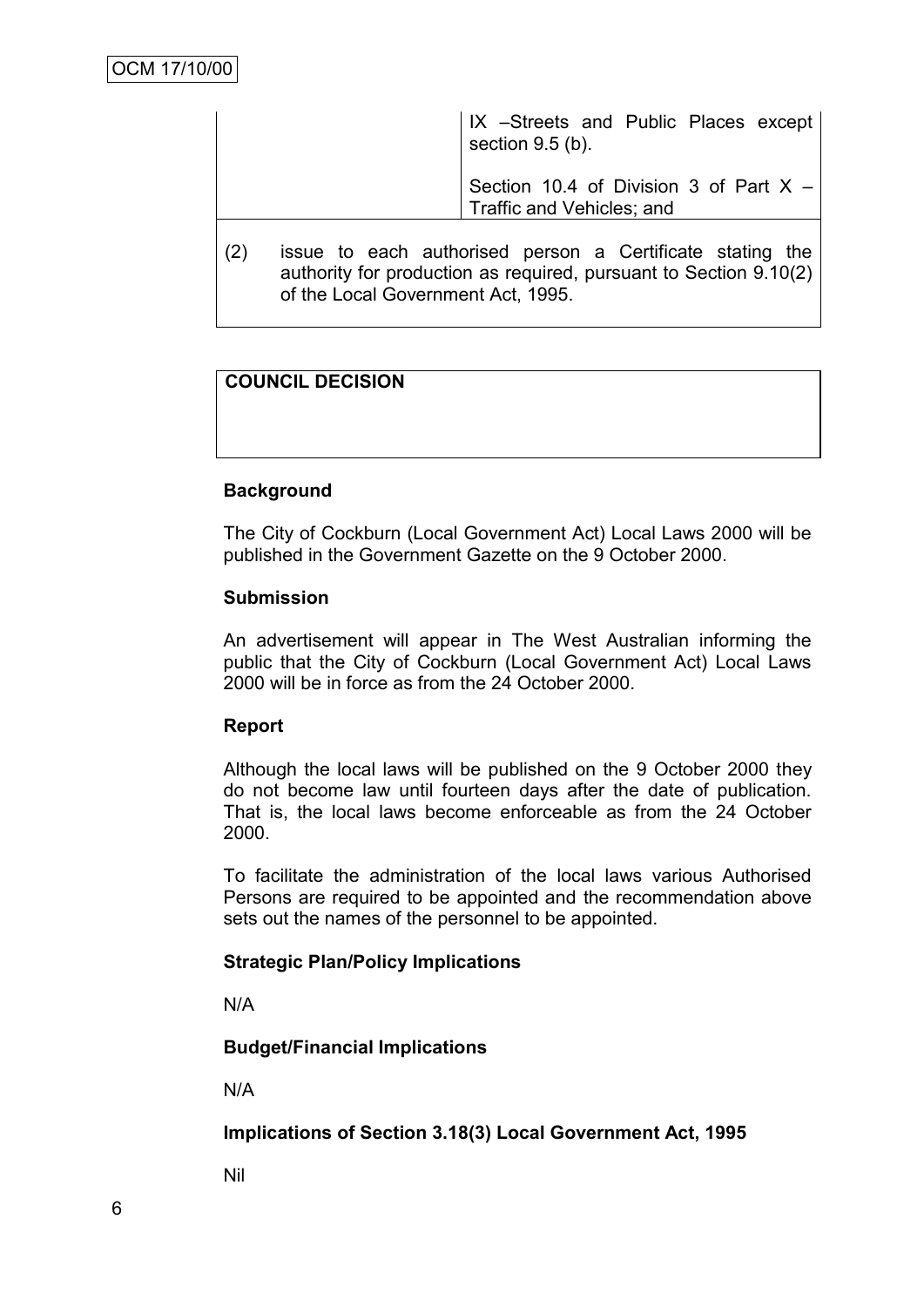IX –Streets and Public Places except section 9.5 (b).

Section 10.4 of Division 3 of Part X – Traffic and Vehicles; and

(2) issue to each authorised person a Certificate stating the authority for production as required, pursuant to Section 9.10(2) of the Local Government Act, 1995.

# **COUNCIL DECISION**

# **Background**

The City of Cockburn (Local Government Act) Local Laws 2000 will be published in the Government Gazette on the 9 October 2000.

#### **Submission**

An advertisement will appear in The West Australian informing the public that the City of Cockburn (Local Government Act) Local Laws 2000 will be in force as from the 24 October 2000.

#### **Report**

Although the local laws will be published on the 9 October 2000 they do not become law until fourteen days after the date of publication. That is, the local laws become enforceable as from the 24 October 2000.

To facilitate the administration of the local laws various Authorised Persons are required to be appointed and the recommendation above sets out the names of the personnel to be appointed.

#### **Strategic Plan/Policy Implications**

N/A

#### **Budget/Financial Implications**

N/A

**Implications of Section 3.18(3) Local Government Act, 1995**

Nil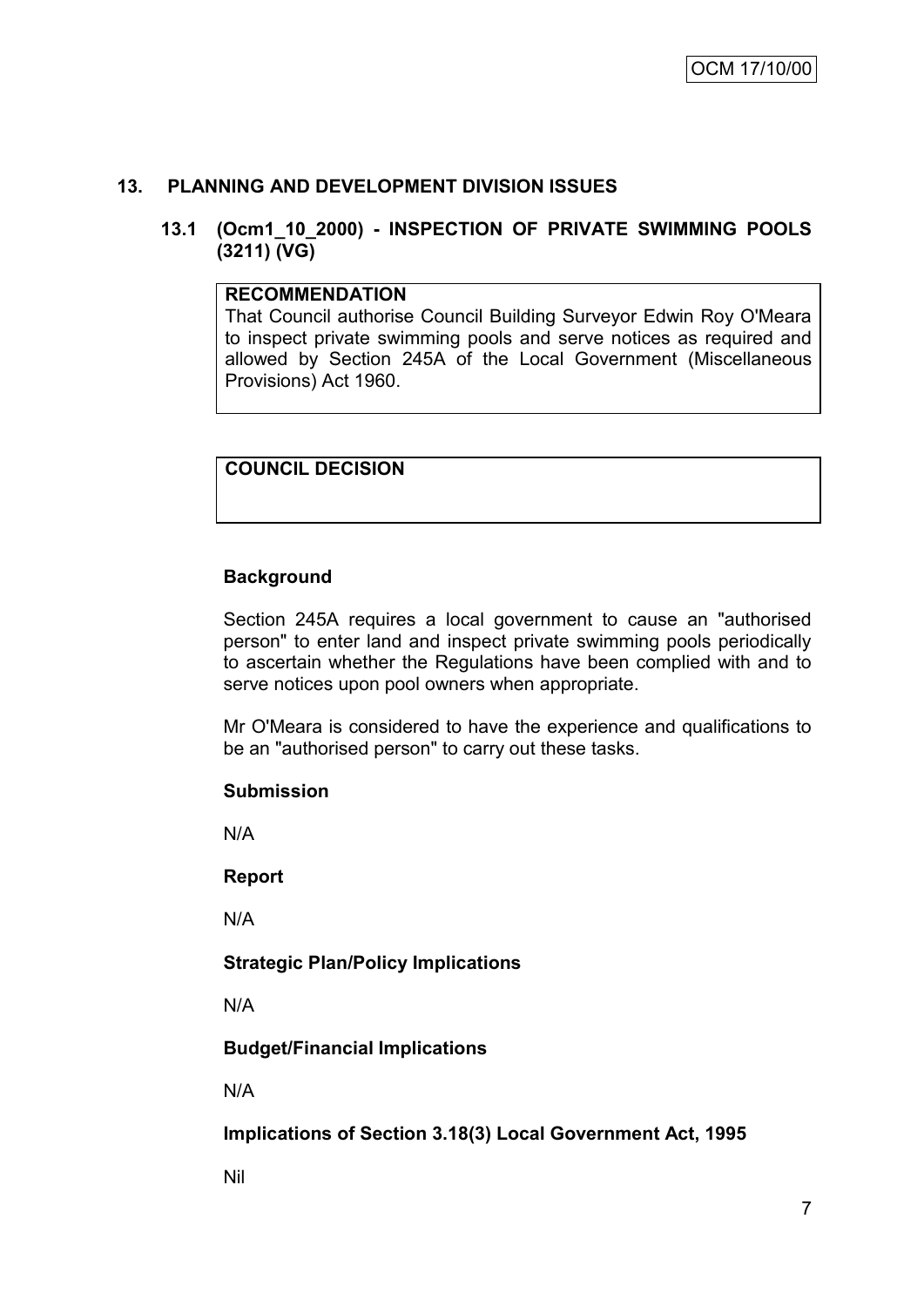# **13. PLANNING AND DEVELOPMENT DIVISION ISSUES**

#### **13.1 (Ocm1\_10\_2000) - INSPECTION OF PRIVATE SWIMMING POOLS (3211) (VG)**

#### **RECOMMENDATION**

That Council authorise Council Building Surveyor Edwin Roy O'Meara to inspect private swimming pools and serve notices as required and allowed by Section 245A of the Local Government (Miscellaneous Provisions) Act 1960.

# **COUNCIL DECISION**

# **Background**

Section 245A requires a local government to cause an "authorised person" to enter land and inspect private swimming pools periodically to ascertain whether the Regulations have been complied with and to serve notices upon pool owners when appropriate.

Mr O'Meara is considered to have the experience and qualifications to be an "authorised person" to carry out these tasks.

#### **Submission**

N/A

**Report**

N/A

**Strategic Plan/Policy Implications**

N/A

**Budget/Financial Implications**

N/A

**Implications of Section 3.18(3) Local Government Act, 1995**

Nil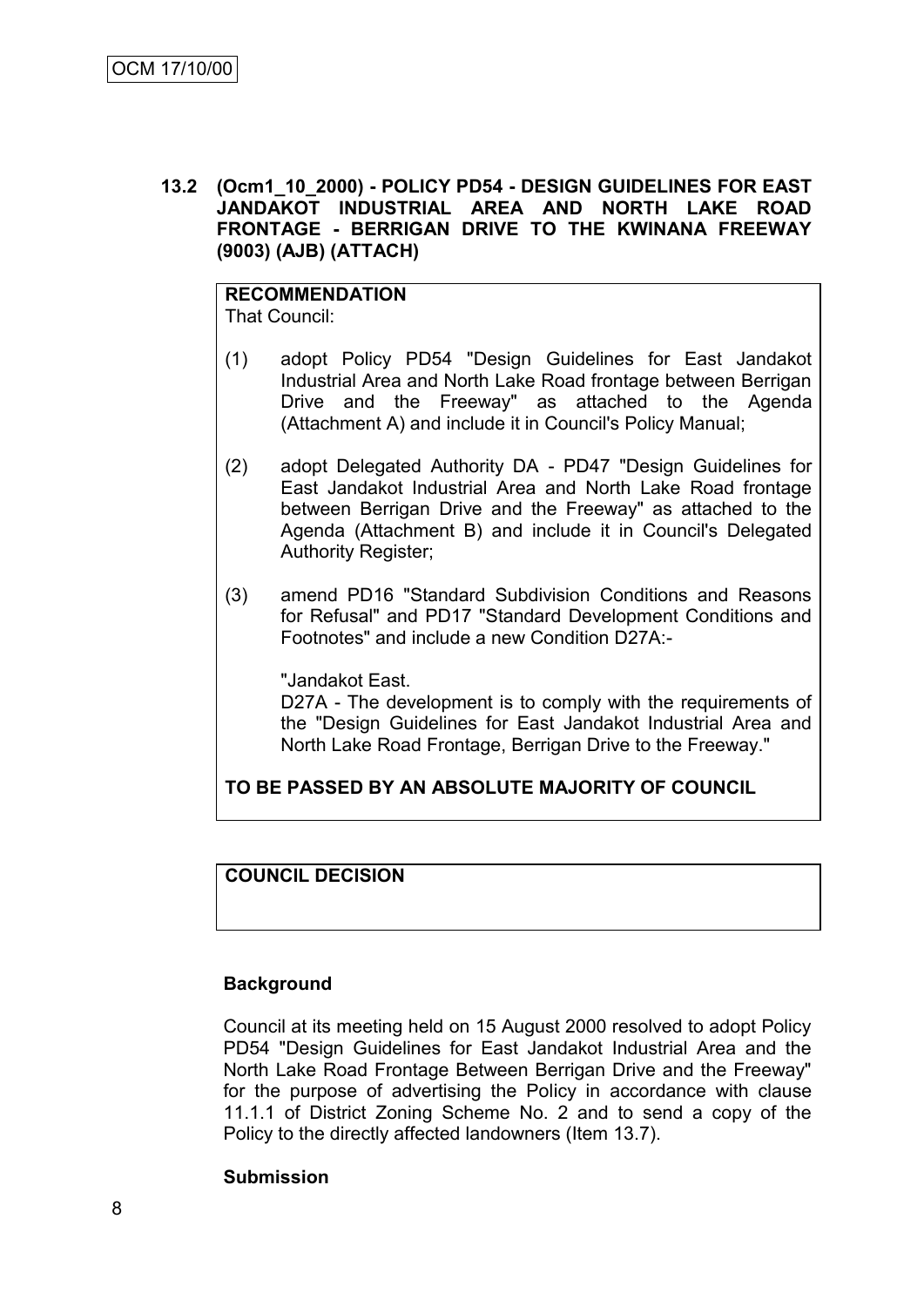**13.2 (Ocm1\_10\_2000) - POLICY PD54 - DESIGN GUIDELINES FOR EAST JANDAKOT INDUSTRIAL AREA AND NORTH LAKE ROAD FRONTAGE - BERRIGAN DRIVE TO THE KWINANA FREEWAY (9003) (AJB) (ATTACH)**

# **RECOMMENDATION**

That Council:

- (1) adopt Policy PD54 "Design Guidelines for East Jandakot Industrial Area and North Lake Road frontage between Berrigan Drive and the Freeway" as attached to the Agenda (Attachment A) and include it in Council's Policy Manual;
- (2) adopt Delegated Authority DA PD47 "Design Guidelines for East Jandakot Industrial Area and North Lake Road frontage between Berrigan Drive and the Freeway" as attached to the Agenda (Attachment B) and include it in Council's Delegated Authority Register;
- (3) amend PD16 "Standard Subdivision Conditions and Reasons for Refusal" and PD17 "Standard Development Conditions and Footnotes" and include a new Condition D27A:-

"Jandakot East.

D27A - The development is to comply with the requirements of the "Design Guidelines for East Jandakot Industrial Area and North Lake Road Frontage, Berrigan Drive to the Freeway."

# **TO BE PASSED BY AN ABSOLUTE MAJORITY OF COUNCIL**

# **COUNCIL DECISION**

#### **Background**

Council at its meeting held on 15 August 2000 resolved to adopt Policy PD54 "Design Guidelines for East Jandakot Industrial Area and the North Lake Road Frontage Between Berrigan Drive and the Freeway" for the purpose of advertising the Policy in accordance with clause 11.1.1 of District Zoning Scheme No. 2 and to send a copy of the Policy to the directly affected landowners (Item 13.7).

#### **Submission**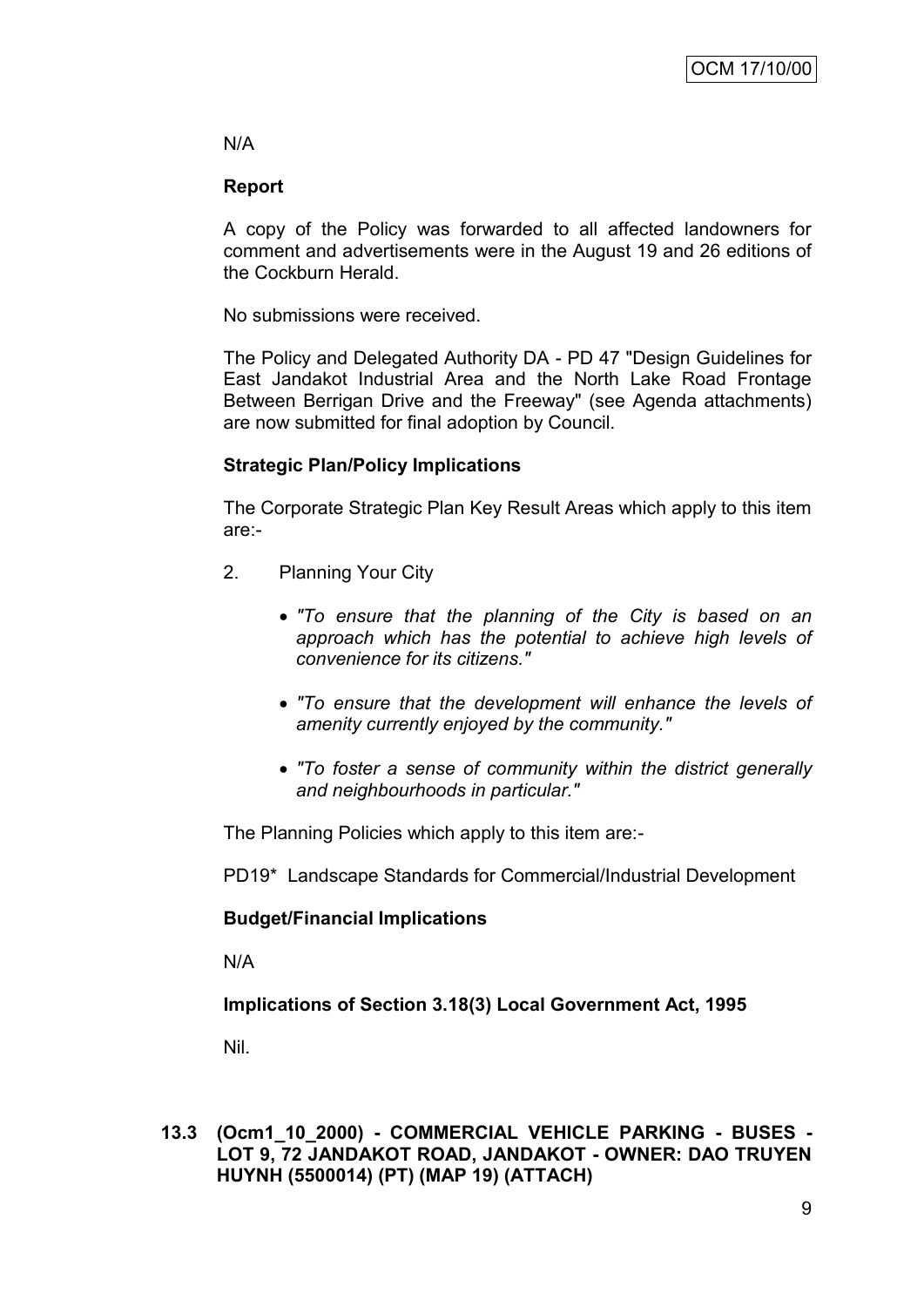# N/A

# **Report**

A copy of the Policy was forwarded to all affected landowners for comment and advertisements were in the August 19 and 26 editions of the Cockburn Herald.

No submissions were received.

The Policy and Delegated Authority DA - PD 47 "Design Guidelines for East Jandakot Industrial Area and the North Lake Road Frontage Between Berrigan Drive and the Freeway" (see Agenda attachments) are now submitted for final adoption by Council.

# **Strategic Plan/Policy Implications**

The Corporate Strategic Plan Key Result Areas which apply to this item are:-

- 2. Planning Your City
	- *"To ensure that the planning of the City is based on an approach which has the potential to achieve high levels of convenience for its citizens."*
	- *"To ensure that the development will enhance the levels of amenity currently enjoyed by the community."*
	- *"To foster a sense of community within the district generally and neighbourhoods in particular."*

The Planning Policies which apply to this item are:-

PD19\* Landscape Standards for Commercial/Industrial Development

# **Budget/Financial Implications**

N/A

**Implications of Section 3.18(3) Local Government Act, 1995**

Nil.

**13.3 (Ocm1\_10\_2000) - COMMERCIAL VEHICLE PARKING - BUSES - LOT 9, 72 JANDAKOT ROAD, JANDAKOT - OWNER: DAO TRUYEN HUYNH (5500014) (PT) (MAP 19) (ATTACH)**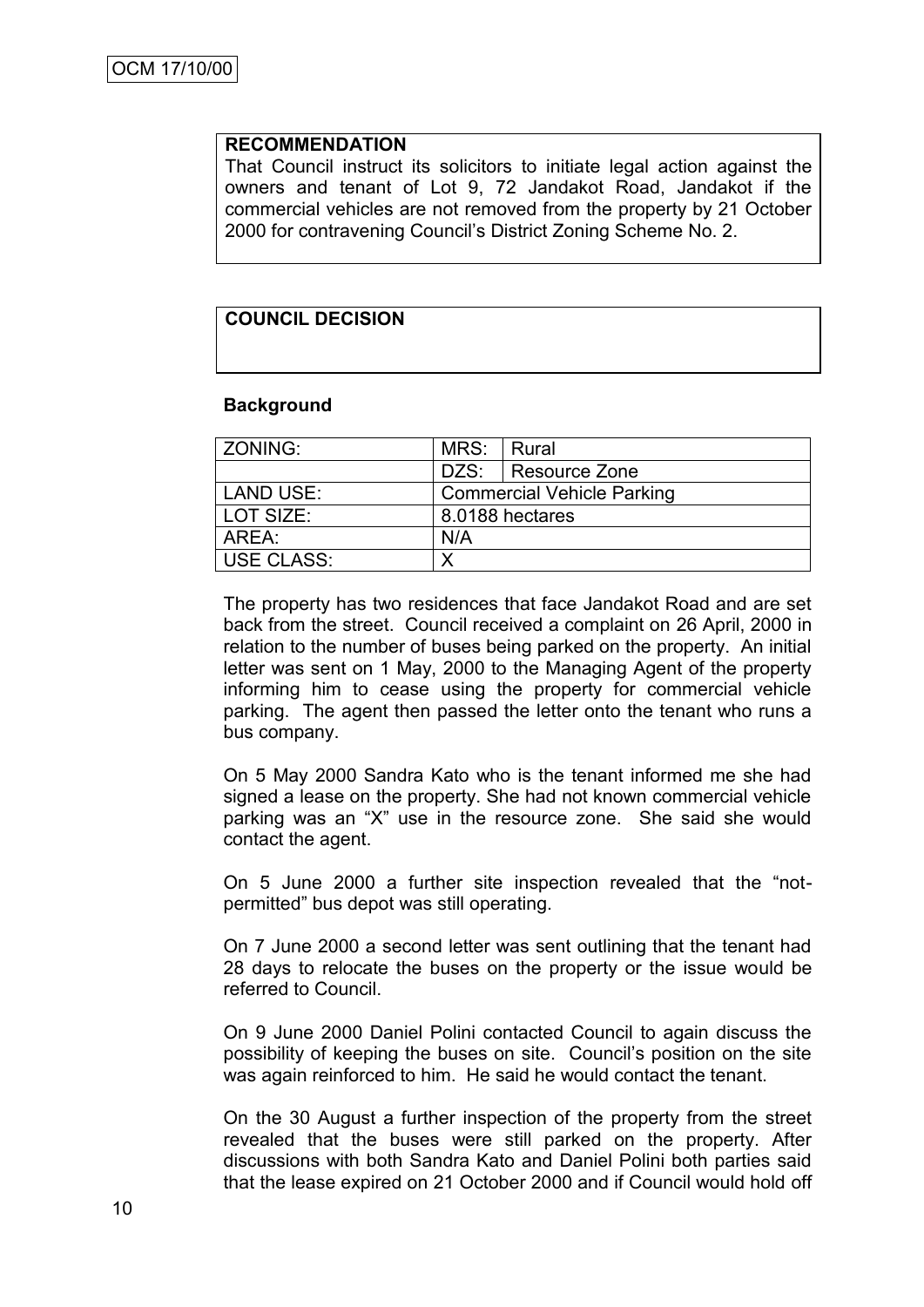#### **RECOMMENDATION**

That Council instruct its solicitors to initiate legal action against the owners and tenant of Lot 9, 72 Jandakot Road, Jandakot if the commercial vehicles are not removed from the property by 21 October 2000 for contravening Council"s District Zoning Scheme No. 2.

# **COUNCIL DECISION**

#### **Background**

| ZONING:           | MRS:                              | Rural              |
|-------------------|-----------------------------------|--------------------|
|                   |                                   | DZS: Resource Zone |
| LAND USE:         | <b>Commercial Vehicle Parking</b> |                    |
| <b>LOT SIZE:</b>  |                                   | 8.0188 hectares    |
| AREA:             | N/A                               |                    |
| <b>USE CLASS:</b> |                                   |                    |

The property has two residences that face Jandakot Road and are set back from the street. Council received a complaint on 26 April, 2000 in relation to the number of buses being parked on the property. An initial letter was sent on 1 May, 2000 to the Managing Agent of the property informing him to cease using the property for commercial vehicle parking. The agent then passed the letter onto the tenant who runs a bus company.

On 5 May 2000 Sandra Kato who is the tenant informed me she had signed a lease on the property. She had not known commercial vehicle parking was an "X" use in the resource zone. She said she would contact the agent.

On 5 June 2000 a further site inspection revealed that the "notpermitted" bus depot was still operating.

On 7 June 2000 a second letter was sent outlining that the tenant had 28 days to relocate the buses on the property or the issue would be referred to Council.

On 9 June 2000 Daniel Polini contacted Council to again discuss the possibility of keeping the buses on site. Council"s position on the site was again reinforced to him. He said he would contact the tenant.

On the 30 August a further inspection of the property from the street revealed that the buses were still parked on the property. After discussions with both Sandra Kato and Daniel Polini both parties said that the lease expired on 21 October 2000 and if Council would hold off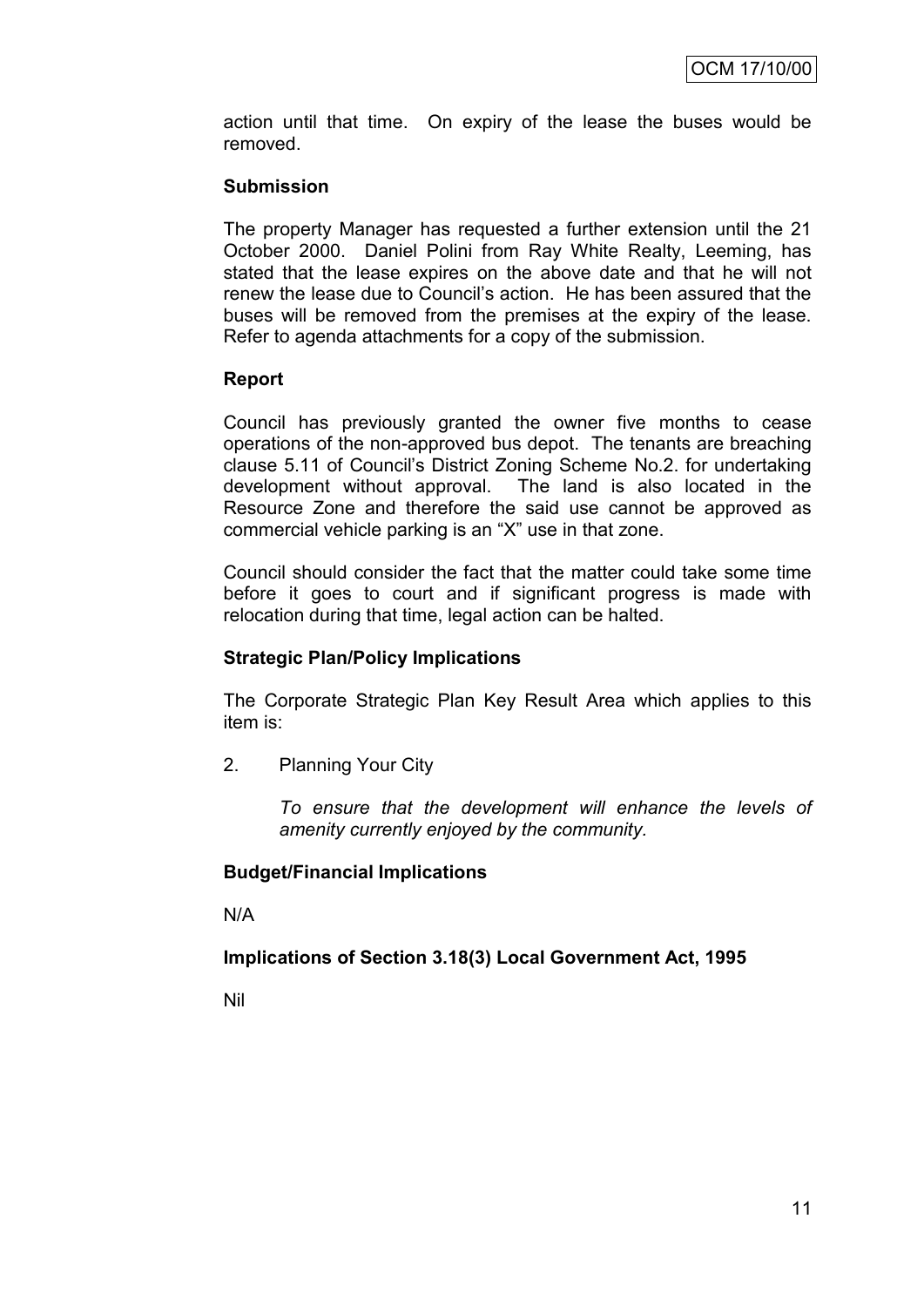action until that time. On expiry of the lease the buses would be removed.

#### **Submission**

The property Manager has requested a further extension until the 21 October 2000. Daniel Polini from Ray White Realty, Leeming, has stated that the lease expires on the above date and that he will not renew the lease due to Council"s action. He has been assured that the buses will be removed from the premises at the expiry of the lease. Refer to agenda attachments for a copy of the submission.

# **Report**

Council has previously granted the owner five months to cease operations of the non-approved bus depot. The tenants are breaching clause 5.11 of Council"s District Zoning Scheme No.2. for undertaking development without approval. The land is also located in the Resource Zone and therefore the said use cannot be approved as commercial vehicle parking is an "X" use in that zone.

Council should consider the fact that the matter could take some time before it goes to court and if significant progress is made with relocation during that time, legal action can be halted.

# **Strategic Plan/Policy Implications**

The Corporate Strategic Plan Key Result Area which applies to this item is:

2. Planning Your City

*To ensure that the development will enhance the levels of amenity currently enjoyed by the community.*

#### **Budget/Financial Implications**

N/A

# **Implications of Section 3.18(3) Local Government Act, 1995**

Nil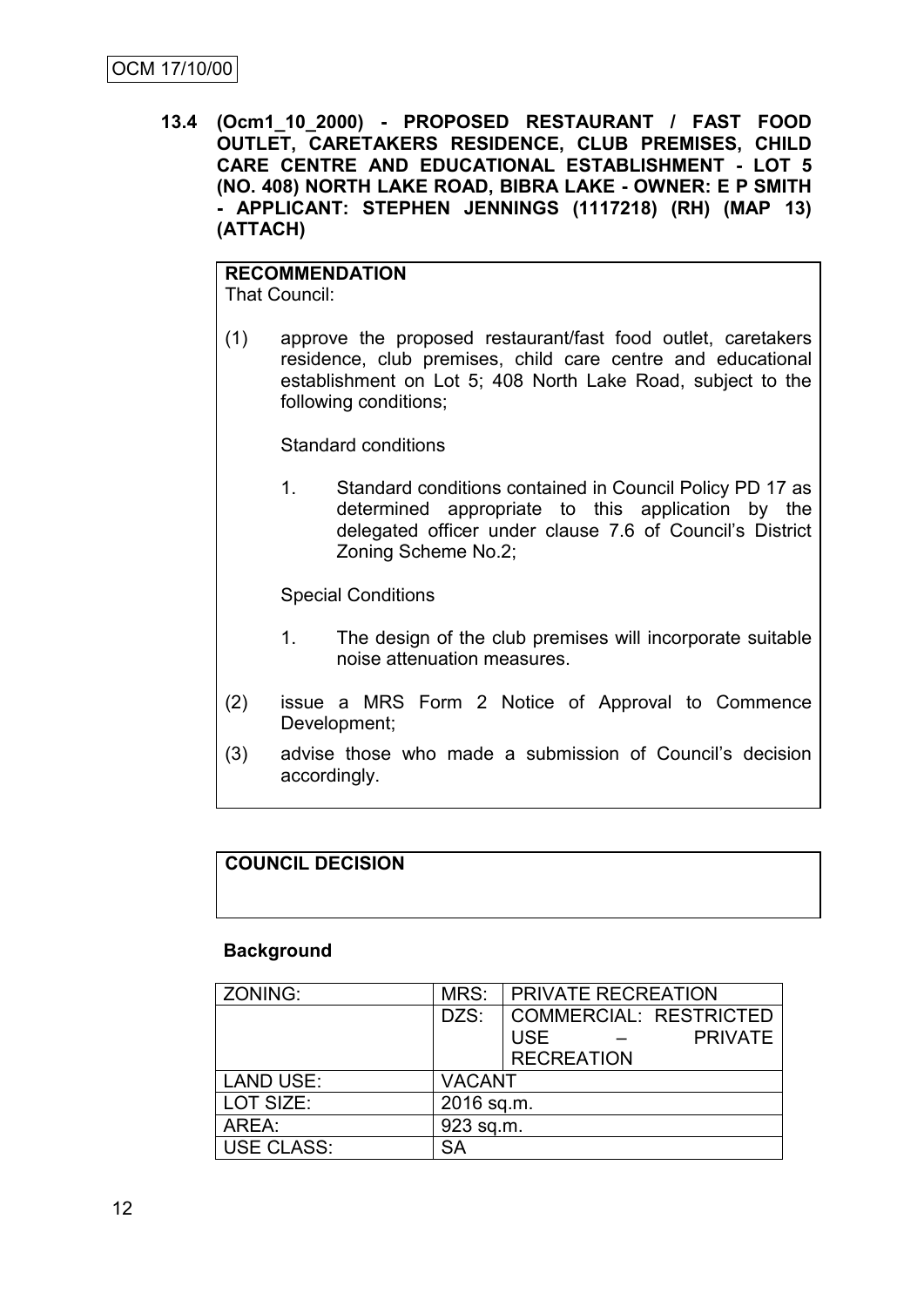**13.4 (Ocm1\_10\_2000) - PROPOSED RESTAURANT / FAST FOOD OUTLET, CARETAKERS RESIDENCE, CLUB PREMISES, CHILD CARE CENTRE AND EDUCATIONAL ESTABLISHMENT - LOT 5 (NO. 408) NORTH LAKE ROAD, BIBRA LAKE - OWNER: E P SMITH - APPLICANT: STEPHEN JENNINGS (1117218) (RH) (MAP 13) (ATTACH)**

#### **RECOMMENDATION** That Council:

(1) approve the proposed restaurant/fast food outlet, caretakers residence, club premises, child care centre and educational establishment on Lot 5; 408 North Lake Road, subject to the following conditions;

Standard conditions

1. Standard conditions contained in Council Policy PD 17 as determined appropriate to this application by the delegated officer under clause 7.6 of Council"s District Zoning Scheme No.2;

Special Conditions

- 1. The design of the club premises will incorporate suitable noise attenuation measures.
- (2) issue a MRS Form 2 Notice of Approval to Commence Development;
- (3) advise those who made a submission of Council"s decision accordingly.

# **COUNCIL DECISION**

#### **Background**

| ZONING:           | MRS:          | <b>FRIVATE RECREATION</b>    |  |
|-------------------|---------------|------------------------------|--|
|                   | DZS:          | COMMERCIAL: RESTRICTED       |  |
|                   |               | <b>USE</b><br><b>PRIVATE</b> |  |
|                   |               | <b>RECREATION</b>            |  |
| <b>LAND USE:</b>  | <b>VACANT</b> |                              |  |
| LOT SIZE:         | 2016 sq.m.    |                              |  |
| AREA:             | 923 sq.m.     |                              |  |
| <b>USE CLASS:</b> | SА            |                              |  |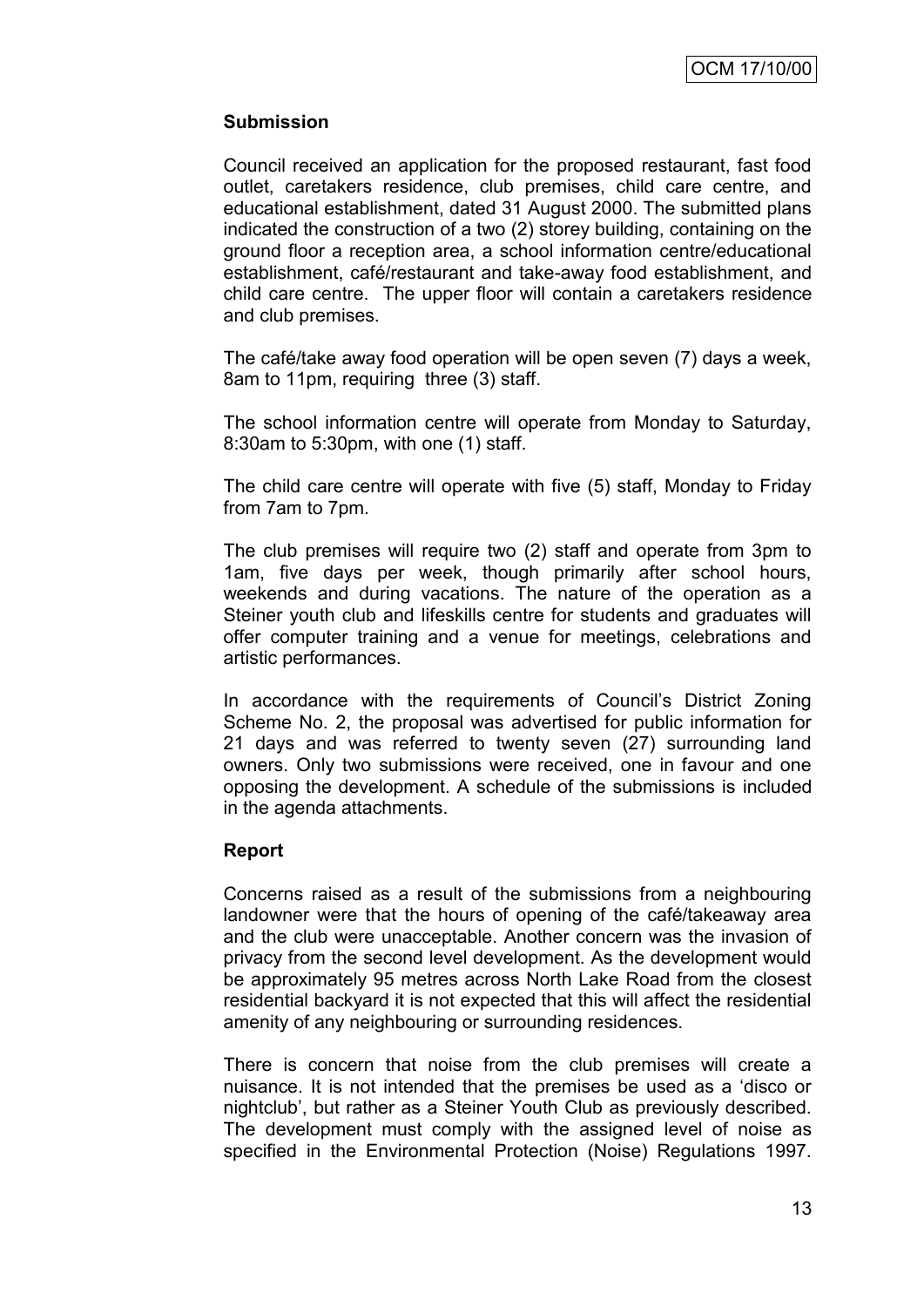# **Submission**

Council received an application for the proposed restaurant, fast food outlet, caretakers residence, club premises, child care centre, and educational establishment, dated 31 August 2000. The submitted plans indicated the construction of a two (2) storey building, containing on the ground floor a reception area, a school information centre/educational establishment, café/restaurant and take-away food establishment, and child care centre. The upper floor will contain a caretakers residence and club premises.

The café/take away food operation will be open seven (7) days a week, 8am to 11pm, requiring three (3) staff.

The school information centre will operate from Monday to Saturday, 8:30am to 5:30pm, with one (1) staff.

The child care centre will operate with five (5) staff, Monday to Friday from 7am to 7pm.

The club premises will require two (2) staff and operate from 3pm to 1am, five days per week, though primarily after school hours, weekends and during vacations. The nature of the operation as a Steiner youth club and lifeskills centre for students and graduates will offer computer training and a venue for meetings, celebrations and artistic performances.

In accordance with the requirements of Council's District Zoning Scheme No. 2, the proposal was advertised for public information for 21 days and was referred to twenty seven (27) surrounding land owners. Only two submissions were received, one in favour and one opposing the development. A schedule of the submissions is included in the agenda attachments.

#### **Report**

Concerns raised as a result of the submissions from a neighbouring landowner were that the hours of opening of the café/takeaway area and the club were unacceptable. Another concern was the invasion of privacy from the second level development. As the development would be approximately 95 metres across North Lake Road from the closest residential backyard it is not expected that this will affect the residential amenity of any neighbouring or surrounding residences.

There is concern that noise from the club premises will create a nuisance. It is not intended that the premises be used as a "disco or nightclub", but rather as a Steiner Youth Club as previously described. The development must comply with the assigned level of noise as specified in the Environmental Protection (Noise) Regulations 1997.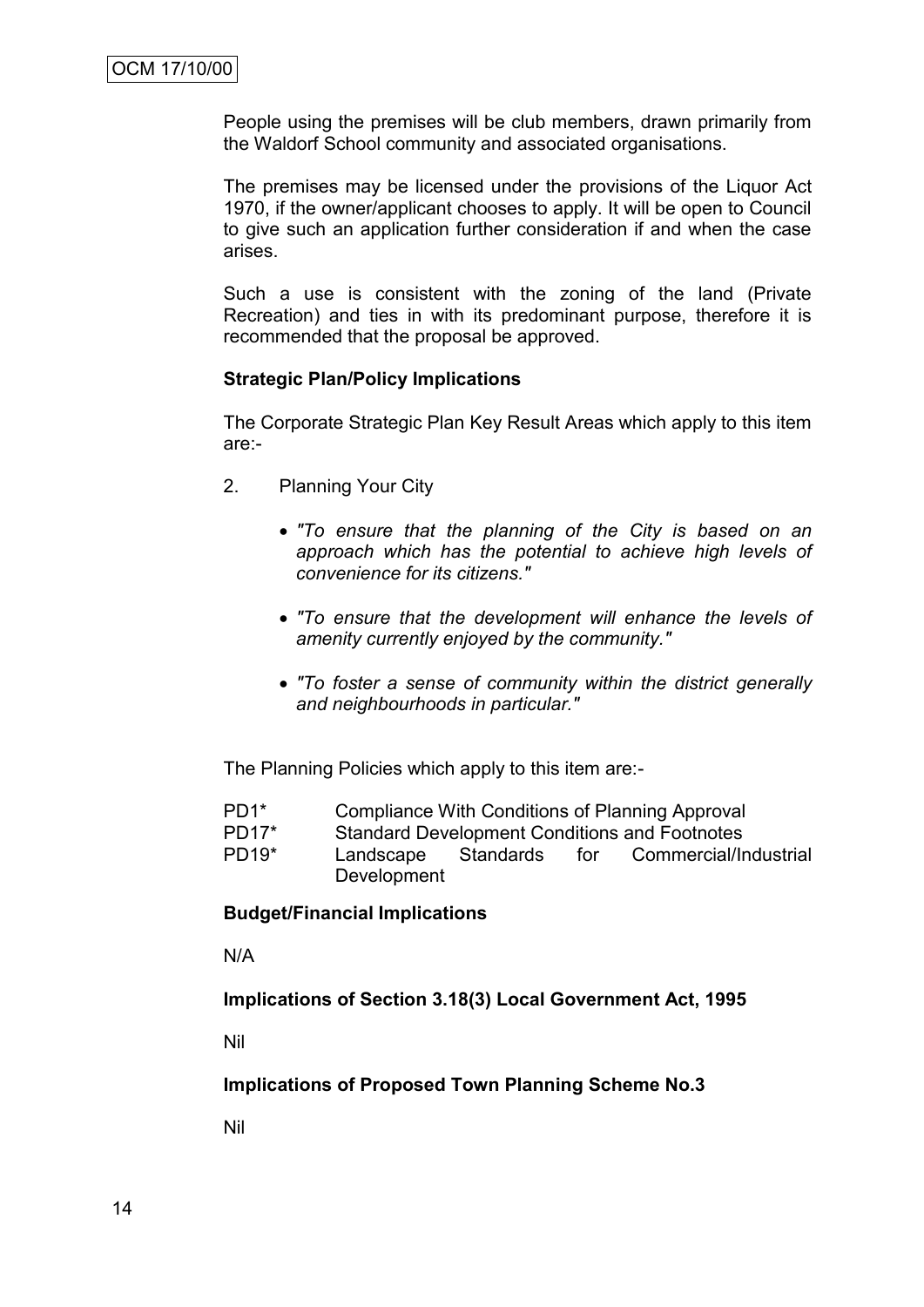People using the premises will be club members, drawn primarily from the Waldorf School community and associated organisations.

The premises may be licensed under the provisions of the Liquor Act 1970, if the owner/applicant chooses to apply. It will be open to Council to give such an application further consideration if and when the case arises.

Such a use is consistent with the zoning of the land (Private Recreation) and ties in with its predominant purpose, therefore it is recommended that the proposal be approved.

#### **Strategic Plan/Policy Implications**

The Corporate Strategic Plan Key Result Areas which apply to this item are:-

- 2. Planning Your City
	- *"To ensure that the planning of the City is based on an approach which has the potential to achieve high levels of convenience for its citizens."*
	- *"To ensure that the development will enhance the levels of amenity currently enjoyed by the community."*
	- *"To foster a sense of community within the district generally and neighbourhoods in particular."*

The Planning Policies which apply to this item are:-

- PD1\* Compliance With Conditions of Planning Approval
- PD17\* Standard Development Conditions and Footnotes
- PD19\* Landscape Standards for Commercial/Industrial Development

#### **Budget/Financial Implications**

N/A

**Implications of Section 3.18(3) Local Government Act, 1995**

Nil

#### **Implications of Proposed Town Planning Scheme No.3**

Nil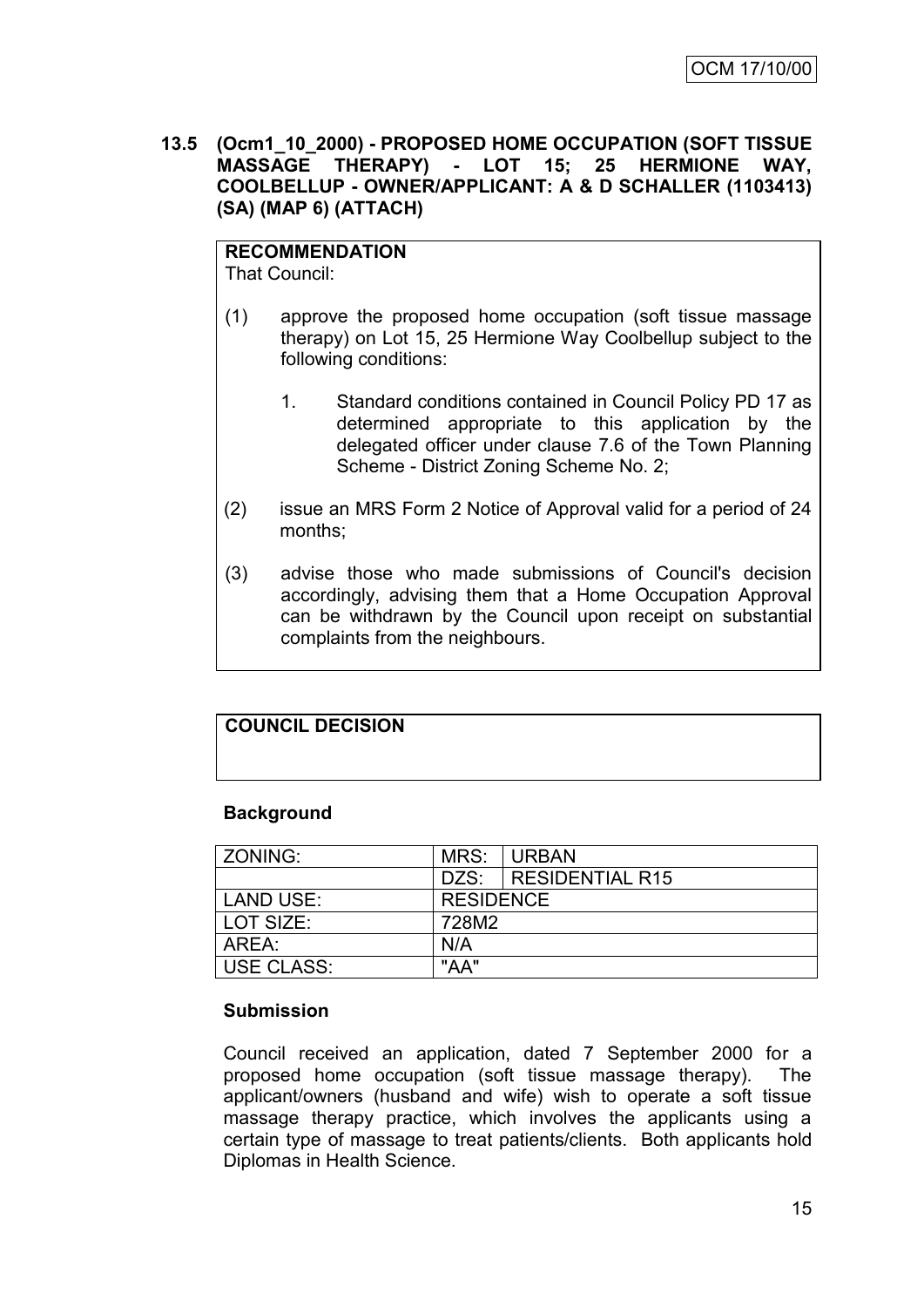**13.5 (Ocm1\_10\_2000) - PROPOSED HOME OCCUPATION (SOFT TISSUE MASSAGE THERAPY) - LOT 15; 25 HERMIONE WAY, COOLBELLUP - OWNER/APPLICANT: A & D SCHALLER (1103413) (SA) (MAP 6) (ATTACH)**

# **RECOMMENDATION**

That Council:

- (1) approve the proposed home occupation (soft tissue massage therapy) on Lot 15, 25 Hermione Way Coolbellup subject to the following conditions:
	- 1. Standard conditions contained in Council Policy PD 17 as determined appropriate to this application by the delegated officer under clause 7.6 of the Town Planning Scheme - District Zoning Scheme No. 2;
- (2) issue an MRS Form 2 Notice of Approval valid for a period of 24 months;
- (3) advise those who made submissions of Council's decision accordingly, advising them that a Home Occupation Approval can be withdrawn by the Council upon receipt on substantial complaints from the neighbours.

# **COUNCIL DECISION**

#### **Background**

| ZONING:           | MRS:             | <b>URBAN</b>         |  |
|-------------------|------------------|----------------------|--|
|                   |                  | DZS: RESIDENTIAL R15 |  |
| <b>LAND USE:</b>  | <b>RESIDENCE</b> |                      |  |
| LOT SIZE:         | 728M2            |                      |  |
| ARFA:             | N/A              |                      |  |
| <b>USE CLASS:</b> | "AA"             |                      |  |

#### **Submission**

Council received an application, dated 7 September 2000 for a proposed home occupation (soft tissue massage therapy). The applicant/owners (husband and wife) wish to operate a soft tissue massage therapy practice, which involves the applicants using a certain type of massage to treat patients/clients. Both applicants hold Diplomas in Health Science.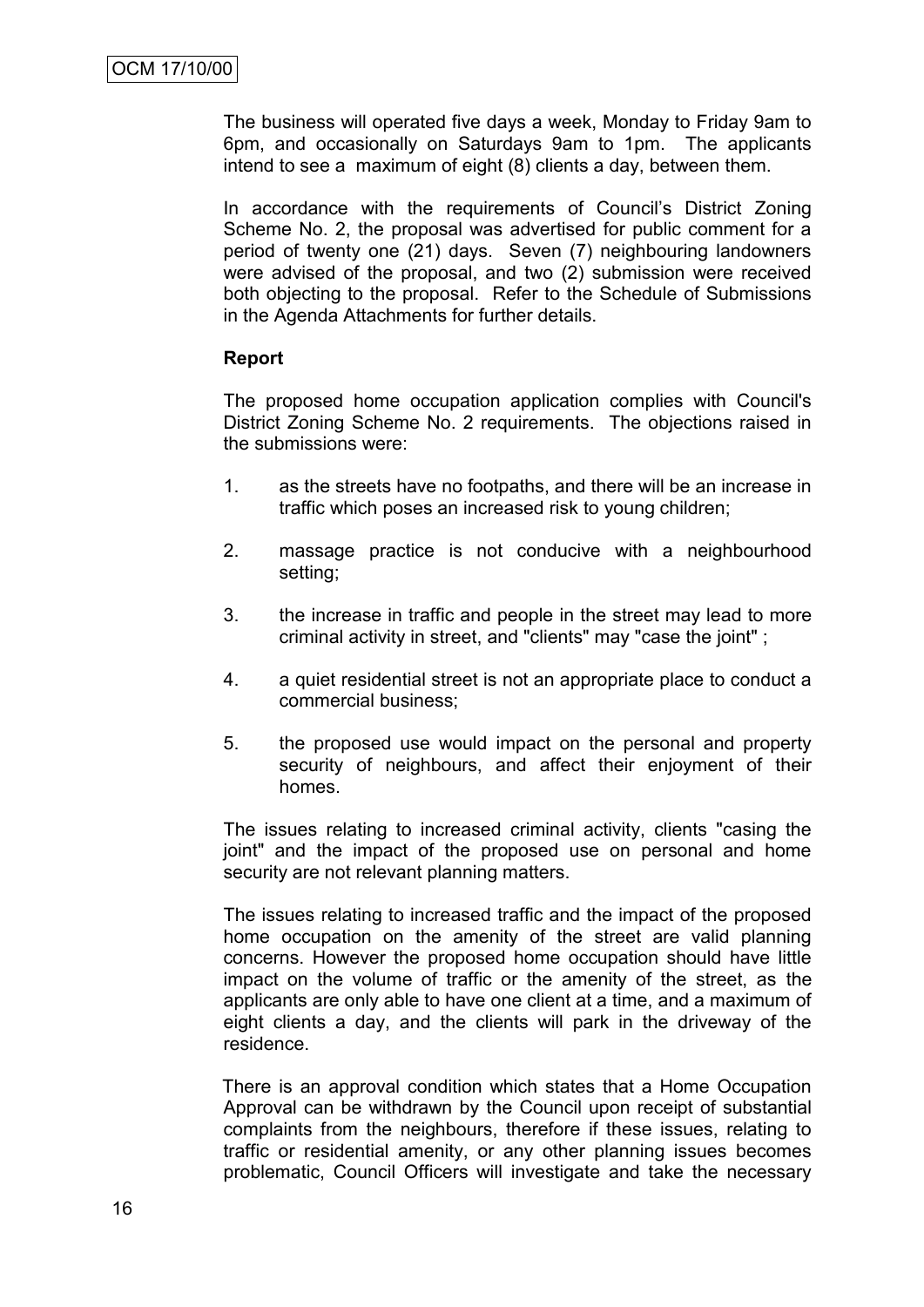The business will operated five days a week, Monday to Friday 9am to 6pm, and occasionally on Saturdays 9am to 1pm. The applicants intend to see a maximum of eight (8) clients a day, between them.

In accordance with the requirements of Council"s District Zoning Scheme No. 2, the proposal was advertised for public comment for a period of twenty one (21) days. Seven (7) neighbouring landowners were advised of the proposal, and two (2) submission were received both objecting to the proposal. Refer to the Schedule of Submissions in the Agenda Attachments for further details.

#### **Report**

The proposed home occupation application complies with Council's District Zoning Scheme No. 2 requirements. The objections raised in the submissions were:

- 1. as the streets have no footpaths, and there will be an increase in traffic which poses an increased risk to young children;
- 2. massage practice is not conducive with a neighbourhood setting;
- 3. the increase in traffic and people in the street may lead to more criminal activity in street, and "clients" may "case the joint" ;
- 4. a quiet residential street is not an appropriate place to conduct a commercial business;
- 5. the proposed use would impact on the personal and property security of neighbours, and affect their enjoyment of their homes.

The issues relating to increased criminal activity, clients "casing the joint" and the impact of the proposed use on personal and home security are not relevant planning matters.

The issues relating to increased traffic and the impact of the proposed home occupation on the amenity of the street are valid planning concerns. However the proposed home occupation should have little impact on the volume of traffic or the amenity of the street, as the applicants are only able to have one client at a time, and a maximum of eight clients a day, and the clients will park in the driveway of the residence.

There is an approval condition which states that a Home Occupation Approval can be withdrawn by the Council upon receipt of substantial complaints from the neighbours, therefore if these issues, relating to traffic or residential amenity, or any other planning issues becomes problematic, Council Officers will investigate and take the necessary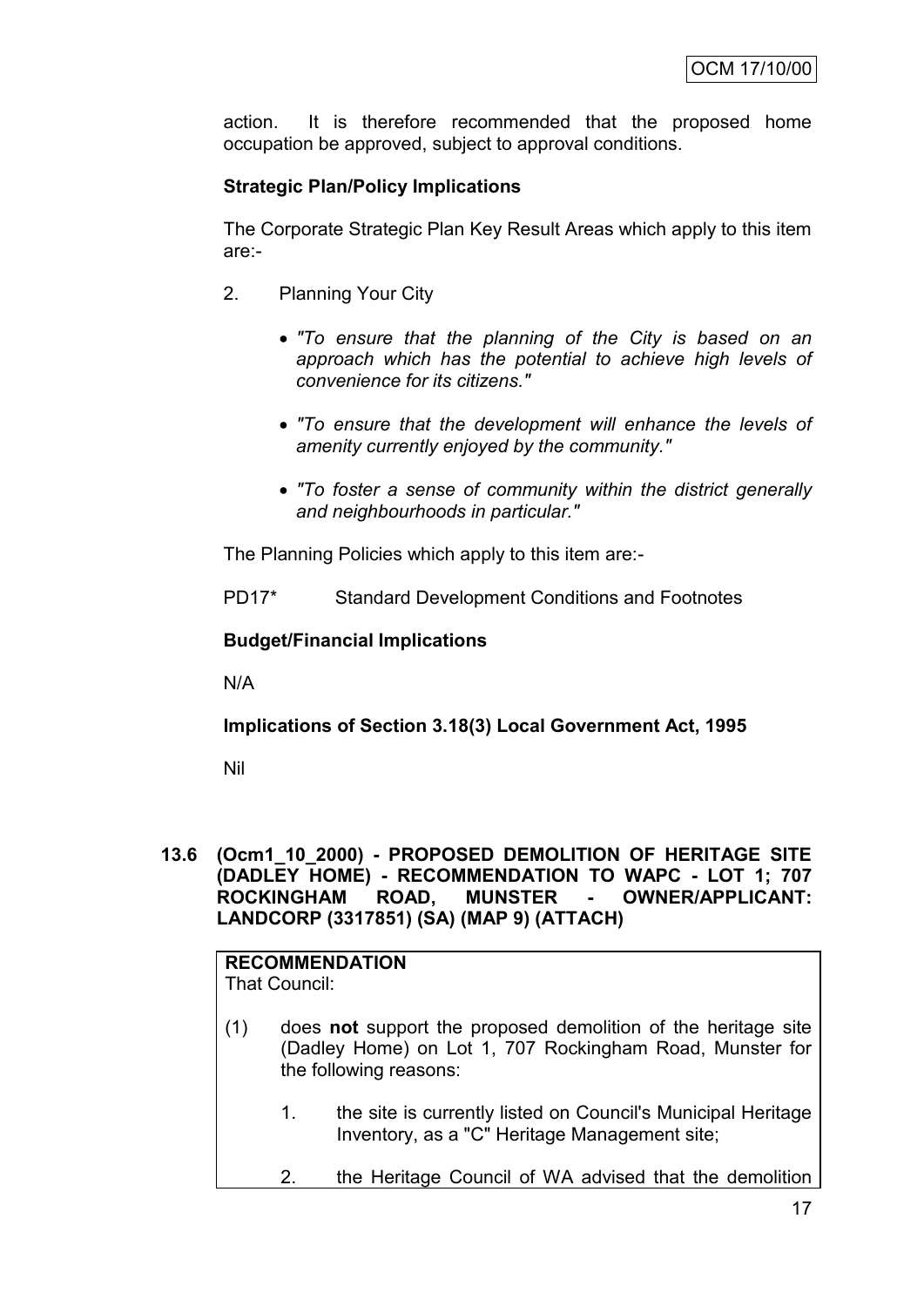action. It is therefore recommended that the proposed home occupation be approved, subject to approval conditions.

# **Strategic Plan/Policy Implications**

The Corporate Strategic Plan Key Result Areas which apply to this item are:-

- 2. Planning Your City
	- *"To ensure that the planning of the City is based on an approach which has the potential to achieve high levels of convenience for its citizens."*
	- *"To ensure that the development will enhance the levels of amenity currently enjoyed by the community."*
	- *"To foster a sense of community within the district generally and neighbourhoods in particular."*

The Planning Policies which apply to this item are:-

PD17\* Standard Development Conditions and Footnotes

#### **Budget/Financial Implications**

N/A

**Implications of Section 3.18(3) Local Government Act, 1995**

Nil

**13.6 (Ocm1\_10\_2000) - PROPOSED DEMOLITION OF HERITAGE SITE (DADLEY HOME) - RECOMMENDATION TO WAPC - LOT 1; 707 ROCKINGHAM ROAD, MUNSTER - OWNER/APPLICANT: LANDCORP (3317851) (SA) (MAP 9) (ATTACH)**

#### **RECOMMENDATION** That Council:

- (1) does **not** support the proposed demolition of the heritage site (Dadley Home) on Lot 1, 707 Rockingham Road, Munster for the following reasons:
	- 1. the site is currently listed on Council's Municipal Heritage Inventory, as a "C" Heritage Management site;
	- 2. the Heritage Council of WA advised that the demolition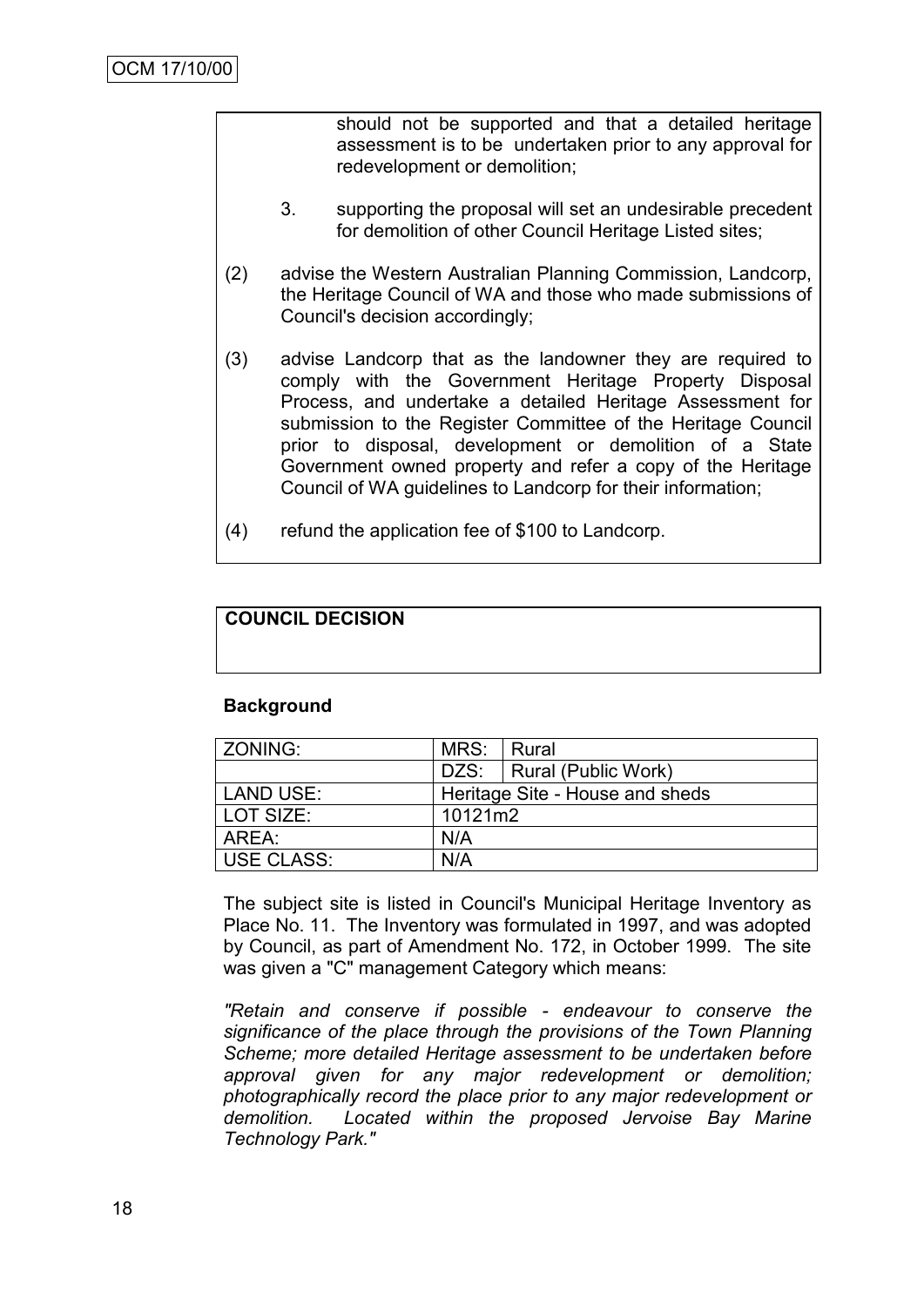should not be supported and that a detailed heritage assessment is to be undertaken prior to any approval for redevelopment or demolition;

- 3. supporting the proposal will set an undesirable precedent for demolition of other Council Heritage Listed sites;
- (2) advise the Western Australian Planning Commission, Landcorp, the Heritage Council of WA and those who made submissions of Council's decision accordingly;
- (3) advise Landcorp that as the landowner they are required to comply with the Government Heritage Property Disposal Process, and undertake a detailed Heritage Assessment for submission to the Register Committee of the Heritage Council prior to disposal, development or demolition of a State Government owned property and refer a copy of the Heritage Council of WA guidelines to Landcorp for their information;
- (4) refund the application fee of \$100 to Landcorp.

# **COUNCIL DECISION**

#### **Background**

| l ZONING:   | MRS:    | Rural                           |
|-------------|---------|---------------------------------|
|             |         | DZS:   Rural (Public Work)      |
| LAND USE:   |         | Heritage Site - House and sheds |
| l LOT SIZE: | 10121m2 |                                 |
| AREA:       | N/A     |                                 |
| USE CLASS:  | N/A     |                                 |

The subject site is listed in Council's Municipal Heritage Inventory as Place No. 11. The Inventory was formulated in 1997, and was adopted by Council, as part of Amendment No. 172, in October 1999. The site was given a "C" management Category which means:

*"Retain and conserve if possible - endeavour to conserve the significance of the place through the provisions of the Town Planning Scheme; more detailed Heritage assessment to be undertaken before approval given for any major redevelopment or demolition; photographically record the place prior to any major redevelopment or demolition. Located within the proposed Jervoise Bay Marine Technology Park."*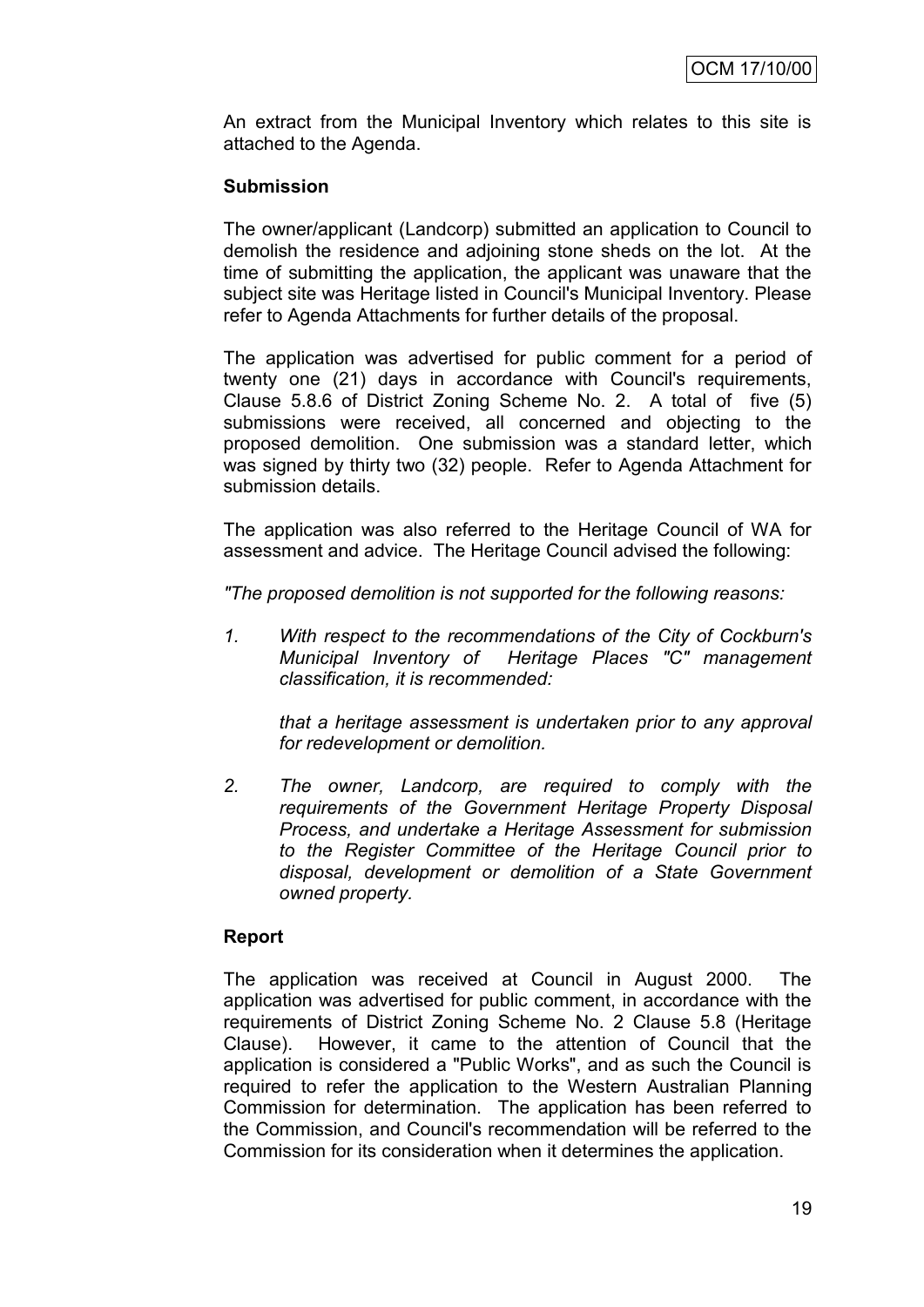An extract from the Municipal Inventory which relates to this site is attached to the Agenda.

#### **Submission**

The owner/applicant (Landcorp) submitted an application to Council to demolish the residence and adjoining stone sheds on the lot. At the time of submitting the application, the applicant was unaware that the subject site was Heritage listed in Council's Municipal Inventory. Please refer to Agenda Attachments for further details of the proposal.

The application was advertised for public comment for a period of twenty one (21) days in accordance with Council's requirements, Clause 5.8.6 of District Zoning Scheme No. 2. A total of five (5) submissions were received, all concerned and objecting to the proposed demolition. One submission was a standard letter, which was signed by thirty two (32) people. Refer to Agenda Attachment for submission details.

The application was also referred to the Heritage Council of WA for assessment and advice. The Heritage Council advised the following:

*"The proposed demolition is not supported for the following reasons:*

*1. With respect to the recommendations of the City of Cockburn's Municipal Inventory of Heritage Places "C" management classification, it is recommended:*

*that a heritage assessment is undertaken prior to any approval for redevelopment or demolition.*

*2. The owner, Landcorp, are required to comply with the requirements of the Government Heritage Property Disposal Process, and undertake a Heritage Assessment for submission to the Register Committee of the Heritage Council prior to disposal, development or demolition of a State Government owned property.*

#### **Report**

The application was received at Council in August 2000. The application was advertised for public comment, in accordance with the requirements of District Zoning Scheme No. 2 Clause 5.8 (Heritage Clause). However, it came to the attention of Council that the application is considered a "Public Works", and as such the Council is required to refer the application to the Western Australian Planning Commission for determination. The application has been referred to the Commission, and Council's recommendation will be referred to the Commission for its consideration when it determines the application.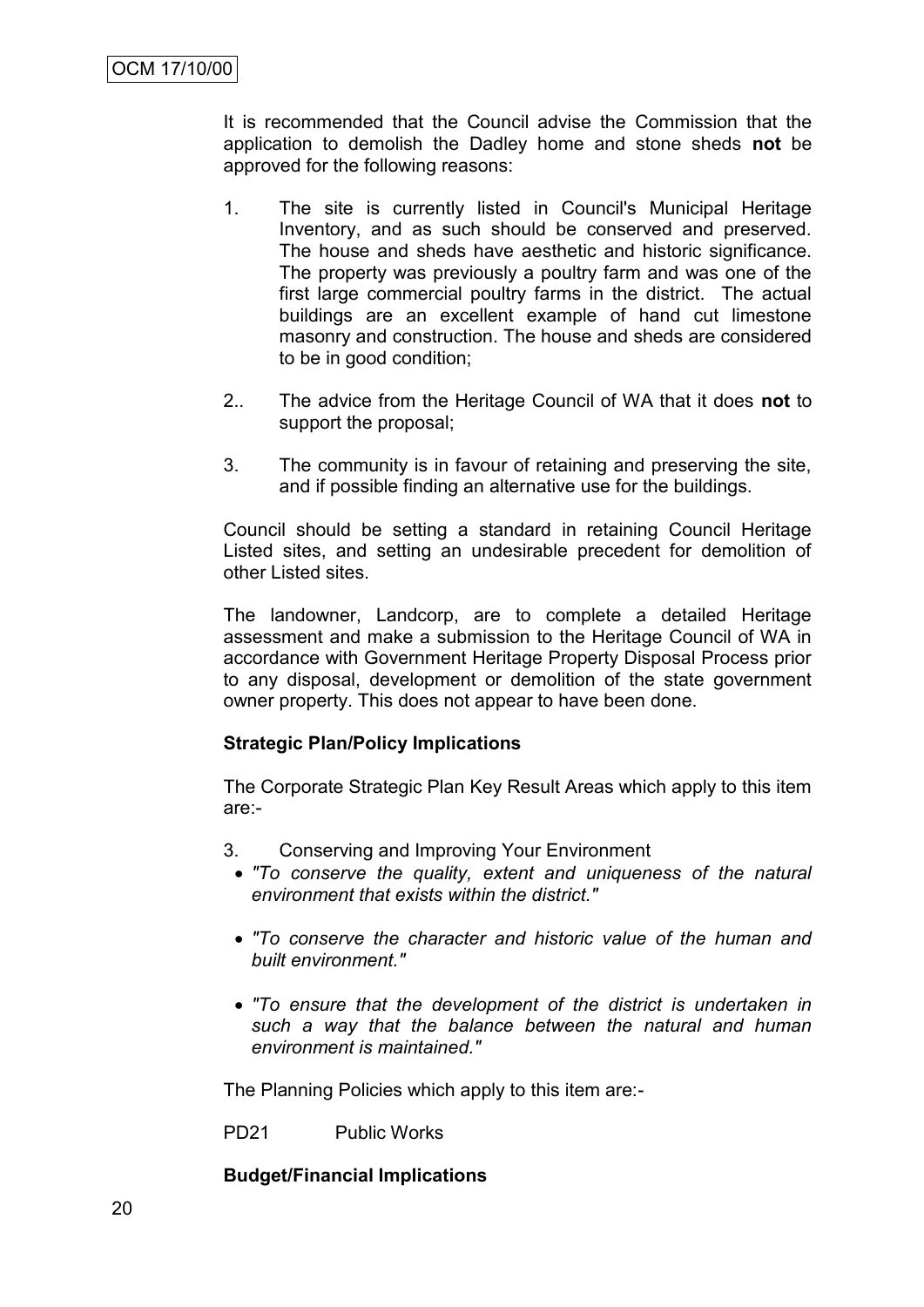It is recommended that the Council advise the Commission that the application to demolish the Dadley home and stone sheds **not** be approved for the following reasons:

- 1. The site is currently listed in Council's Municipal Heritage Inventory, and as such should be conserved and preserved. The house and sheds have aesthetic and historic significance. The property was previously a poultry farm and was one of the first large commercial poultry farms in the district. The actual buildings are an excellent example of hand cut limestone masonry and construction. The house and sheds are considered to be in good condition;
- 2.. The advice from the Heritage Council of WA that it does **not** to support the proposal;
- 3. The community is in favour of retaining and preserving the site, and if possible finding an alternative use for the buildings.

Council should be setting a standard in retaining Council Heritage Listed sites, and setting an undesirable precedent for demolition of other Listed sites.

The landowner, Landcorp, are to complete a detailed Heritage assessment and make a submission to the Heritage Council of WA in accordance with Government Heritage Property Disposal Process prior to any disposal, development or demolition of the state government owner property. This does not appear to have been done.

# **Strategic Plan/Policy Implications**

The Corporate Strategic Plan Key Result Areas which apply to this item are:-

- 3. Conserving and Improving Your Environment
	- *"To conserve the quality, extent and uniqueness of the natural environment that exists within the district."*
	- *"To conserve the character and historic value of the human and built environment."*
	- *"To ensure that the development of the district is undertaken in such a way that the balance between the natural and human environment is maintained."*

The Planning Policies which apply to this item are:-

PD21 Public Works

# **Budget/Financial Implications**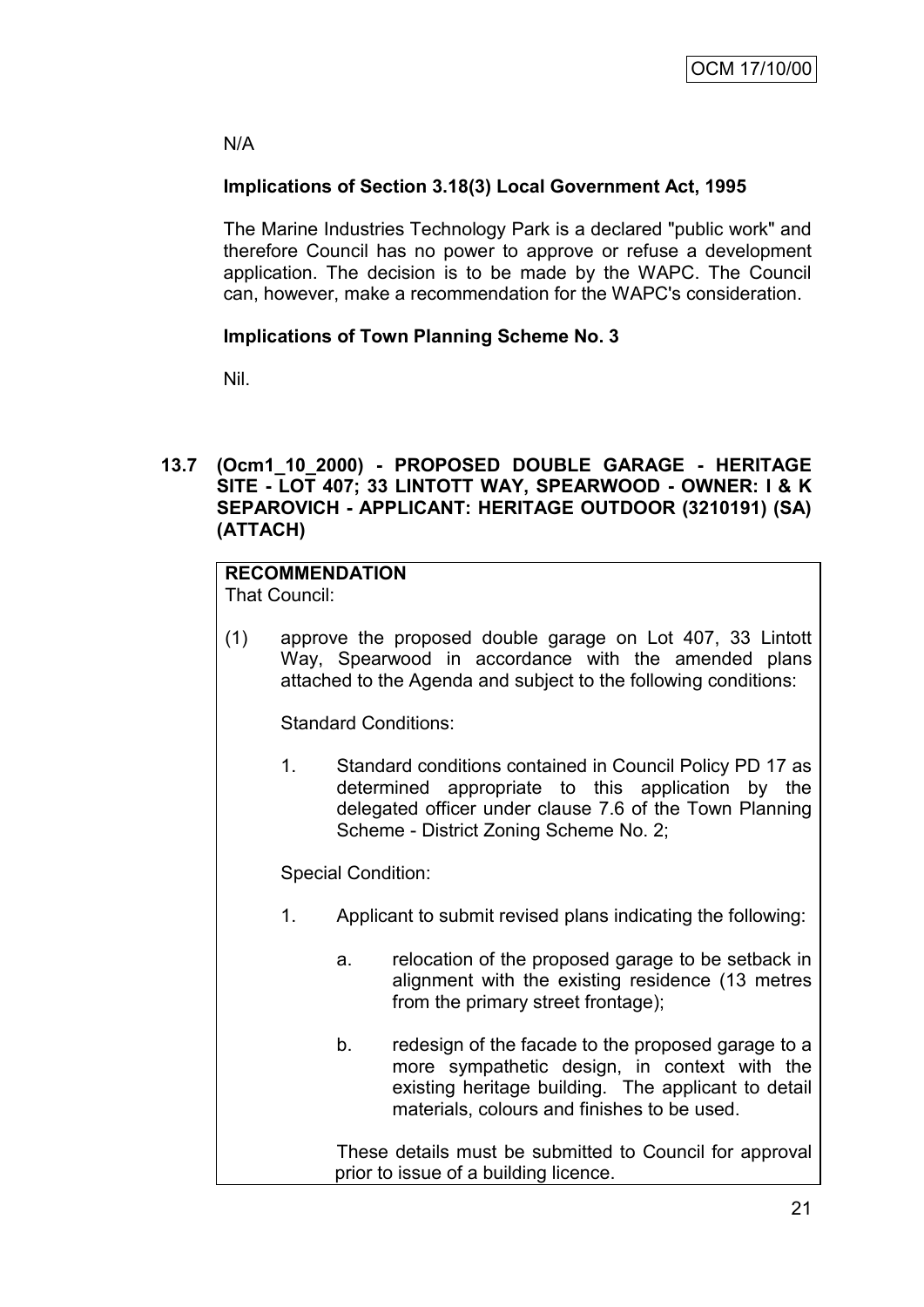# N/A

# **Implications of Section 3.18(3) Local Government Act, 1995**

The Marine Industries Technology Park is a declared "public work" and therefore Council has no power to approve or refuse a development application. The decision is to be made by the WAPC. The Council can, however, make a recommendation for the WAPC's consideration.

# **Implications of Town Planning Scheme No. 3**

Nil.

# **13.7 (Ocm1\_10\_2000) - PROPOSED DOUBLE GARAGE - HERITAGE SITE - LOT 407; 33 LINTOTT WAY, SPEARWOOD - OWNER: I & K SEPAROVICH - APPLICANT: HERITAGE OUTDOOR (3210191) (SA) (ATTACH)**

# **RECOMMENDATION**

That Council:

(1) approve the proposed double garage on Lot 407, 33 Lintott Way, Spearwood in accordance with the amended plans attached to the Agenda and subject to the following conditions:

Standard Conditions:

1. Standard conditions contained in Council Policy PD 17 as determined appropriate to this application by the delegated officer under clause 7.6 of the Town Planning Scheme - District Zoning Scheme No. 2;

Special Condition:

- 1. Applicant to submit revised plans indicating the following:
	- a. relocation of the proposed garage to be setback in alignment with the existing residence (13 metres from the primary street frontage);
	- b. redesign of the facade to the proposed garage to a more sympathetic design, in context with the existing heritage building. The applicant to detail materials, colours and finishes to be used.

These details must be submitted to Council for approval prior to issue of a building licence.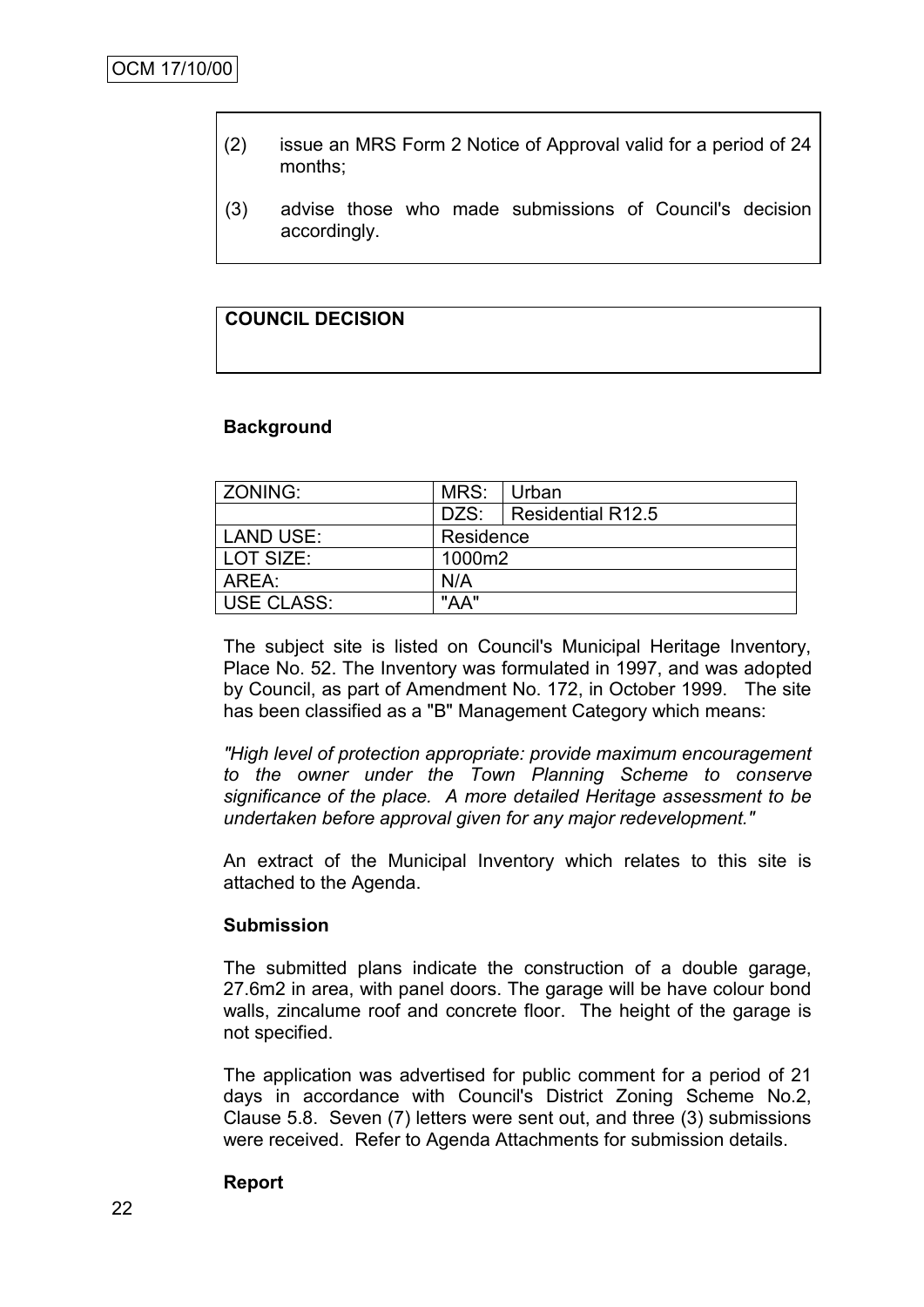- (2) issue an MRS Form 2 Notice of Approval valid for a period of 24 months;
- (3) advise those who made submissions of Council's decision accordingly.

# **COUNCIL DECISION**

#### **Background**

| ZONING:           | MRS:      | Urban                    |
|-------------------|-----------|--------------------------|
|                   |           | DZS:   Residential R12.5 |
| LAND USE:         | Residence |                          |
| LOT SIZE:         | 1000m2    |                          |
| AREA:             | N/A       |                          |
| <b>USE CLASS:</b> | "AA"      |                          |

The subject site is listed on Council's Municipal Heritage Inventory, Place No. 52. The Inventory was formulated in 1997, and was adopted by Council, as part of Amendment No. 172, in October 1999. The site has been classified as a "B" Management Category which means:

*"High level of protection appropriate: provide maximum encouragement to the owner under the Town Planning Scheme to conserve significance of the place. A more detailed Heritage assessment to be undertaken before approval given for any major redevelopment."*

An extract of the Municipal Inventory which relates to this site is attached to the Agenda.

#### **Submission**

The submitted plans indicate the construction of a double garage, 27.6m2 in area, with panel doors. The garage will be have colour bond walls, zincalume roof and concrete floor. The height of the garage is not specified.

The application was advertised for public comment for a period of 21 days in accordance with Council's District Zoning Scheme No.2, Clause 5.8. Seven (7) letters were sent out, and three (3) submissions were received. Refer to Agenda Attachments for submission details.

#### **Report**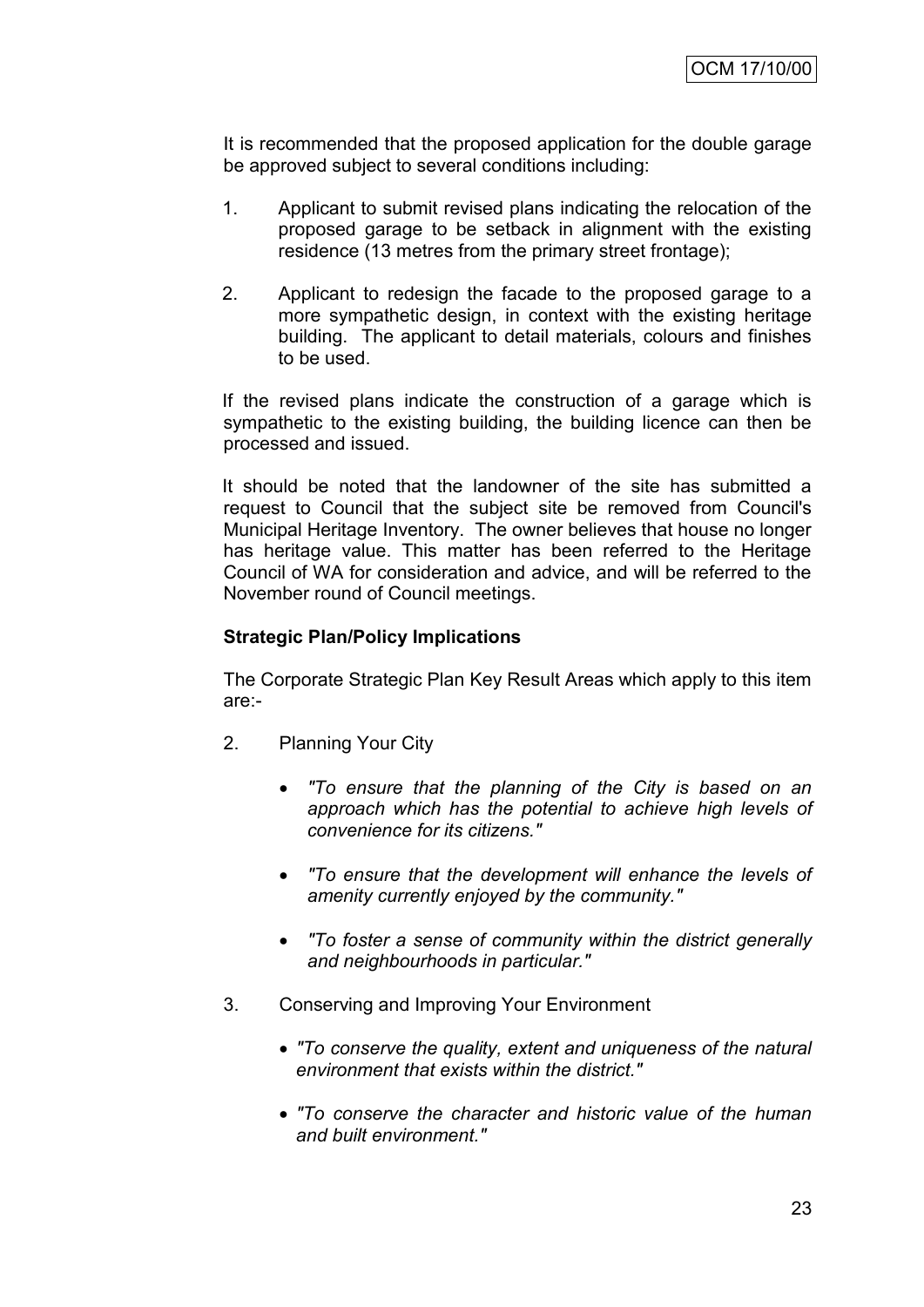It is recommended that the proposed application for the double garage be approved subject to several conditions including:

- 1. Applicant to submit revised plans indicating the relocation of the proposed garage to be setback in alignment with the existing residence (13 metres from the primary street frontage);
- 2. Applicant to redesign the facade to the proposed garage to a more sympathetic design, in context with the existing heritage building. The applicant to detail materials, colours and finishes to be used.

If the revised plans indicate the construction of a garage which is sympathetic to the existing building, the building licence can then be processed and issued.

It should be noted that the landowner of the site has submitted a request to Council that the subject site be removed from Council's Municipal Heritage Inventory. The owner believes that house no longer has heritage value. This matter has been referred to the Heritage Council of WA for consideration and advice, and will be referred to the November round of Council meetings.

#### **Strategic Plan/Policy Implications**

The Corporate Strategic Plan Key Result Areas which apply to this item are:-

- 2. Planning Your City
	- *"To ensure that the planning of the City is based on an approach which has the potential to achieve high levels of convenience for its citizens."*
	- *"To ensure that the development will enhance the levels of amenity currently enjoyed by the community."*
	- *"To foster a sense of community within the district generally and neighbourhoods in particular."*
- 3. Conserving and Improving Your Environment
	- *"To conserve the quality, extent and uniqueness of the natural environment that exists within the district."*
	- *"To conserve the character and historic value of the human and built environment."*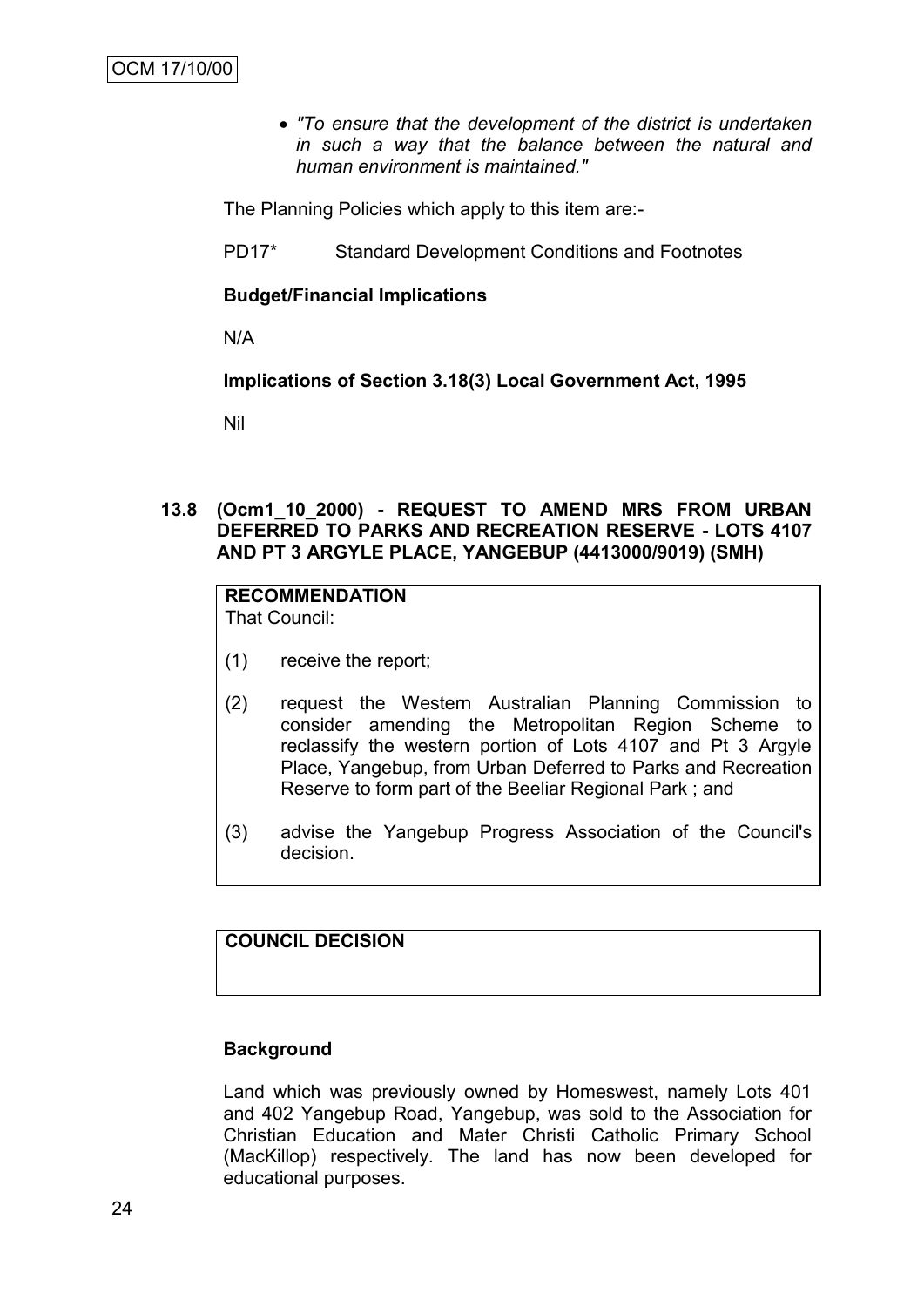*"To ensure that the development of the district is undertaken in such a way that the balance between the natural and human environment is maintained."*

The Planning Policies which apply to this item are:-

PD17\* Standard Development Conditions and Footnotes

#### **Budget/Financial Implications**

N/A

#### **Implications of Section 3.18(3) Local Government Act, 1995**

Nil

### **13.8 (Ocm1\_10\_2000) - REQUEST TO AMEND MRS FROM URBAN DEFERRED TO PARKS AND RECREATION RESERVE - LOTS 4107 AND PT 3 ARGYLE PLACE, YANGEBUP (4413000/9019) (SMH)**

#### **RECOMMENDATION** That Council:

- (1) receive the report;
- (2) request the Western Australian Planning Commission to consider amending the Metropolitan Region Scheme to reclassify the western portion of Lots 4107 and Pt 3 Argyle Place, Yangebup, from Urban Deferred to Parks and Recreation Reserve to form part of the Beeliar Regional Park ; and
- (3) advise the Yangebup Progress Association of the Council's decision.

#### **COUNCIL DECISION**

#### **Background**

Land which was previously owned by Homeswest, namely Lots 401 and 402 Yangebup Road, Yangebup, was sold to the Association for Christian Education and Mater Christi Catholic Primary School (MacKillop) respectively. The land has now been developed for educational purposes.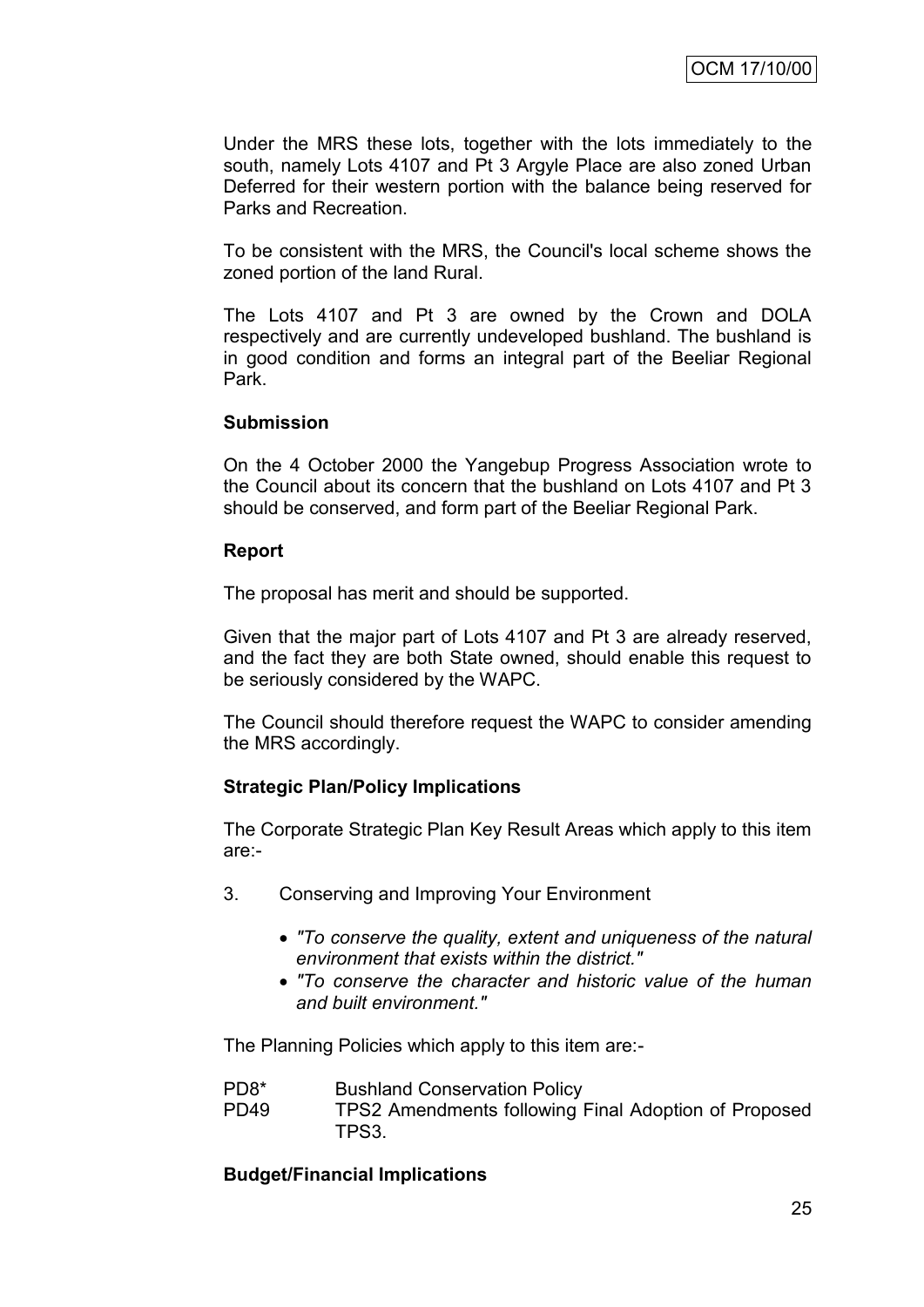Under the MRS these lots, together with the lots immediately to the south, namely Lots 4107 and Pt 3 Argyle Place are also zoned Urban Deferred for their western portion with the balance being reserved for Parks and Recreation.

To be consistent with the MRS, the Council's local scheme shows the zoned portion of the land Rural.

The Lots 4107 and Pt 3 are owned by the Crown and DOLA respectively and are currently undeveloped bushland. The bushland is in good condition and forms an integral part of the Beeliar Regional Park.

#### **Submission**

On the 4 October 2000 the Yangebup Progress Association wrote to the Council about its concern that the bushland on Lots 4107 and Pt 3 should be conserved, and form part of the Beeliar Regional Park.

#### **Report**

The proposal has merit and should be supported.

Given that the major part of Lots 4107 and Pt 3 are already reserved, and the fact they are both State owned, should enable this request to be seriously considered by the WAPC.

The Council should therefore request the WAPC to consider amending the MRS accordingly.

#### **Strategic Plan/Policy Implications**

The Corporate Strategic Plan Key Result Areas which apply to this item are:-

- 3. Conserving and Improving Your Environment
	- *"To conserve the quality, extent and uniqueness of the natural environment that exists within the district."*
	- *"To conserve the character and historic value of the human and built environment."*

The Planning Policies which apply to this item are:-

- PD8\* Bushland Conservation Policy
- PD49 TPS2 Amendments following Final Adoption of Proposed TPS3.

#### **Budget/Financial Implications**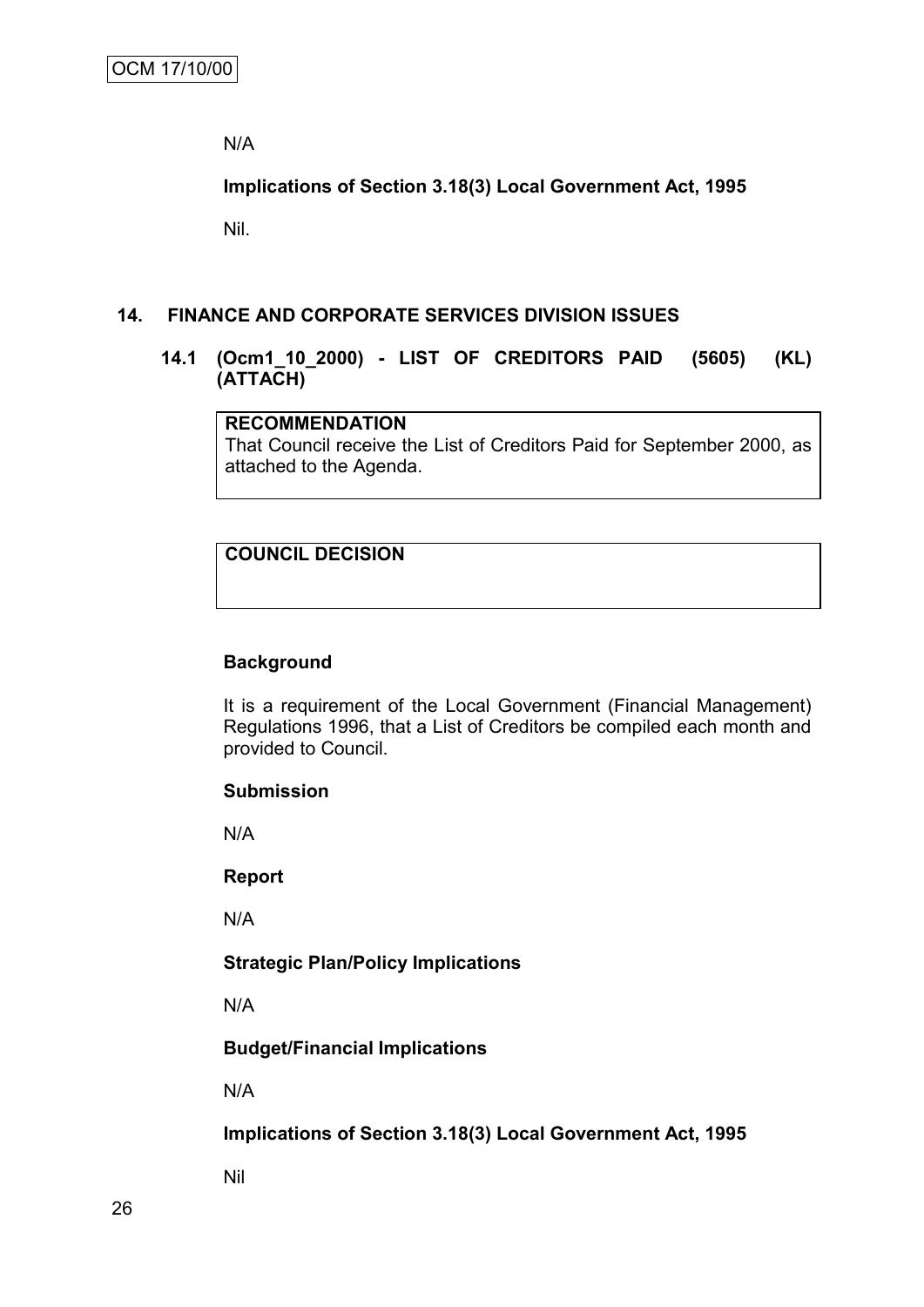N/A

**Implications of Section 3.18(3) Local Government Act, 1995**

Nil.

#### **14. FINANCE AND CORPORATE SERVICES DIVISION ISSUES**

#### **14.1 (Ocm1\_10\_2000) - LIST OF CREDITORS PAID (5605) (KL) (ATTACH)**

# **RECOMMENDATION**

That Council receive the List of Creditors Paid for September 2000, as attached to the Agenda.

# **COUNCIL DECISION**

#### **Background**

It is a requirement of the Local Government (Financial Management) Regulations 1996, that a List of Creditors be compiled each month and provided to Council.

#### **Submission**

N/A

#### **Report**

N/A

#### **Strategic Plan/Policy Implications**

N/A

#### **Budget/Financial Implications**

N/A

**Implications of Section 3.18(3) Local Government Act, 1995**

Nil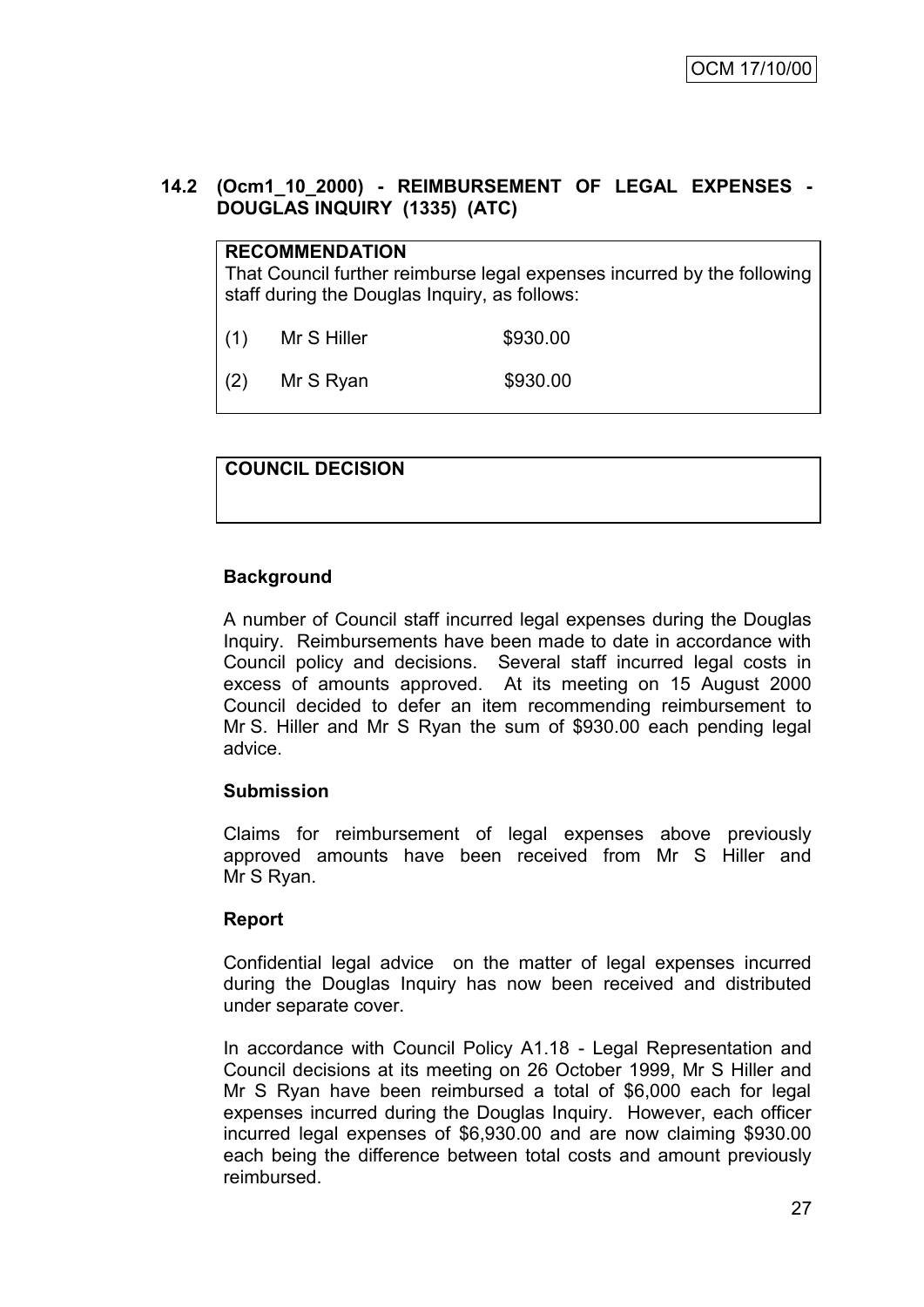# **14.2 (Ocm1\_10\_2000) - REIMBURSEMENT OF LEGAL EXPENSES - DOUGLAS INQUIRY (1335) (ATC)**

# **RECOMMENDATION**

That Council further reimburse legal expenses incurred by the following staff during the Douglas Inquiry, as follows:

(1) Mr S Hiller \$930.00

(2) Mr S Ryan \$930.00

# **COUNCIL DECISION**

# **Background**

A number of Council staff incurred legal expenses during the Douglas Inquiry. Reimbursements have been made to date in accordance with Council policy and decisions. Several staff incurred legal costs in excess of amounts approved. At its meeting on 15 August 2000 Council decided to defer an item recommending reimbursement to Mr S. Hiller and Mr S Ryan the sum of \$930.00 each pending legal advice.

#### **Submission**

Claims for reimbursement of legal expenses above previously approved amounts have been received from Mr S Hiller and Mr S Ryan.

#### **Report**

Confidential legal advice on the matter of legal expenses incurred during the Douglas Inquiry has now been received and distributed under separate cover.

In accordance with Council Policy A1.18 - Legal Representation and Council decisions at its meeting on 26 October 1999, Mr S Hiller and Mr S Ryan have been reimbursed a total of \$6,000 each for legal expenses incurred during the Douglas Inquiry. However, each officer incurred legal expenses of \$6,930.00 and are now claiming \$930.00 each being the difference between total costs and amount previously reimbursed.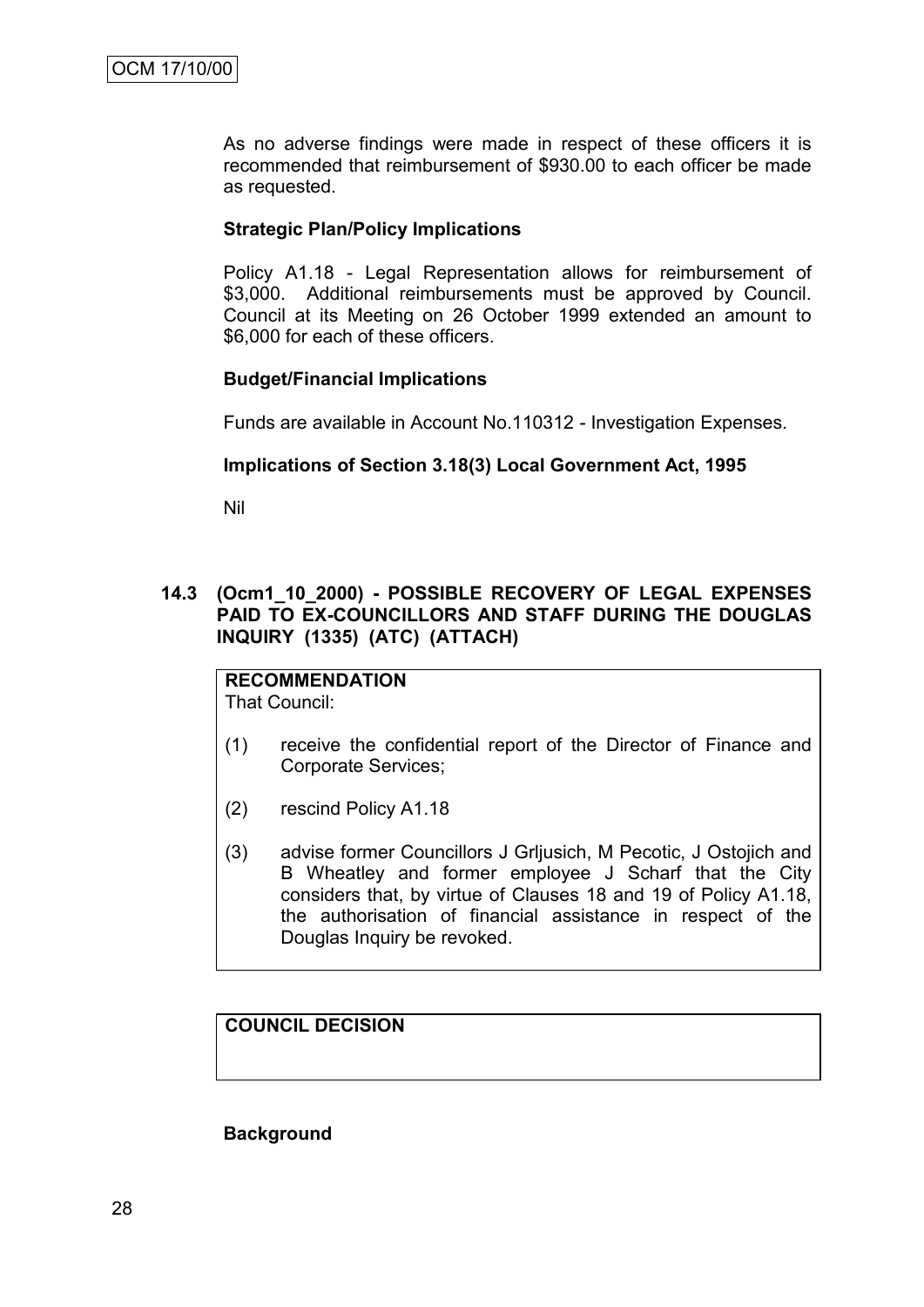As no adverse findings were made in respect of these officers it is recommended that reimbursement of \$930.00 to each officer be made as requested.

#### **Strategic Plan/Policy Implications**

Policy A1.18 - Legal Representation allows for reimbursement of \$3,000. Additional reimbursements must be approved by Council. Council at its Meeting on 26 October 1999 extended an amount to \$6,000 for each of these officers.

#### **Budget/Financial Implications**

Funds are available in Account No.110312 - Investigation Expenses.

#### **Implications of Section 3.18(3) Local Government Act, 1995**

Nil

**14.3 (Ocm1\_10\_2000) - POSSIBLE RECOVERY OF LEGAL EXPENSES PAID TO EX-COUNCILLORS AND STAFF DURING THE DOUGLAS INQUIRY (1335) (ATC) (ATTACH)**

#### **RECOMMENDATION** That Council:

- (1) receive the confidential report of the Director of Finance and Corporate Services;
- (2) rescind Policy A1.18
- (3) advise former Councillors J Grljusich, M Pecotic, J Ostojich and B Wheatley and former employee J Scharf that the City considers that, by virtue of Clauses 18 and 19 of Policy A1.18, the authorisation of financial assistance in respect of the Douglas Inquiry be revoked.

# **COUNCIL DECISION**

**Background**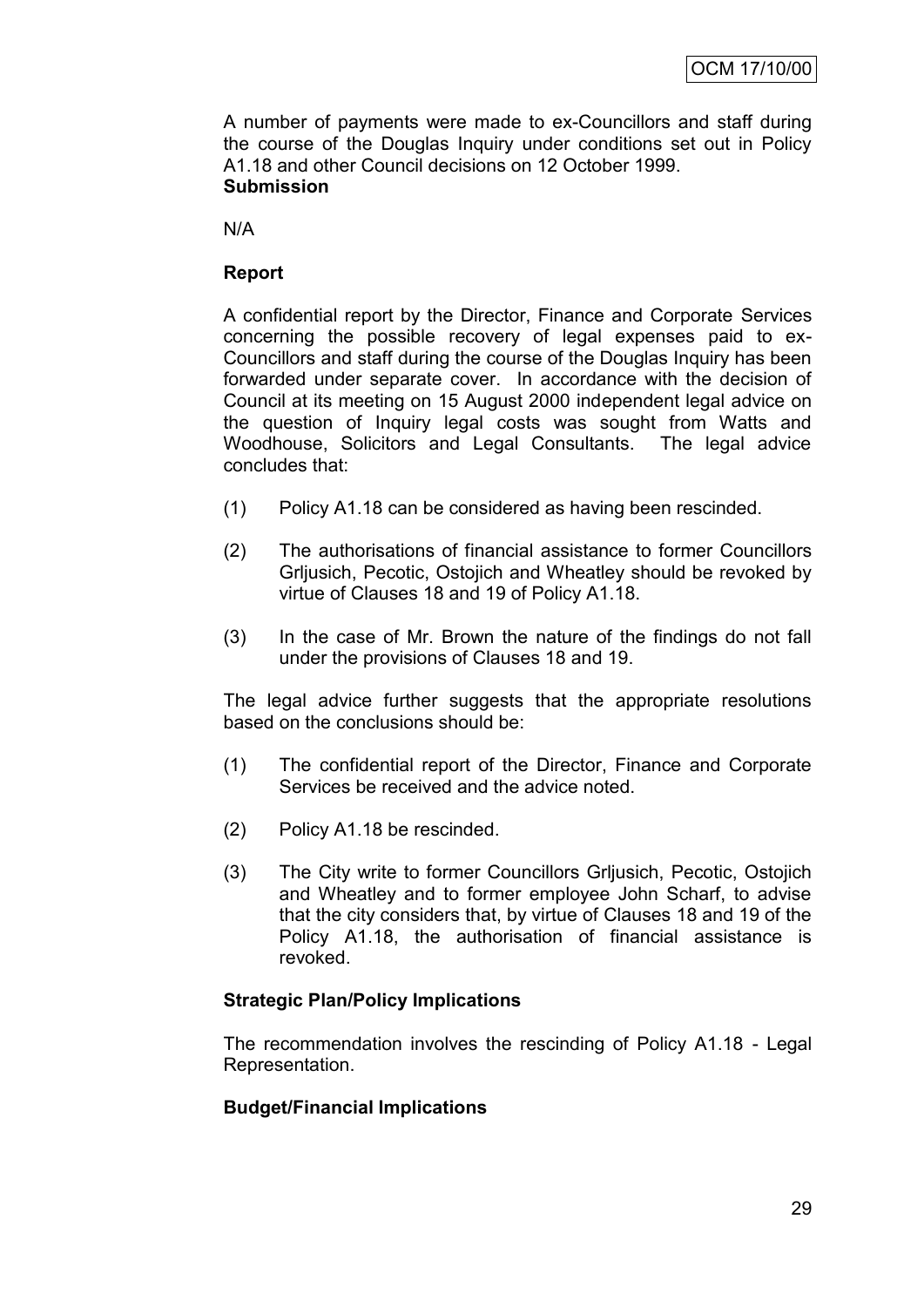A number of payments were made to ex-Councillors and staff during the course of the Douglas Inquiry under conditions set out in Policy A1.18 and other Council decisions on 12 October 1999. **Submission**

N/A

# **Report**

A confidential report by the Director, Finance and Corporate Services concerning the possible recovery of legal expenses paid to ex-Councillors and staff during the course of the Douglas Inquiry has been forwarded under separate cover. In accordance with the decision of Council at its meeting on 15 August 2000 independent legal advice on the question of Inquiry legal costs was sought from Watts and Woodhouse, Solicitors and Legal Consultants. The legal advice concludes that:

- (1) Policy A1.18 can be considered as having been rescinded.
- (2) The authorisations of financial assistance to former Councillors Grljusich, Pecotic, Ostojich and Wheatley should be revoked by virtue of Clauses 18 and 19 of Policy A1.18.
- (3) In the case of Mr. Brown the nature of the findings do not fall under the provisions of Clauses 18 and 19.

The legal advice further suggests that the appropriate resolutions based on the conclusions should be:

- (1) The confidential report of the Director, Finance and Corporate Services be received and the advice noted.
- (2) Policy A1.18 be rescinded.
- (3) The City write to former Councillors Grljusich, Pecotic, Ostojich and Wheatley and to former employee John Scharf, to advise that the city considers that, by virtue of Clauses 18 and 19 of the Policy A1.18, the authorisation of financial assistance is revoked.

#### **Strategic Plan/Policy Implications**

The recommendation involves the rescinding of Policy A1.18 - Legal Representation.

#### **Budget/Financial Implications**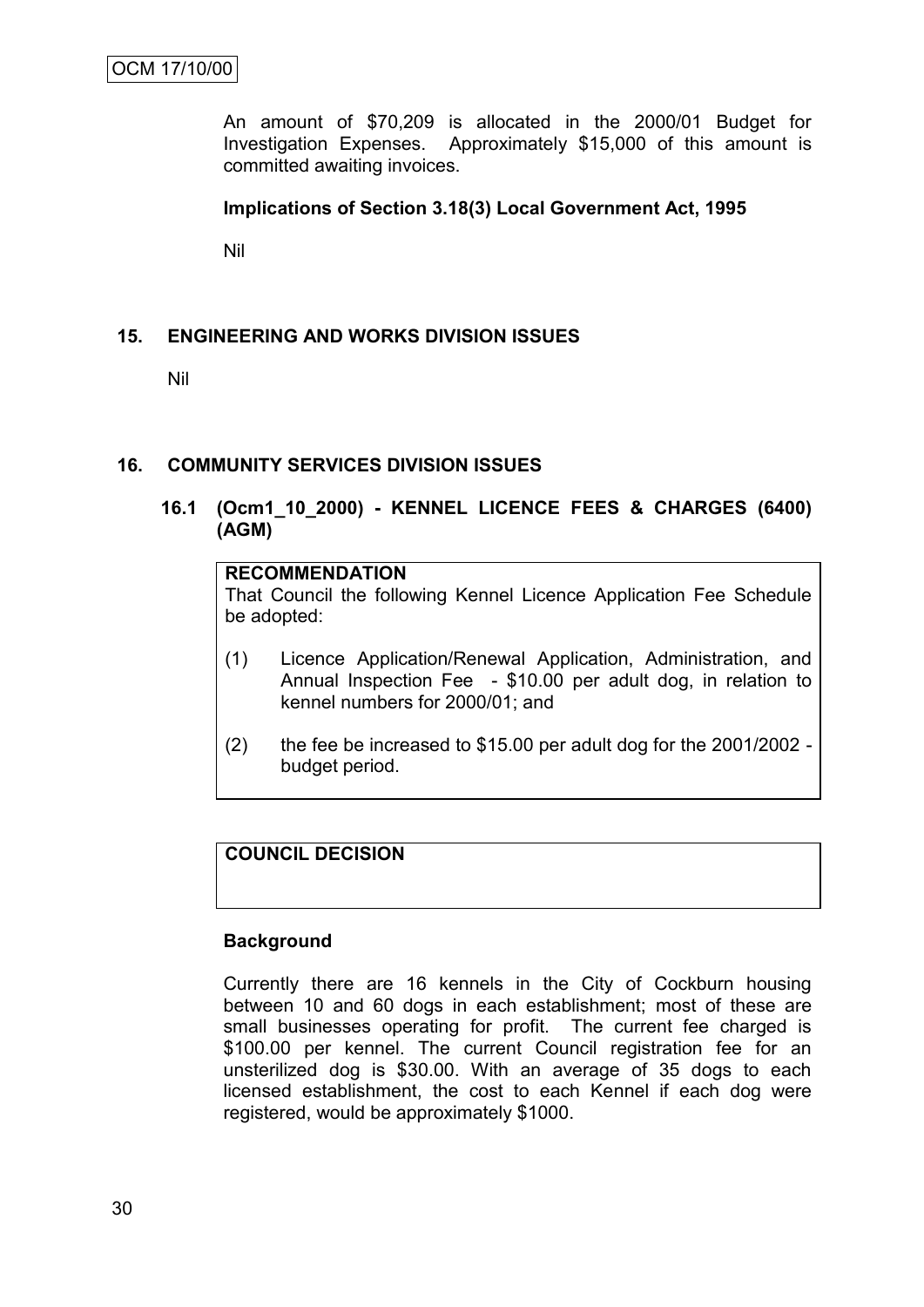An amount of \$70,209 is allocated in the 2000/01 Budget for Investigation Expenses. Approximately \$15,000 of this amount is committed awaiting invoices.

#### **Implications of Section 3.18(3) Local Government Act, 1995**

Nil

# **15. ENGINEERING AND WORKS DIVISION ISSUES**

Nil

#### **16. COMMUNITY SERVICES DIVISION ISSUES**

## **16.1 (Ocm1\_10\_2000) - KENNEL LICENCE FEES & CHARGES (6400) (AGM)**

# **RECOMMENDATION**

That Council the following Kennel Licence Application Fee Schedule be adopted:

- (1) Licence Application/Renewal Application, Administration, and Annual Inspection Fee - \$10.00 per adult dog, in relation to kennel numbers for 2000/01; and
- (2) the fee be increased to \$15.00 per adult dog for the 2001/2002 budget period.

#### **COUNCIL DECISION**

#### **Background**

Currently there are 16 kennels in the City of Cockburn housing between 10 and 60 dogs in each establishment; most of these are small businesses operating for profit. The current fee charged is \$100.00 per kennel. The current Council registration fee for an unsterilized dog is \$30.00. With an average of 35 dogs to each licensed establishment, the cost to each Kennel if each dog were registered, would be approximately \$1000.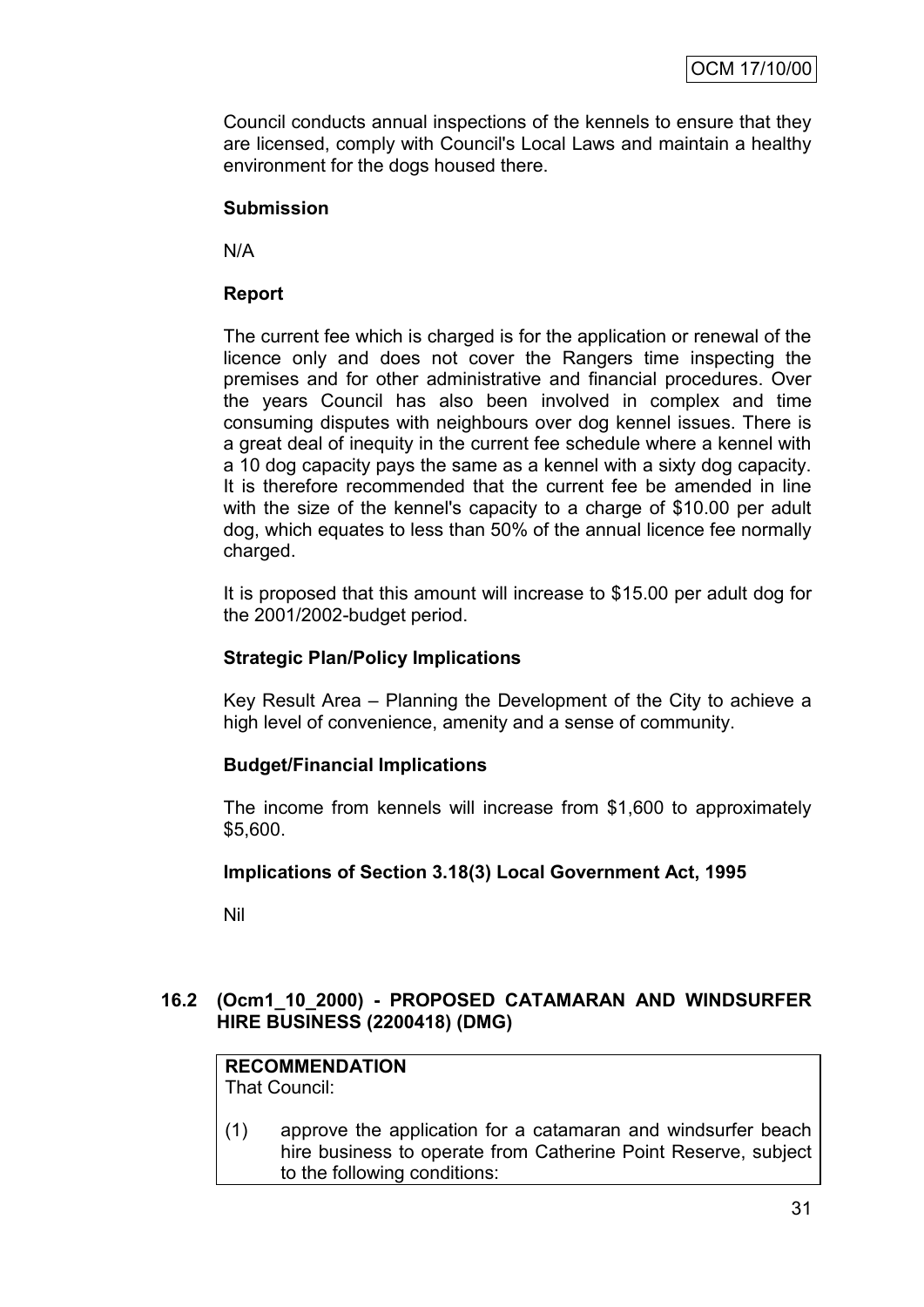Council conducts annual inspections of the kennels to ensure that they are licensed, comply with Council's Local Laws and maintain a healthy environment for the dogs housed there.

#### **Submission**

N/A

# **Report**

The current fee which is charged is for the application or renewal of the licence only and does not cover the Rangers time inspecting the premises and for other administrative and financial procedures. Over the years Council has also been involved in complex and time consuming disputes with neighbours over dog kennel issues. There is a great deal of inequity in the current fee schedule where a kennel with a 10 dog capacity pays the same as a kennel with a sixty dog capacity. It is therefore recommended that the current fee be amended in line with the size of the kennel's capacity to a charge of \$10.00 per adult dog, which equates to less than 50% of the annual licence fee normally charged.

It is proposed that this amount will increase to \$15.00 per adult dog for the 2001/2002-budget period.

## **Strategic Plan/Policy Implications**

Key Result Area – Planning the Development of the City to achieve a high level of convenience, amenity and a sense of community.

#### **Budget/Financial Implications**

The income from kennels will increase from \$1,600 to approximately \$5,600.

#### **Implications of Section 3.18(3) Local Government Act, 1995**

Nil

# **16.2 (Ocm1\_10\_2000) - PROPOSED CATAMARAN AND WINDSURFER HIRE BUSINESS (2200418) (DMG)**

#### **RECOMMENDATION** That Council:

(1) approve the application for a catamaran and windsurfer beach hire business to operate from Catherine Point Reserve, subject to the following conditions: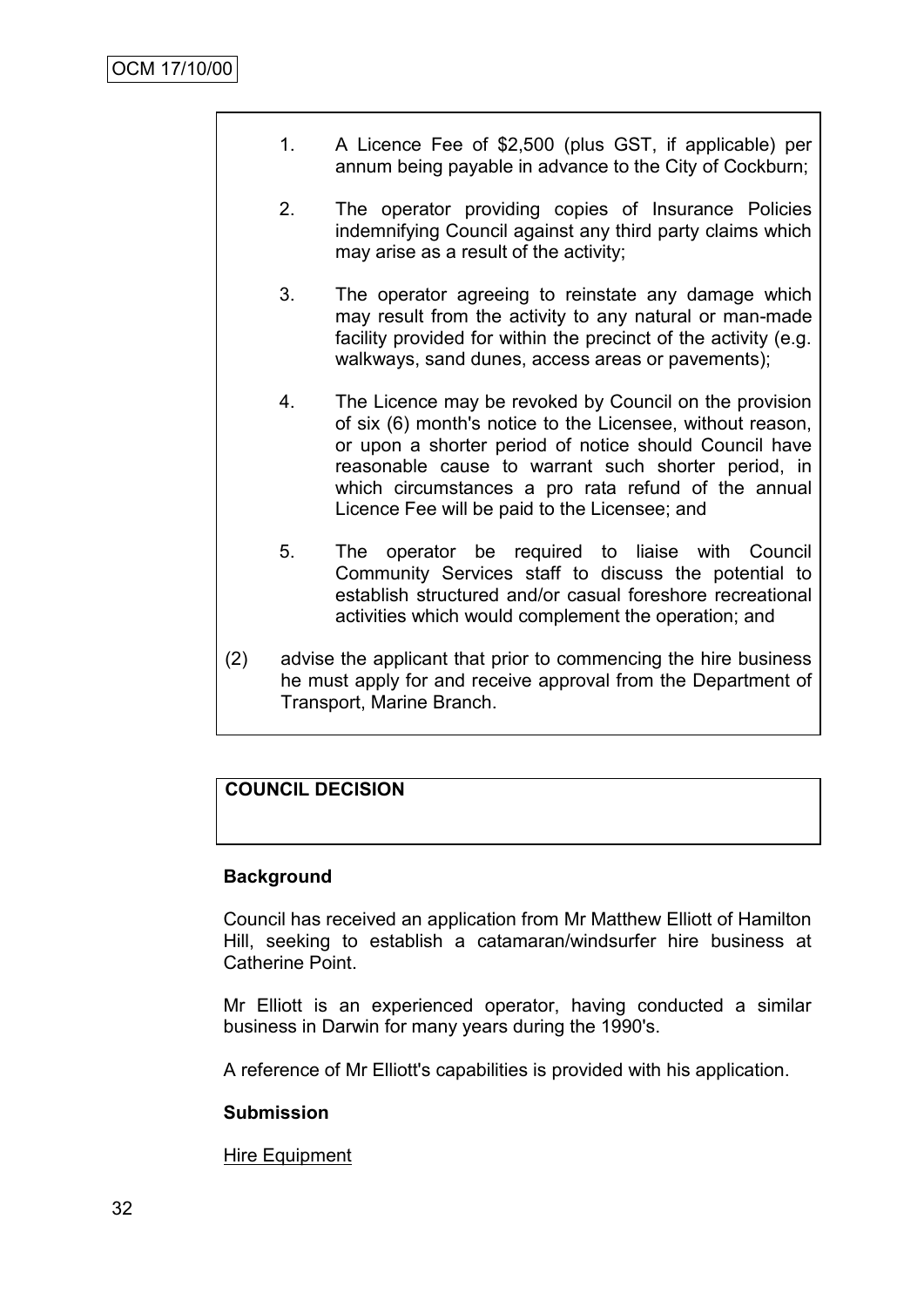- 1. A Licence Fee of \$2,500 (plus GST, if applicable) per annum being payable in advance to the City of Cockburn;
- 2. The operator providing copies of Insurance Policies indemnifying Council against any third party claims which may arise as a result of the activity;
- 3. The operator agreeing to reinstate any damage which may result from the activity to any natural or man-made facility provided for within the precinct of the activity (e.g. walkways, sand dunes, access areas or pavements);
- 4. The Licence may be revoked by Council on the provision of six (6) month's notice to the Licensee, without reason, or upon a shorter period of notice should Council have reasonable cause to warrant such shorter period, in which circumstances a pro rata refund of the annual Licence Fee will be paid to the Licensee; and
- 5. The operator be required to liaise with Council Community Services staff to discuss the potential to establish structured and/or casual foreshore recreational activities which would complement the operation; and
- (2) advise the applicant that prior to commencing the hire business he must apply for and receive approval from the Department of Transport, Marine Branch.

# **COUNCIL DECISION**

#### **Background**

Council has received an application from Mr Matthew Elliott of Hamilton Hill, seeking to establish a catamaran/windsurfer hire business at Catherine Point.

Mr Elliott is an experienced operator, having conducted a similar business in Darwin for many years during the 1990's.

A reference of Mr Elliott's capabilities is provided with his application.

#### **Submission**

Hire Equipment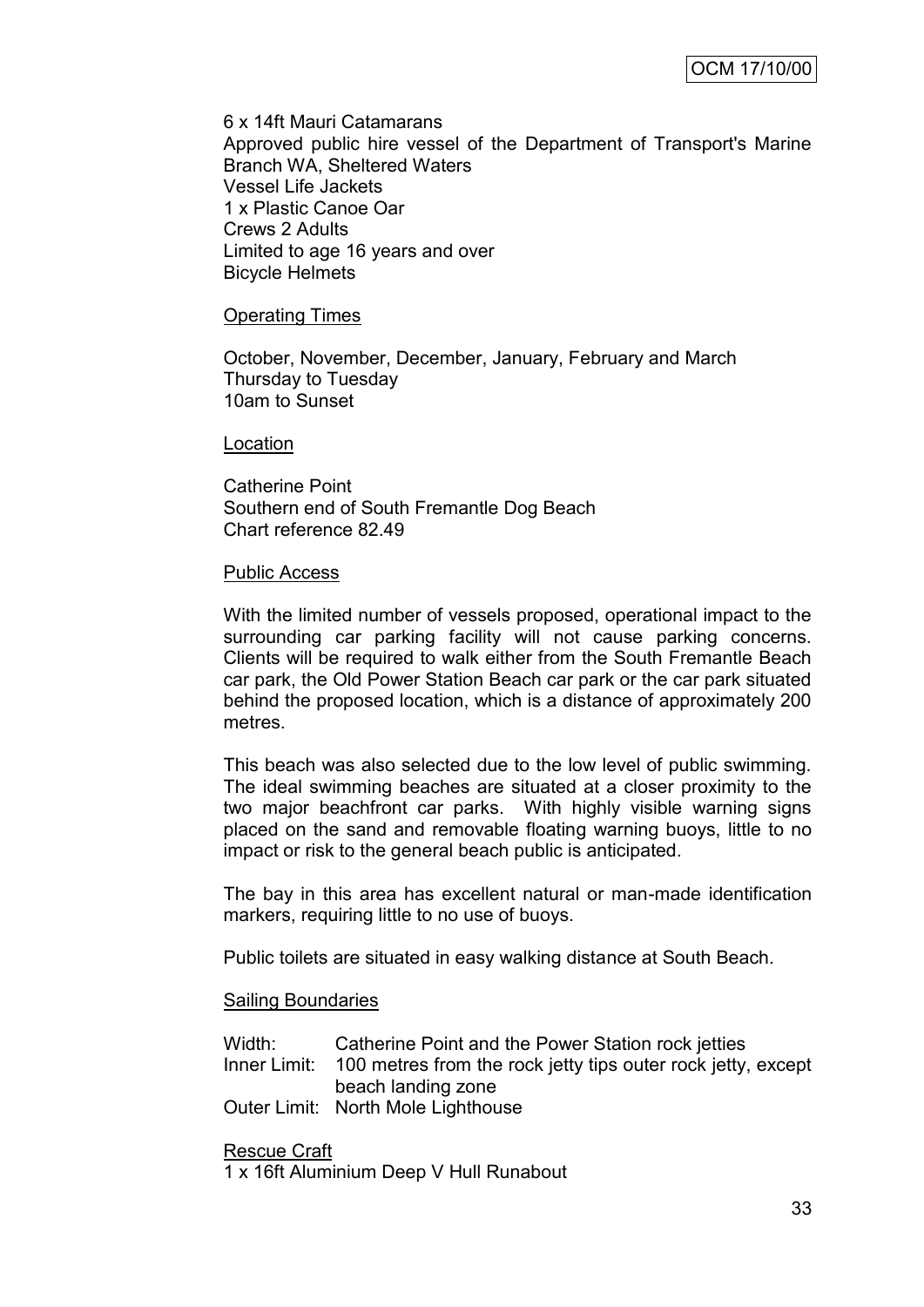6 x 14ft Mauri Catamarans Approved public hire vessel of the Department of Transport's Marine Branch WA, Sheltered Waters Vessel Life Jackets 1 x Plastic Canoe Oar Crews 2 Adults Limited to age 16 years and over Bicycle Helmets

#### Operating Times

October, November, December, January, February and March Thursday to Tuesday 10am to Sunset

#### Location

Catherine Point Southern end of South Fremantle Dog Beach Chart reference 82.49

#### Public Access

With the limited number of vessels proposed, operational impact to the surrounding car parking facility will not cause parking concerns. Clients will be required to walk either from the South Fremantle Beach car park, the Old Power Station Beach car park or the car park situated behind the proposed location, which is a distance of approximately 200 metres.

This beach was also selected due to the low level of public swimming. The ideal swimming beaches are situated at a closer proximity to the two major beachfront car parks. With highly visible warning signs placed on the sand and removable floating warning buoys, little to no impact or risk to the general beach public is anticipated.

The bay in this area has excellent natural or man-made identification markers, requiring little to no use of buoys.

Public toilets are situated in easy walking distance at South Beach.

#### Sailing Boundaries

| Width: | Catherine Point and the Power Station rock jetties                        |
|--------|---------------------------------------------------------------------------|
|        | Inner Limit: 100 metres from the rock jetty tips outer rock jetty, except |
|        | beach landing zone                                                        |
|        | Outer Limit: North Mole Lighthouse                                        |

Rescue Craft

1 x 16ft Aluminium Deep V Hull Runabout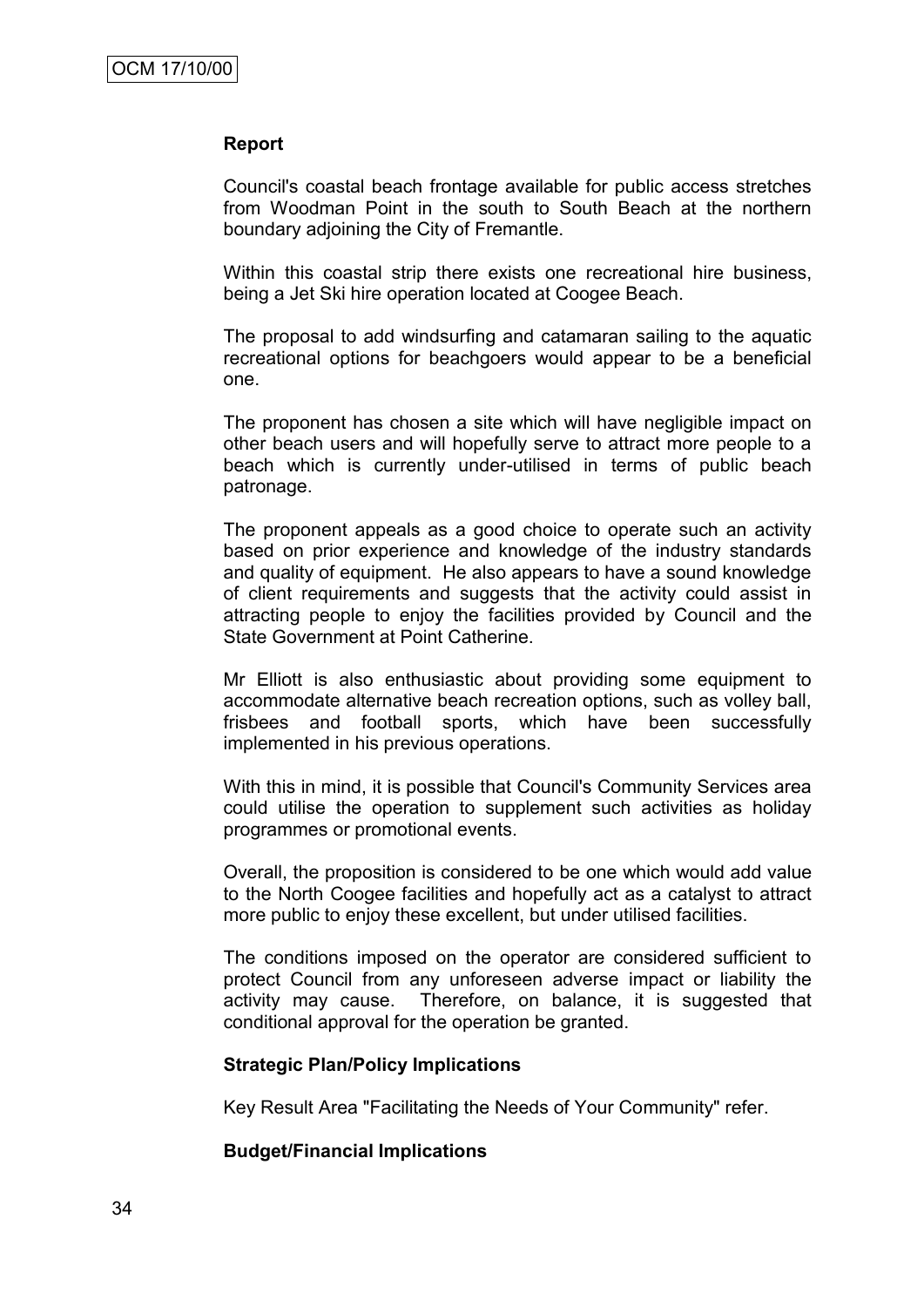#### **Report**

Council's coastal beach frontage available for public access stretches from Woodman Point in the south to South Beach at the northern boundary adjoining the City of Fremantle.

Within this coastal strip there exists one recreational hire business, being a Jet Ski hire operation located at Coogee Beach.

The proposal to add windsurfing and catamaran sailing to the aquatic recreational options for beachgoers would appear to be a beneficial one.

The proponent has chosen a site which will have negligible impact on other beach users and will hopefully serve to attract more people to a beach which is currently under-utilised in terms of public beach patronage.

The proponent appeals as a good choice to operate such an activity based on prior experience and knowledge of the industry standards and quality of equipment. He also appears to have a sound knowledge of client requirements and suggests that the activity could assist in attracting people to enjoy the facilities provided by Council and the State Government at Point Catherine.

Mr Elliott is also enthusiastic about providing some equipment to accommodate alternative beach recreation options, such as volley ball, frisbees and football sports, which have been successfully implemented in his previous operations.

With this in mind, it is possible that Council's Community Services area could utilise the operation to supplement such activities as holiday programmes or promotional events.

Overall, the proposition is considered to be one which would add value to the North Coogee facilities and hopefully act as a catalyst to attract more public to enjoy these excellent, but under utilised facilities.

The conditions imposed on the operator are considered sufficient to protect Council from any unforeseen adverse impact or liability the activity may cause. Therefore, on balance, it is suggested that conditional approval for the operation be granted.

#### **Strategic Plan/Policy Implications**

Key Result Area "Facilitating the Needs of Your Community" refer.

#### **Budget/Financial Implications**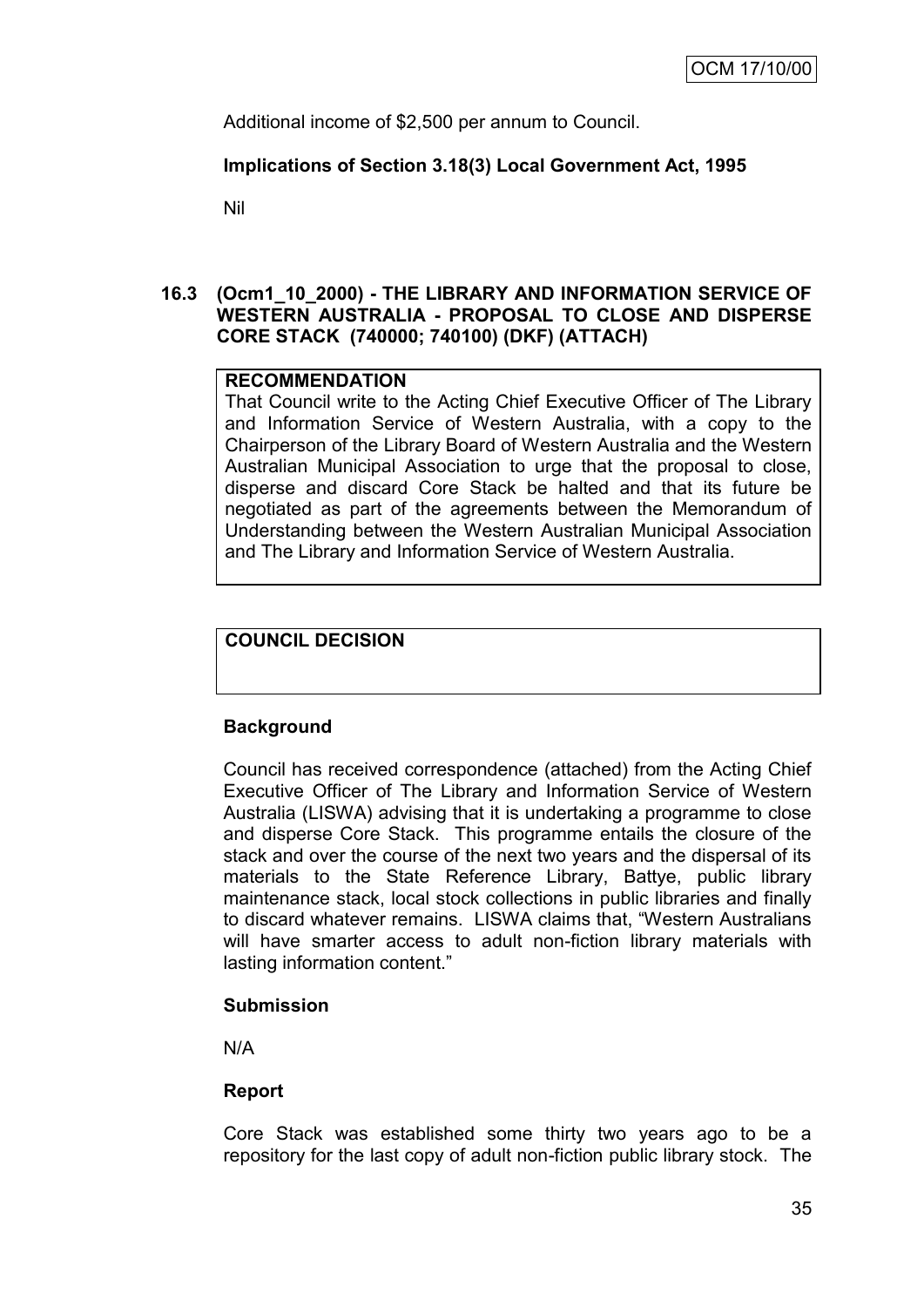Additional income of \$2,500 per annum to Council.

#### **Implications of Section 3.18(3) Local Government Act, 1995**

Nil

#### **16.3 (Ocm1\_10\_2000) - THE LIBRARY AND INFORMATION SERVICE OF WESTERN AUSTRALIA - PROPOSAL TO CLOSE AND DISPERSE CORE STACK (740000; 740100) (DKF) (ATTACH)**

#### **RECOMMENDATION**

That Council write to the Acting Chief Executive Officer of The Library and Information Service of Western Australia, with a copy to the Chairperson of the Library Board of Western Australia and the Western Australian Municipal Association to urge that the proposal to close, disperse and discard Core Stack be halted and that its future be negotiated as part of the agreements between the Memorandum of Understanding between the Western Australian Municipal Association and The Library and Information Service of Western Australia.

#### **COUNCIL DECISION**

#### **Background**

Council has received correspondence (attached) from the Acting Chief Executive Officer of The Library and Information Service of Western Australia (LISWA) advising that it is undertaking a programme to close and disperse Core Stack. This programme entails the closure of the stack and over the course of the next two years and the dispersal of its materials to the State Reference Library, Battye, public library maintenance stack, local stock collections in public libraries and finally to discard whatever remains. LISWA claims that, "Western Australians will have smarter access to adult non-fiction library materials with lasting information content."

#### **Submission**

N/A

#### **Report**

Core Stack was established some thirty two years ago to be a repository for the last copy of adult non-fiction public library stock. The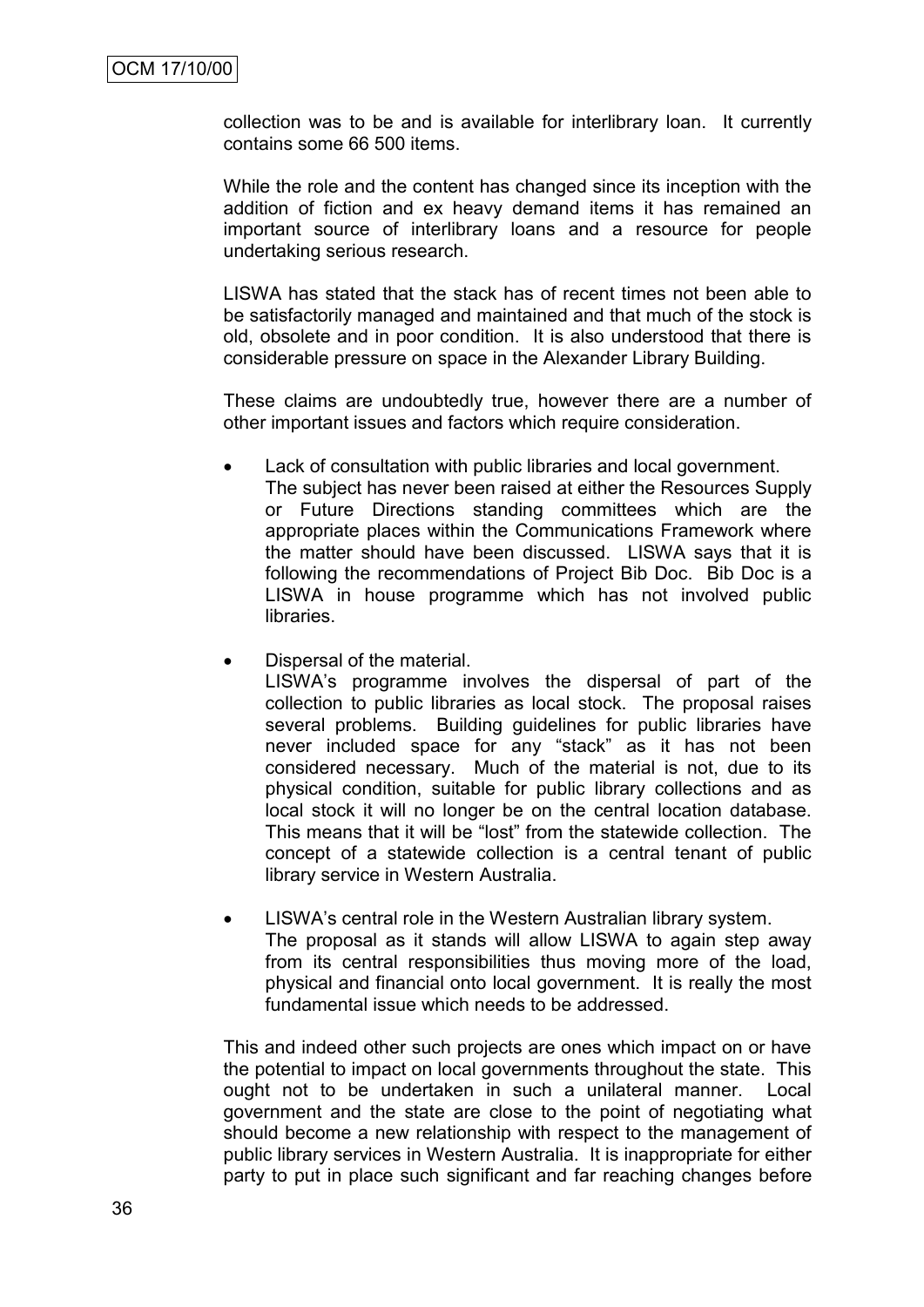collection was to be and is available for interlibrary loan. It currently contains some 66 500 items.

While the role and the content has changed since its inception with the addition of fiction and ex heavy demand items it has remained an important source of interlibrary loans and a resource for people undertaking serious research.

LISWA has stated that the stack has of recent times not been able to be satisfactorily managed and maintained and that much of the stock is old, obsolete and in poor condition. It is also understood that there is considerable pressure on space in the Alexander Library Building.

These claims are undoubtedly true, however there are a number of other important issues and factors which require consideration.

- Lack of consultation with public libraries and local government. The subject has never been raised at either the Resources Supply or Future Directions standing committees which are the appropriate places within the Communications Framework where the matter should have been discussed. LISWA says that it is following the recommendations of Project Bib Doc. Bib Doc is a LISWA in house programme which has not involved public libraries.
- Dispersal of the material.

LISWA"s programme involves the dispersal of part of the collection to public libraries as local stock. The proposal raises several problems. Building guidelines for public libraries have never included space for any "stack" as it has not been considered necessary. Much of the material is not, due to its physical condition, suitable for public library collections and as local stock it will no longer be on the central location database. This means that it will be "lost" from the statewide collection. The concept of a statewide collection is a central tenant of public library service in Western Australia.

 LISWA"s central role in the Western Australian library system. The proposal as it stands will allow LISWA to again step away from its central responsibilities thus moving more of the load, physical and financial onto local government. It is really the most fundamental issue which needs to be addressed.

This and indeed other such projects are ones which impact on or have the potential to impact on local governments throughout the state. This ought not to be undertaken in such a unilateral manner. Local government and the state are close to the point of negotiating what should become a new relationship with respect to the management of public library services in Western Australia. It is inappropriate for either party to put in place such significant and far reaching changes before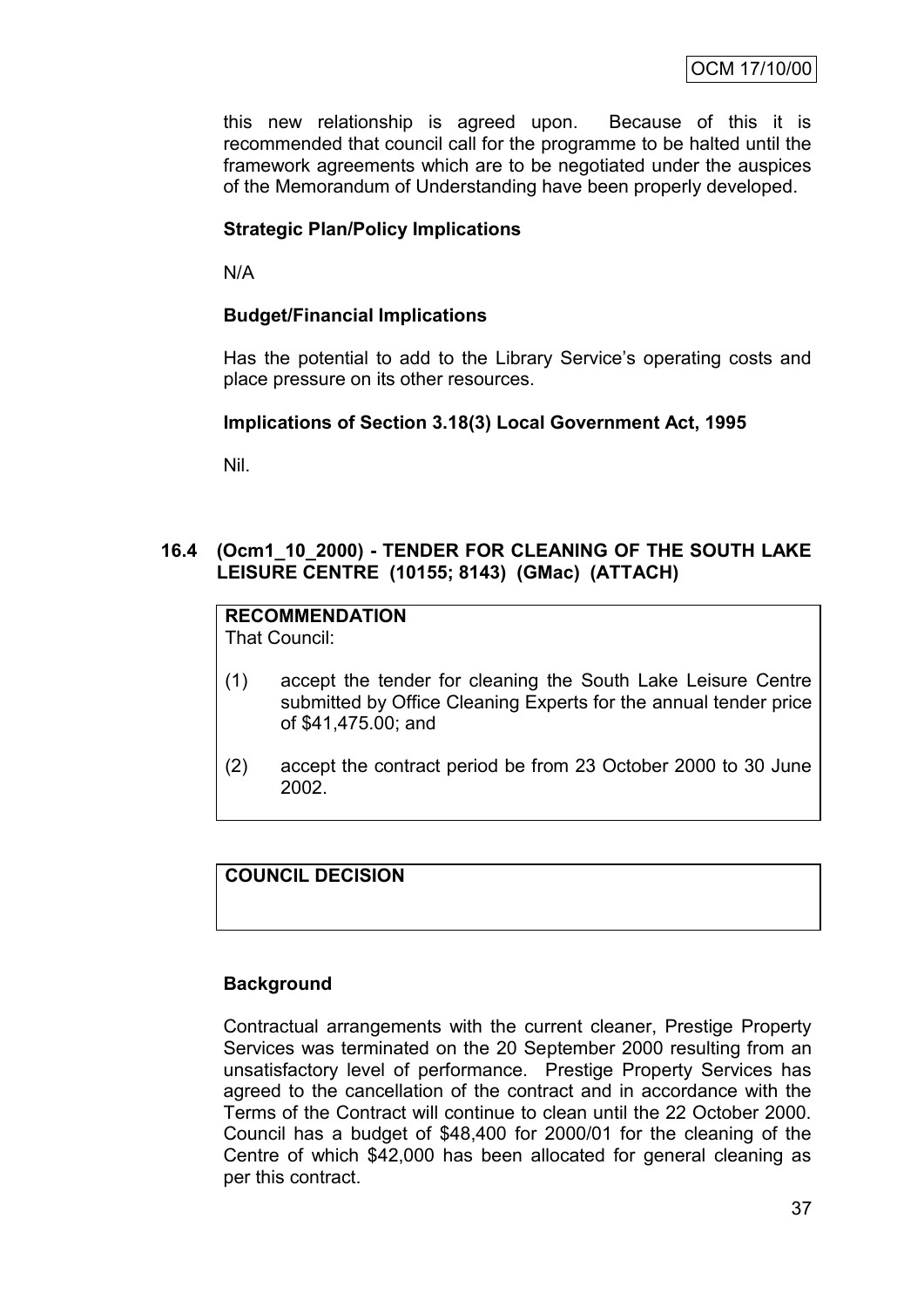this new relationship is agreed upon. Because of this it is recommended that council call for the programme to be halted until the framework agreements which are to be negotiated under the auspices of the Memorandum of Understanding have been properly developed.

# **Strategic Plan/Policy Implications**

N/A

## **Budget/Financial Implications**

Has the potential to add to the Library Service's operating costs and place pressure on its other resources.

# **Implications of Section 3.18(3) Local Government Act, 1995**

Nil.

# **16.4 (Ocm1\_10\_2000) - TENDER FOR CLEANING OF THE SOUTH LAKE LEISURE CENTRE (10155; 8143) (GMac) (ATTACH)**

# **RECOMMENDATION**

That Council:

- (1) accept the tender for cleaning the South Lake Leisure Centre submitted by Office Cleaning Experts for the annual tender price of \$41,475.00; and
- (2) accept the contract period be from 23 October 2000 to 30 June 2002.

# **COUNCIL DECISION**

#### **Background**

Contractual arrangements with the current cleaner, Prestige Property Services was terminated on the 20 September 2000 resulting from an unsatisfactory level of performance. Prestige Property Services has agreed to the cancellation of the contract and in accordance with the Terms of the Contract will continue to clean until the 22 October 2000. Council has a budget of \$48,400 for 2000/01 for the cleaning of the Centre of which \$42,000 has been allocated for general cleaning as per this contract.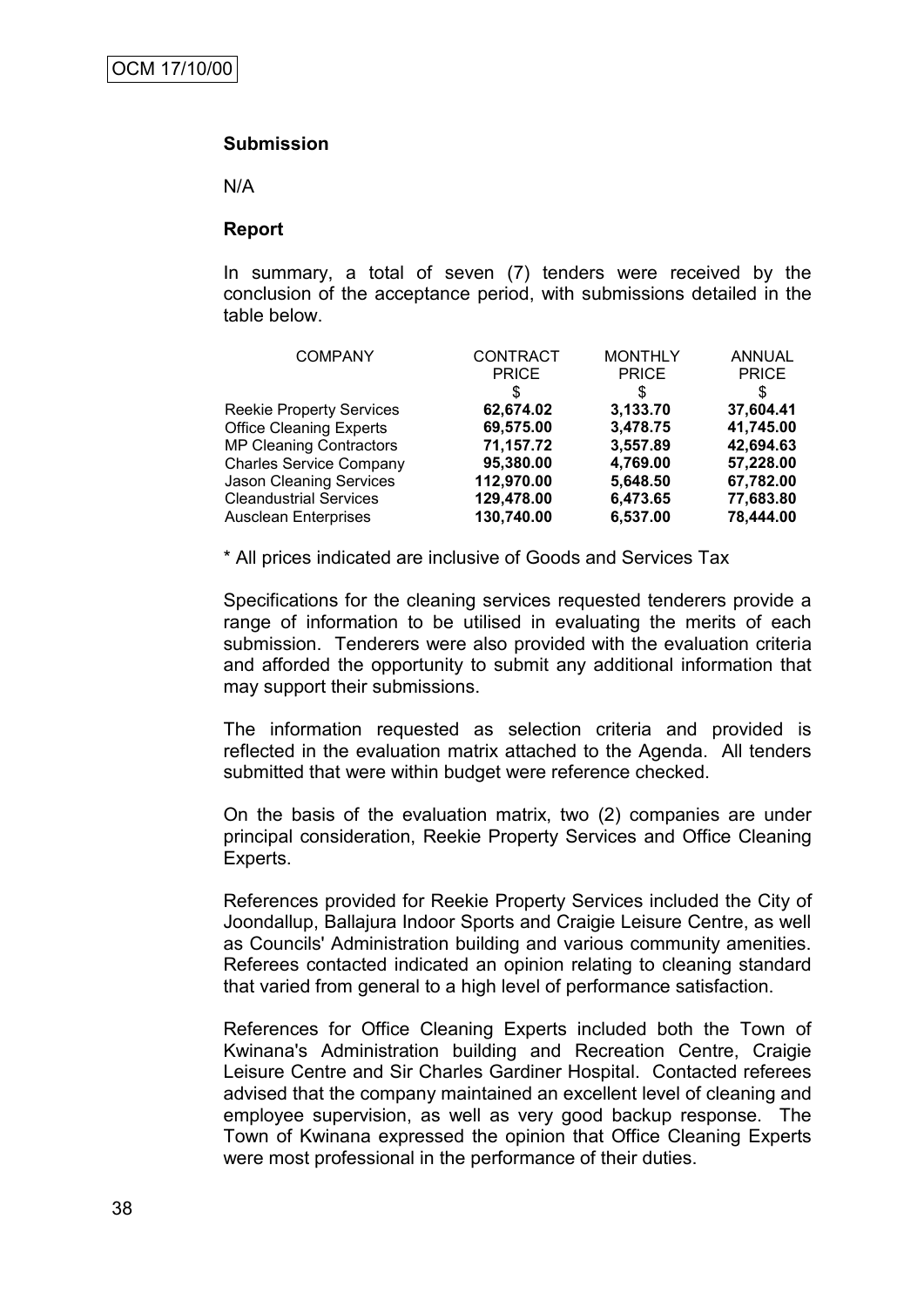#### **Submission**

N/A

#### **Report**

In summary, a total of seven (7) tenders were received by the conclusion of the acceptance period, with submissions detailed in the table below.

| <b>COMPANY</b>                  | <b>CONTRACT</b><br><b>PRICE</b><br>S | <b>MONTHLY</b><br><b>PRICE</b><br>S | <b>ANNUAL</b><br><b>PRICE</b><br>S |
|---------------------------------|--------------------------------------|-------------------------------------|------------------------------------|
| <b>Reekie Property Services</b> | 62,674.02                            | 3,133.70                            | 37,604.41                          |
| <b>Office Cleaning Experts</b>  | 69,575.00                            | 3,478.75                            | 41,745.00                          |
| <b>MP Cleaning Contractors</b>  | 71,157.72                            | 3,557.89                            | 42,694.63                          |
| <b>Charles Service Company</b>  | 95,380.00                            | 4,769.00                            | 57,228.00                          |
| Jason Cleaning Services         | 112,970.00                           | 5,648.50                            | 67,782.00                          |
| <b>Cleandustrial Services</b>   | 129,478.00                           | 6,473.65                            | 77,683.80                          |
| <b>Ausclean Enterprises</b>     | 130,740.00                           | 6,537.00                            | 78,444.00                          |

\* All prices indicated are inclusive of Goods and Services Tax

Specifications for the cleaning services requested tenderers provide a range of information to be utilised in evaluating the merits of each submission. Tenderers were also provided with the evaluation criteria and afforded the opportunity to submit any additional information that may support their submissions.

The information requested as selection criteria and provided is reflected in the evaluation matrix attached to the Agenda. All tenders submitted that were within budget were reference checked.

On the basis of the evaluation matrix, two (2) companies are under principal consideration, Reekie Property Services and Office Cleaning Experts.

References provided for Reekie Property Services included the City of Joondallup, Ballajura Indoor Sports and Craigie Leisure Centre, as well as Councils' Administration building and various community amenities. Referees contacted indicated an opinion relating to cleaning standard that varied from general to a high level of performance satisfaction.

References for Office Cleaning Experts included both the Town of Kwinana's Administration building and Recreation Centre, Craigie Leisure Centre and Sir Charles Gardiner Hospital. Contacted referees advised that the company maintained an excellent level of cleaning and employee supervision, as well as very good backup response. The Town of Kwinana expressed the opinion that Office Cleaning Experts were most professional in the performance of their duties.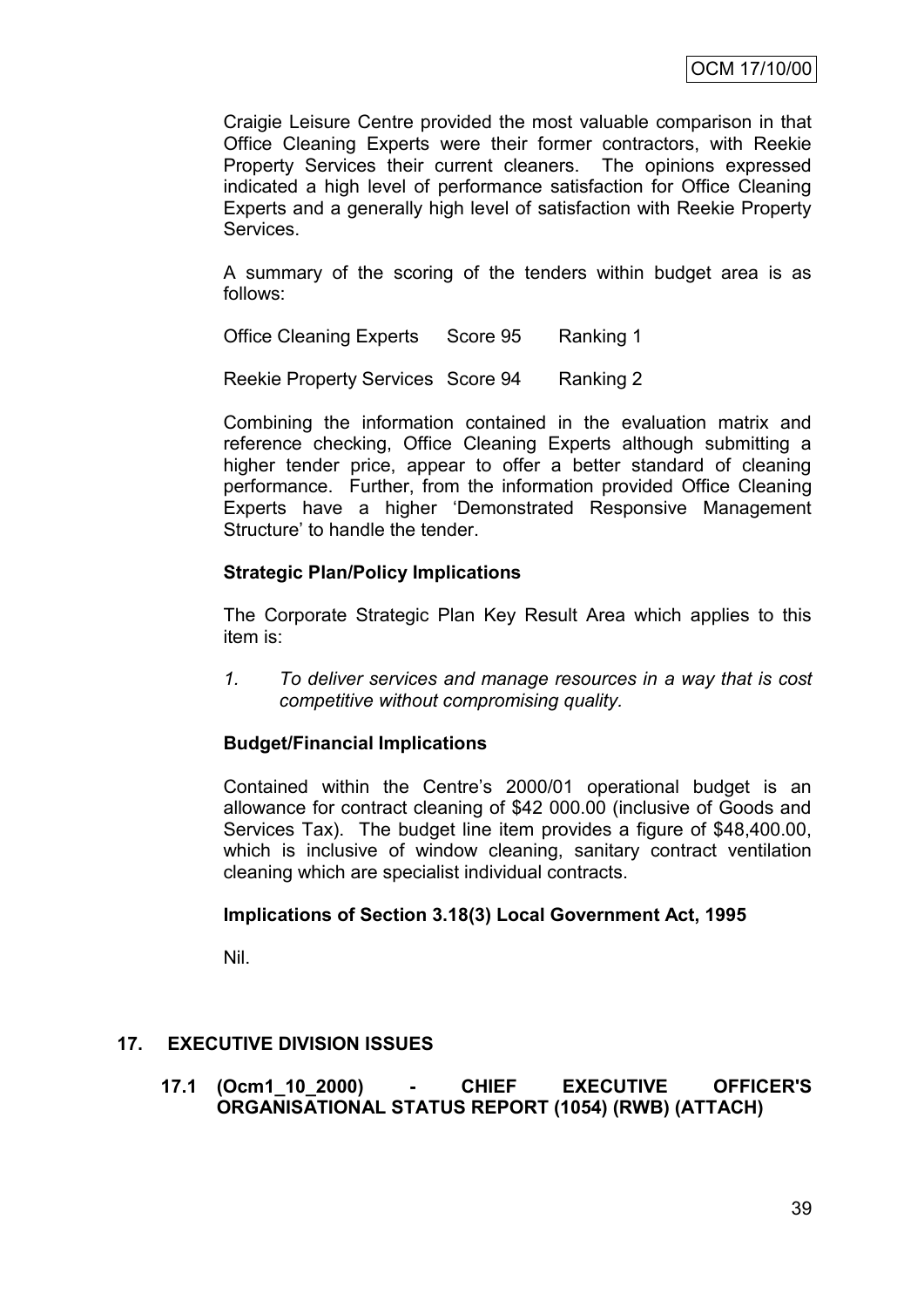Craigie Leisure Centre provided the most valuable comparison in that Office Cleaning Experts were their former contractors, with Reekie Property Services their current cleaners. The opinions expressed indicated a high level of performance satisfaction for Office Cleaning Experts and a generally high level of satisfaction with Reekie Property Services.

A summary of the scoring of the tenders within budget area is as follows:

Office Cleaning Experts Score 95 Ranking 1

Reekie Property Services Score 94 Ranking 2

Combining the information contained in the evaluation matrix and reference checking, Office Cleaning Experts although submitting a higher tender price, appear to offer a better standard of cleaning performance. Further, from the information provided Office Cleaning Experts have a higher "Demonstrated Responsive Management Structure' to handle the tender.

#### **Strategic Plan/Policy Implications**

The Corporate Strategic Plan Key Result Area which applies to this item is:

*1. To deliver services and manage resources in a way that is cost competitive without compromising quality.*

#### **Budget/Financial Implications**

Contained within the Centre"s 2000/01 operational budget is an allowance for contract cleaning of \$42 000.00 (inclusive of Goods and Services Tax). The budget line item provides a figure of \$48,400.00, which is inclusive of window cleaning, sanitary contract ventilation cleaning which are specialist individual contracts.

#### **Implications of Section 3.18(3) Local Government Act, 1995**

Nil.

# **17. EXECUTIVE DIVISION ISSUES**

**17.1 (Ocm1\_10\_2000) - CHIEF EXECUTIVE OFFICER'S ORGANISATIONAL STATUS REPORT (1054) (RWB) (ATTACH)**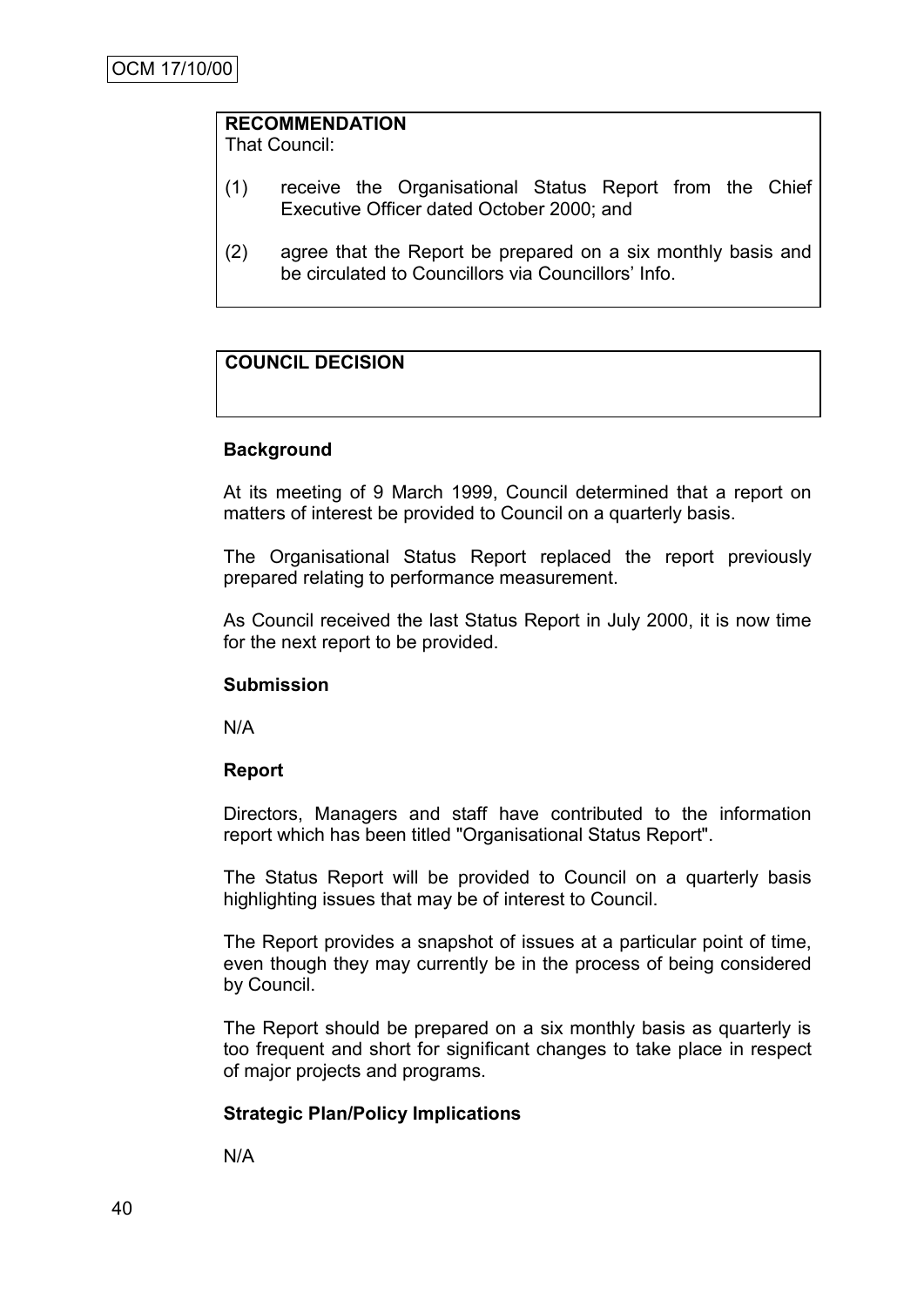# **RECOMMENDATION**

That Council:

- (1) receive the Organisational Status Report from the Chief Executive Officer dated October 2000; and
- (2) agree that the Report be prepared on a six monthly basis and be circulated to Councillors via Councillors' Info.

# **COUNCIL DECISION**

#### **Background**

At its meeting of 9 March 1999, Council determined that a report on matters of interest be provided to Council on a quarterly basis.

The Organisational Status Report replaced the report previously prepared relating to performance measurement.

As Council received the last Status Report in July 2000, it is now time for the next report to be provided.

#### **Submission**

N/A

#### **Report**

Directors, Managers and staff have contributed to the information report which has been titled "Organisational Status Report".

The Status Report will be provided to Council on a quarterly basis highlighting issues that may be of interest to Council.

The Report provides a snapshot of issues at a particular point of time, even though they may currently be in the process of being considered by Council.

The Report should be prepared on a six monthly basis as quarterly is too frequent and short for significant changes to take place in respect of major projects and programs.

#### **Strategic Plan/Policy Implications**

N/A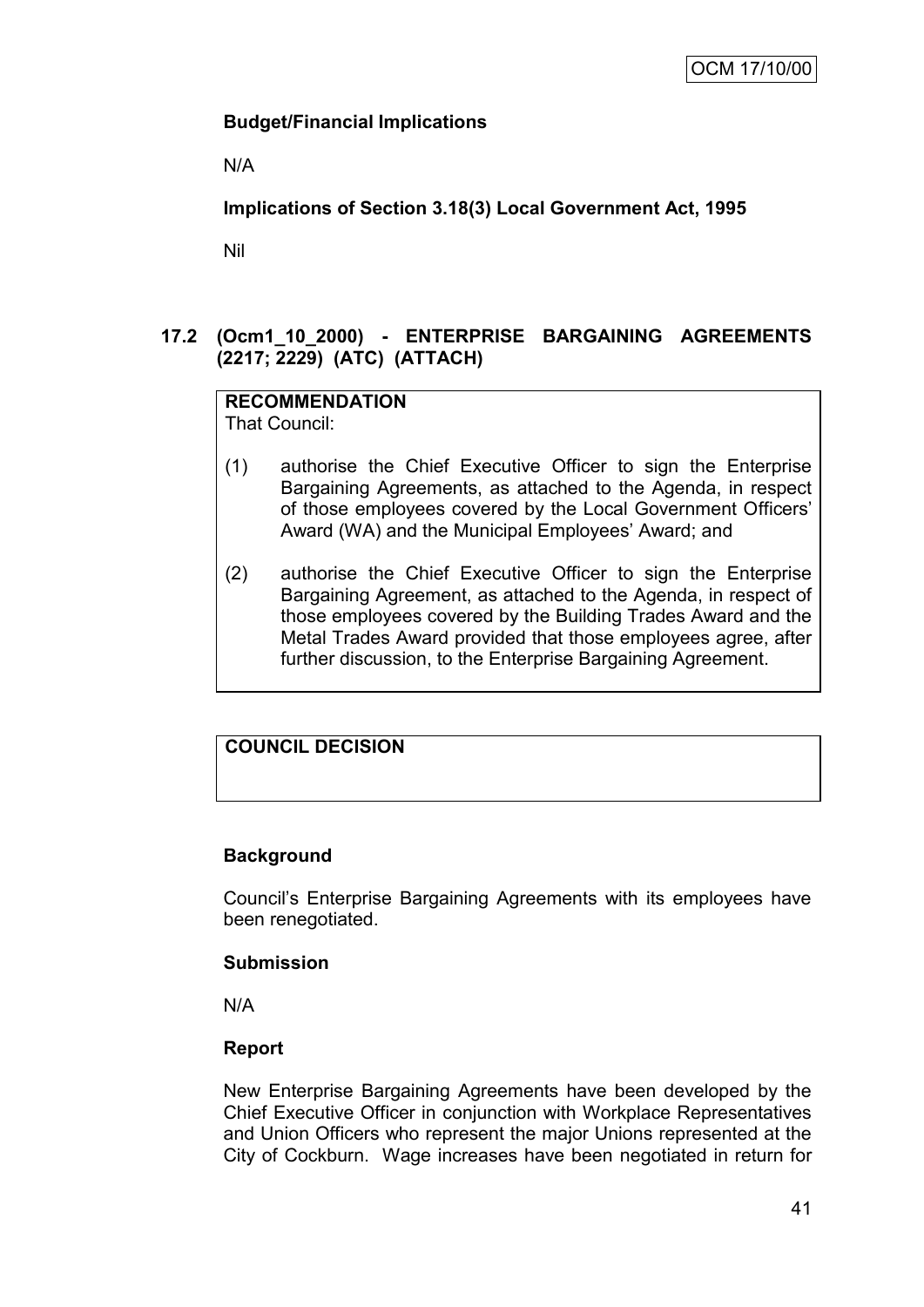# **Budget/Financial Implications**

N/A

# **Implications of Section 3.18(3) Local Government Act, 1995**

Nil

# **17.2 (Ocm1\_10\_2000) - ENTERPRISE BARGAINING AGREEMENTS (2217; 2229) (ATC) (ATTACH)**

# **RECOMMENDATION**

That Council:

- (1) authorise the Chief Executive Officer to sign the Enterprise Bargaining Agreements, as attached to the Agenda, in respect of those employees covered by the Local Government Officers" Award (WA) and the Municipal Employees" Award; and
- (2) authorise the Chief Executive Officer to sign the Enterprise Bargaining Agreement, as attached to the Agenda, in respect of those employees covered by the Building Trades Award and the Metal Trades Award provided that those employees agree, after further discussion, to the Enterprise Bargaining Agreement.

# **COUNCIL DECISION**

# **Background**

Council"s Enterprise Bargaining Agreements with its employees have been renegotiated.

# **Submission**

N/A

# **Report**

New Enterprise Bargaining Agreements have been developed by the Chief Executive Officer in conjunction with Workplace Representatives and Union Officers who represent the major Unions represented at the City of Cockburn. Wage increases have been negotiated in return for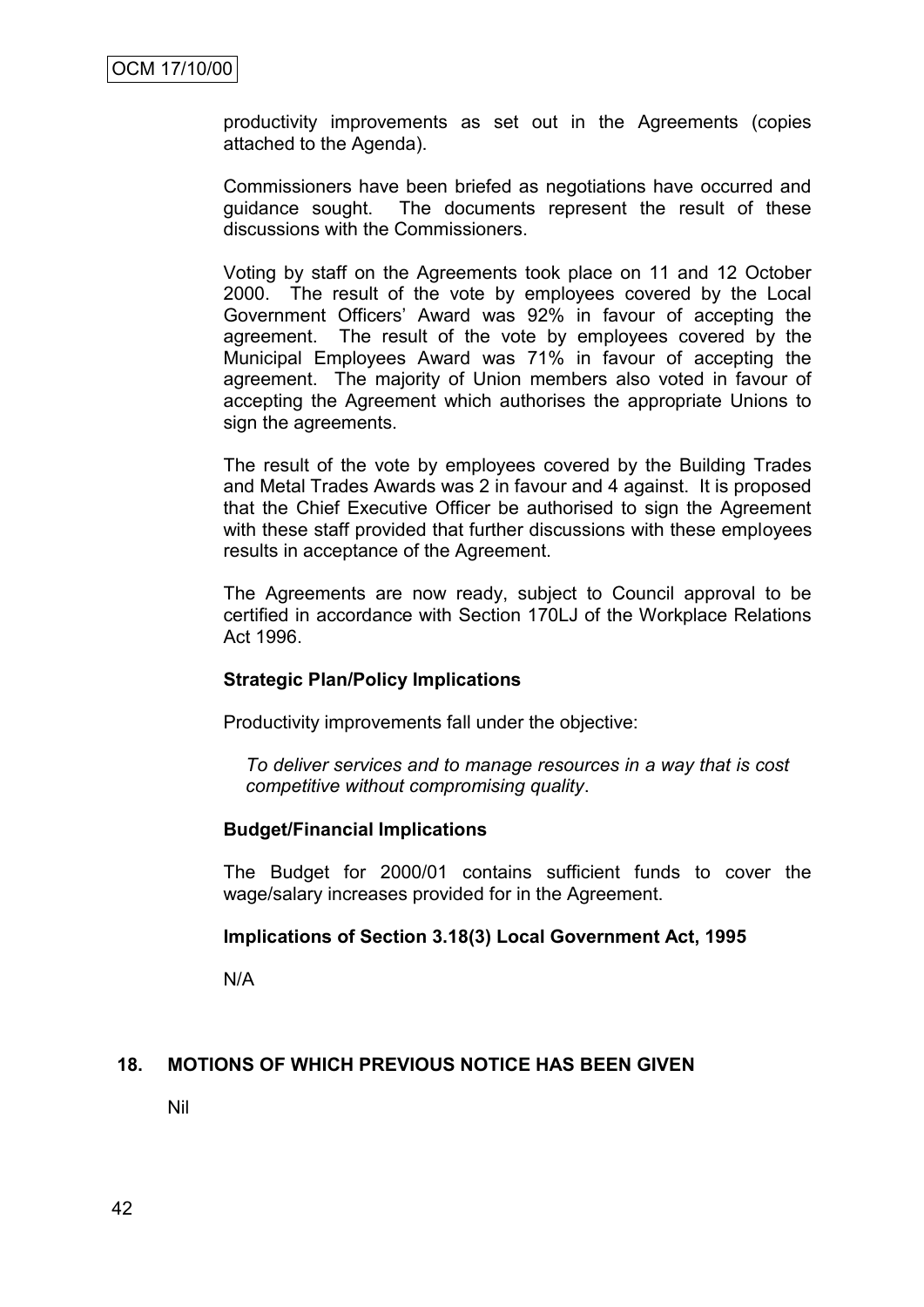productivity improvements as set out in the Agreements (copies attached to the Agenda).

Commissioners have been briefed as negotiations have occurred and guidance sought. The documents represent the result of these discussions with the Commissioners.

Voting by staff on the Agreements took place on 11 and 12 October 2000. The result of the vote by employees covered by the Local Government Officers" Award was 92% in favour of accepting the agreement. The result of the vote by employees covered by the Municipal Employees Award was 71% in favour of accepting the agreement. The majority of Union members also voted in favour of accepting the Agreement which authorises the appropriate Unions to sign the agreements.

The result of the vote by employees covered by the Building Trades and Metal Trades Awards was 2 in favour and 4 against. It is proposed that the Chief Executive Officer be authorised to sign the Agreement with these staff provided that further discussions with these employees results in acceptance of the Agreement.

The Agreements are now ready, subject to Council approval to be certified in accordance with Section 170LJ of the Workplace Relations Act 1996.

#### **Strategic Plan/Policy Implications**

Productivity improvements fall under the objective:

*To deliver services and to manage resources in a way that is cost competitive without compromising quality*.

#### **Budget/Financial Implications**

The Budget for 2000/01 contains sufficient funds to cover the wage/salary increases provided for in the Agreement.

#### **Implications of Section 3.18(3) Local Government Act, 1995**

N/A

#### **18. MOTIONS OF WHICH PREVIOUS NOTICE HAS BEEN GIVEN**

Nil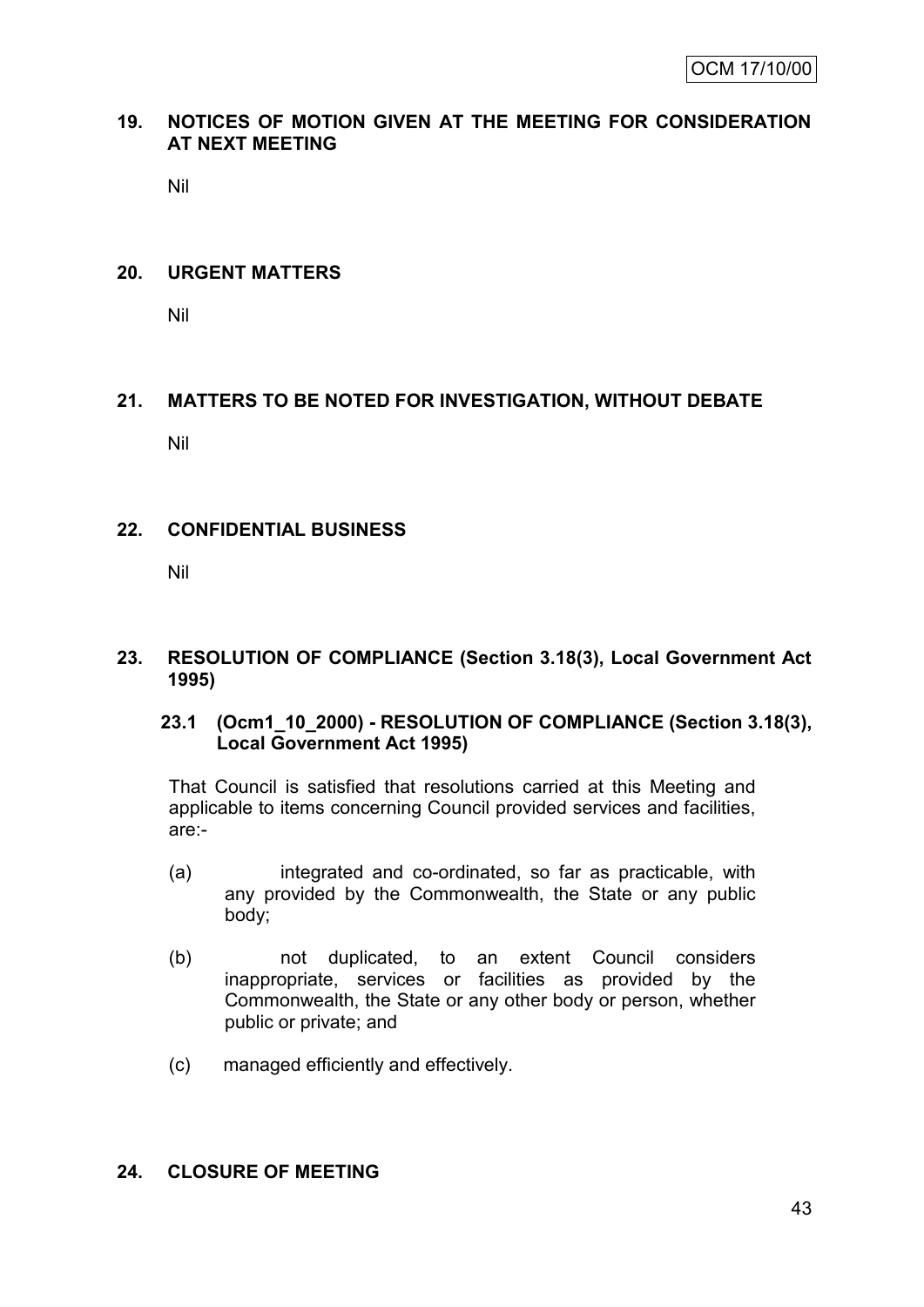## **19. NOTICES OF MOTION GIVEN AT THE MEETING FOR CONSIDERATION AT NEXT MEETING**

Nil

#### **20. URGENT MATTERS**

Nil

# **21. MATTERS TO BE NOTED FOR INVESTIGATION, WITHOUT DEBATE**

Nil

#### **22. CONFIDENTIAL BUSINESS**

Nil

#### **23. RESOLUTION OF COMPLIANCE (Section 3.18(3), Local Government Act 1995)**

# **23.1 (Ocm1\_10\_2000) - RESOLUTION OF COMPLIANCE (Section 3.18(3), Local Government Act 1995)**

That Council is satisfied that resolutions carried at this Meeting and applicable to items concerning Council provided services and facilities, are:-

- (a) integrated and co-ordinated, so far as practicable, with any provided by the Commonwealth, the State or any public body;
- (b) not duplicated, to an extent Council considers inappropriate, services or facilities as provided by the Commonwealth, the State or any other body or person, whether public or private; and
- (c) managed efficiently and effectively.

#### **24. CLOSURE OF MEETING**